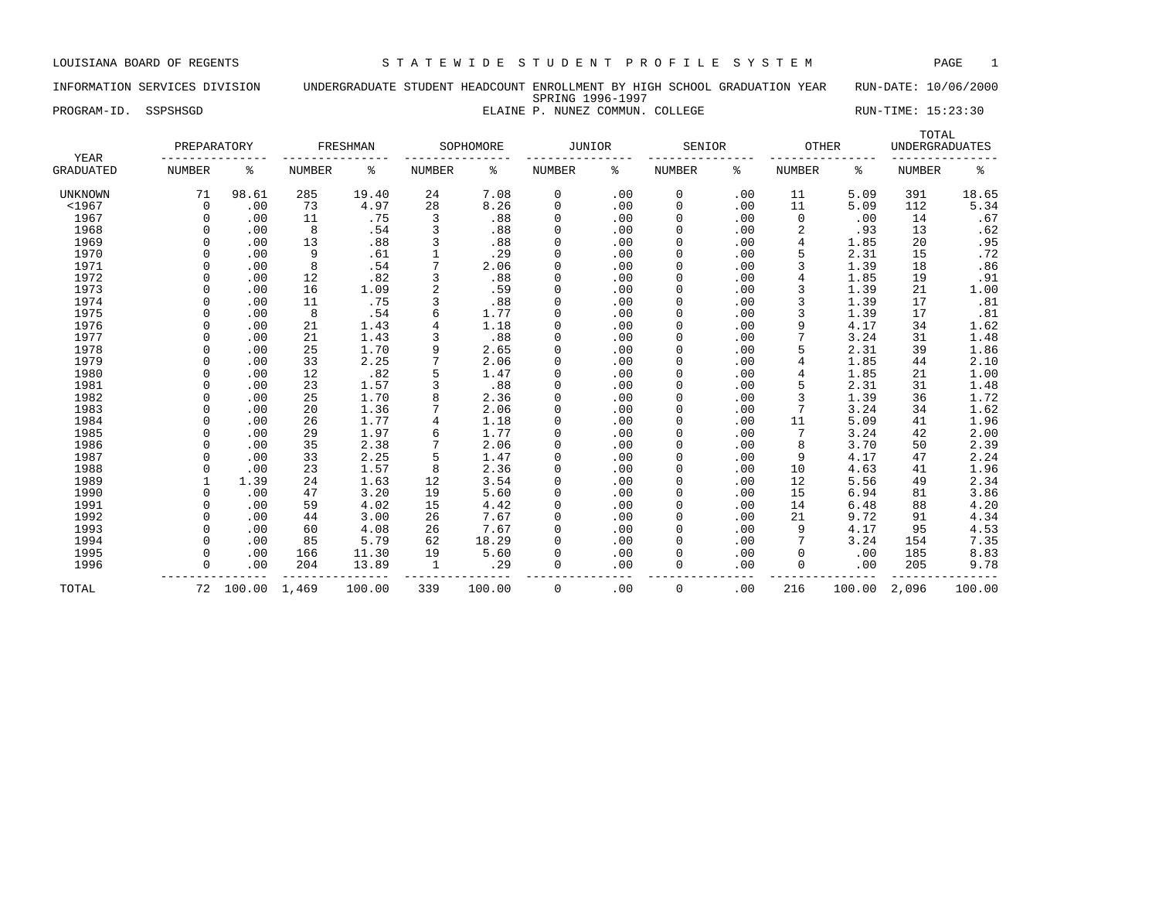# INFORMATION SERVICES DIVISION UNDERGRADUATE STUDENT HEADCOUNT ENROLLMENT BY HIGH SCHOOL GRADUATION YEAR RUN-DATE: 10/06/2000 SPRING 1996-1997

PROGRAM-ID. SSPSHSGD **ELAINE P. NUNEZ COMMUN. COLLEGE** RUN-TIME: 15:23:30

| YEAR             | PREPARATORY   |        |               | FRESHMAN |               | SOPHOMORE | <b>JUNIOR</b> |     | SENIOR        |     | <b>OTHER</b>  |        | TOTAL<br><b>UNDERGRADUATES</b> |        |
|------------------|---------------|--------|---------------|----------|---------------|-----------|---------------|-----|---------------|-----|---------------|--------|--------------------------------|--------|
| <b>GRADUATED</b> | <b>NUMBER</b> | နွ     | <b>NUMBER</b> | ႜ        | <b>NUMBER</b> | ႜ         | <b>NUMBER</b> | ៖   | <b>NUMBER</b> | နွ  | <b>NUMBER</b> | ႜ      | <b>NUMBER</b>                  | နွ     |
| <b>UNKNOWN</b>   | 71            | 98.61  | 285           | 19.40    | 24            | 7.08      | 0             | .00 | 0             | .00 | 11            | 5.09   | 391                            | 18.65  |
| < 1967           | $\mathbf 0$   | .00    | 73            | 4.97     | 28            | 8.26      | 0             | .00 | $\Omega$      | .00 | 11            | 5.09   | 112                            | 5.34   |
| 1967             | $\Omega$      | .00    | 11            | .75      | 3             | .88       | 0             | .00 | 0             | .00 | $\Omega$      | .00    | 14                             | .67    |
| 1968             | $\Omega$      | .00    | 8             | .54      | 3             | .88       | 0             | .00 |               | .00 | 2             | .93    | 13                             | .62    |
| 1969             | $\Omega$      | .00    | 13            | .88      | 3             | .88       | 0             | .00 |               | .00 | 4             | 1.85   | 20                             | .95    |
| 1970             | $\Omega$      | .00    | 9             | .61      |               | .29       | 0             | .00 |               | .00 | 5             | 2.31   | 15                             | .72    |
| 1971             | $\Omega$      | .00    | 8             | .54      |               | 2.06      | $\mathbf 0$   | .00 | 0             | .00 | 3             | 1.39   | 18                             | .86    |
| 1972             | $\Omega$      | .00    | 12            | .82      | 3             | .88       | 0             | .00 | $\Omega$      | .00 | 4             | 1.85   | 19                             | .91    |
| 1973             | $\Omega$      | .00    | 16            | 1.09     | 2             | .59       | 0             | .00 | $\Omega$      | .00 | 3             | 1.39   | 21                             | 1.00   |
| 1974             | $\Omega$      | .00    | 11            | .75      |               | .88       | 0             | .00 |               | .00 |               | 1.39   | 17                             | .81    |
| 1975             |               | .00    | 8             | .54      | б             | 1.77      | 0             | .00 |               | .00 | 3             | 1.39   | 17                             | .81    |
| 1976             | $\Omega$      | .00    | 21            | 1.43     |               | 1.18      | 0             | .00 |               | .00 | 9             | 4.17   | 34                             | 1.62   |
| 1977             | $\Omega$      | .00    | 21            | 1.43     |               | .88       | 0             | .00 |               | .00 |               | 3.24   | 31                             | 1.48   |
| 1978             | $\Omega$      | .00    | 25            | 1.70     | 9             | 2.65      | 0             | .00 |               | .00 | 5             | 2.31   | 39                             | 1.86   |
| 1979             | $\Omega$      | .00    | 33            | 2.25     |               | 2.06      | 0             | .00 | $\Omega$      | .00 | 4             | 1.85   | 44                             | 2.10   |
| 1980             | $\Omega$      | .00    | 12            | .82      | 5             | 1.47      | 0             | .00 | 0             | .00 |               | 1.85   | 21                             | 1.00   |
| 1981             | $\Omega$      | .00    | 23            | 1.57     | 3             | .88       | 0             | .00 | $\Omega$      | .00 | 5             | 2.31   | 31                             | 1.48   |
| 1982             | $\Omega$      | .00    | 25            | 1.70     | 8             | 2.36      | 0             | .00 | 0             | .00 | 3             | 1.39   | 36                             | 1.72   |
| 1983             | $\Omega$      | .00    | 20            | 1.36     |               | 2.06      | 0             | .00 | 0             | .00 | 7             | 3.24   | 34                             | 1.62   |
| 1984             | $\Omega$      | .00    | 26            | 1.77     | 4             | 1.18      | 0             | .00 | 0             | .00 | 11            | 5.09   | 41                             | 1.96   |
| 1985             | $\Omega$      | .00    | 29            | 1.97     | б             | 1.77      | 0             | .00 | $\mathbf 0$   | .00 | 7             | 3.24   | 42                             | 2.00   |
| 1986             | $\Omega$      | .00    | 35            | 2.38     |               | 2.06      | 0             | .00 | $\Omega$      | .00 | 8             | 3.70   | 50                             | 2.39   |
| 1987             | $\Omega$      | .00    | 33            | 2.25     | 5             | 1.47      | 0             | .00 | $\Omega$      | .00 | 9             | 4.17   | 47                             | 2.24   |
| 1988             | $\Omega$      | .00    | 23            | 1.57     | 8             | 2.36      | 0             | .00 |               | .00 | 10            | 4.63   | 41                             | 1.96   |
| 1989             |               | 1.39   | 24            | 1.63     | 12            | 3.54      | 0             | .00 |               | .00 | 12            | 5.56   | 49                             | 2.34   |
| 1990             | $\Omega$      | .00    | 47            | 3.20     | 19            | 5.60      | 0             | .00 | $\Omega$      | .00 | 15            | 6.94   | 81                             | 3.86   |
| 1991             | $\Omega$      | .00    | 59            | 4.02     | 15            | 4.42      | 0             | .00 | $\Omega$      | .00 | 14            | 6.48   | 88                             | 4.20   |
| 1992             | $\Omega$      | .00    | 44            | 3.00     | 26            | 7.67      | 0             | .00 | $\Omega$      | .00 | 21            | 9.72   | 91                             | 4.34   |
| 1993             | $\Omega$      | .00    | 60            | 4.08     | 26            | 7.67      | 0             | .00 | 0             | .00 | 9             | 4.17   | 95                             | 4.53   |
| 1994             | $\Omega$      | .00    | 85            | 5.79     | 62            | 18.29     | 0             | .00 | $\mathbf 0$   | .00 |               | 3.24   | 154                            | 7.35   |
| 1995             | $\Omega$      | .00    | 166           | 11.30    | 19            | 5.60      | 0             | .00 |               | .00 | 0             | .00    | 185                            | 8.83   |
| 1996             | $\Omega$      | .00    | 204           | 13.89    | $\mathbf{1}$  | .29       | 0             | .00 | $\Omega$      | .00 | $\Omega$      | .00    | 205                            | 9.78   |
| TOTAL            | 72            | 100.00 | 1,469         | 100.00   | 339           | 100.00    | $\Omega$      | .00 | 0             | .00 | 216           | 100.00 | 2,096                          | 100.00 |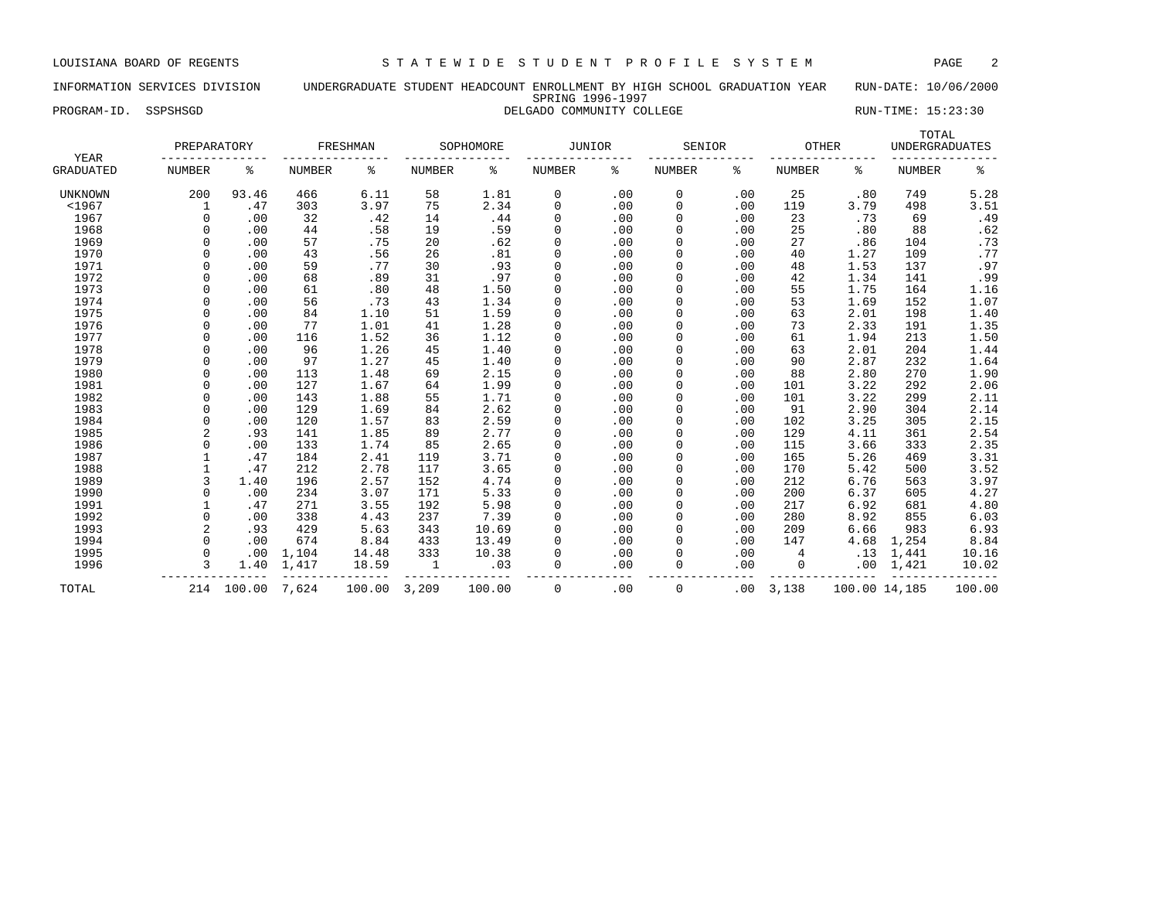# INFORMATION SERVICES DIVISION UNDERGRADUATE STUDENT HEADCOUNT ENROLLMENT BY HIGH SCHOOL GRADUATION YEAR RUN-DATE: 10/06/2000 SPRING 1996-1997 PROGRAM-ID. SSPSHSGD **DELGADO COMMUNITY COLLEGE** RUN-TIME: 15:23:30

| YEAR             | PREPARATORY    |        |        | FRESHMAN |               | SOPHOMORE | JUNIOR        |     | SENIOR        |     | <b>OTHER</b>  |               | TOTAL<br><b>UNDERGRADUATES</b> |        |
|------------------|----------------|--------|--------|----------|---------------|-----------|---------------|-----|---------------|-----|---------------|---------------|--------------------------------|--------|
| <b>GRADUATED</b> | <b>NUMBER</b>  | န့     | NUMBER | ႜ        | <b>NUMBER</b> | နွ        | <b>NUMBER</b> | နွ  | <b>NUMBER</b> | ႜ   | <b>NUMBER</b> | ႜ             | <b>NUMBER</b>                  | ್ಠಿ    |
| UNKNOWN          | 200            | 93.46  | 466    | 6.11     | 58            | 1.81      | 0             | .00 | $\mathbf 0$   | .00 | 25            | .80           | 749                            | 5.28   |
| < 1967           |                | .47    | 303    | 3.97     | 75            | 2.34      | 0             | .00 | 0             | .00 | 119           | 3.79          | 498                            | 3.51   |
| 1967             | $\cap$         | .00    | 32     | .42      | 14            | .44       | 0             | .00 | 0             | .00 | 23            | .73           | 69                             | .49    |
| 1968             |                | .00    | 44     | .58      | 19            | .59       | 0             | .00 | 0             | .00 | 25            | .80           | 88                             | .62    |
| 1969             |                | .00    | 57     | .75      | 20            | .62       | 0             | .00 | 0             | .00 | 27            | .86           | 104                            | .73    |
| 1970             |                | .00    | 43     | .56      | 26            | .81       | 0             | .00 | 0             | .00 | 40            | 1.27          | 109                            | .77    |
| 1971             |                | .00    | 59     | .77      | 30            | .93       | $\mathbf 0$   | .00 | $\mathbf 0$   | .00 | 48            | 1.53          | 137                            | .97    |
| 1972             |                | .00    | 68     | .89      | 31            | .97       | 0             | .00 | 0             | .00 | 42            | 1.34          | 141                            | .99    |
| 1973             |                | .00    | 61     | .80      | 48            | 1.50      | $\Omega$      | .00 | 0             | .00 | 55            | 1.75          | 164                            | 1.16   |
| 1974             |                | .00    | 56     | .73      | 43            | 1.34      | 0             | .00 | $\Omega$      | .00 | 53            | 1.69          | 152                            | 1.07   |
| 1975             |                | .00    | 84     | 1.10     | 51            | 1.59      | 0             | .00 | $\Omega$      | .00 | 63            | 2.01          | 198                            | 1.40   |
| 1976             |                | .00    | 77     | 1.01     | 41            | 1.28      | $\Omega$      | .00 | $\Omega$      | .00 | 73            | 2.33          | 191                            | 1.35   |
| 1977             | C              | .00    | 116    | 1.52     | 36            | 1.12      | $\Omega$      | .00 | $\Omega$      | .00 | 61            | 1.94          | 213                            | 1.50   |
| 1978             | C              | .00    | 96     | 1.26     | 45            | 1.40      | $\Omega$      | .00 | $\Omega$      | .00 | 63            | 2.01          | 204                            | 1.44   |
| 1979             |                | .00    | 97     | 1.27     | 45            | 1.40      | 0             | .00 | 0             | .00 | 90            | 2.87          | 232                            | 1.64   |
| 1980             | $\cap$         | .00    | 113    | 1.48     | 69            | 2.15      | 0             | .00 | 0             | .00 | 88            | 2.80          | 270                            | 1.90   |
| 1981             | $\Omega$       | .00    | 127    | 1.67     | 64            | 1.99      | 0             | .00 | 0             | .00 | 101           | 3.22          | 292                            | 2.06   |
| 1982             |                | .00    | 143    | 1.88     | 55            | 1.71      | 0             | .00 | 0             | .00 | 101           | 3.22          | 299                            | 2.11   |
| 1983             | $\Omega$       | .00    | 129    | 1.69     | 84            | 2.62      | 0             | .00 | $\mathbf 0$   | .00 | 91            | 2.90          | 304                            | 2.14   |
| 1984             | $\Omega$       | .00    | 120    | 1.57     | 83            | 2.59      | 0             | .00 | $\mathbf 0$   | .00 | 102           | 3.25          | 305                            | 2.15   |
| 1985             | $\overline{2}$ | .93    | 141    | 1.85     | 89            | 2.77      | 0             | .00 | 0             | .00 | 129           | 4.11          | 361                            | 2.54   |
| 1986             |                | .00    | 133    | 1.74     | 85            | 2.65      | 0             | .00 | 0             | .00 | 115           | 3.66          | 333                            | 2.35   |
| 1987             |                | .47    | 184    | 2.41     | 119           | 3.71      | 0             | .00 | $\Omega$      | .00 | 165           | 5.26          | 469                            | 3.31   |
| 1988             |                | .47    | 212    | 2.78     | 117           | 3.65      | $\Omega$      | .00 | $\Omega$      | .00 | 170           | 5.42          | 500                            | 3.52   |
| 1989             | $\mathbf{3}$   | 1.40   | 196    | 2.57     | 152           | 4.74      | 0             | .00 | $\Omega$      | .00 | 212           | 6.76          | 563                            | 3.97   |
| 1990             | $\Omega$       | .00    | 234    | 3.07     | 171           | 5.33      | 0             | .00 | $\Omega$      | .00 | 200           | 6.37          | 605                            | 4.27   |
| 1991             |                | .47    | 271    | 3.55     | 192           | 5.98      | 0             | .00 | $\mathbf 0$   | .00 | 217           | 6.92          | 681                            | 4.80   |
| 1992             | $\Omega$       | .00    | 338    | 4.43     | 237           | 7.39      | $\Omega$      | .00 | 0             | .00 | 280           | 8.92          | 855                            | 6.03   |
| 1993             | 2              | .93    | 429    | 5.63     | 343           | 10.69     | $\Omega$      | .00 | 0             | .00 | 209           | 6.66          | 983                            | 6.93   |
| 1994             | $\Omega$       | .00    | 674    | 8.84     | 433           | 13.49     | 0             | .00 | $\mathbf 0$   | .00 | 147           | 4.68          | 1,254                          | 8.84   |
| 1995             | $\Omega$       | .00    | 1,104  | 14.48    | 333           | 10.38     | $\Omega$      | .00 | $\Omega$      | .00 | 4             | .13           | 1,441                          | 10.16  |
| 1996             | ζ              | 1.40   | 1,417  | 18.59    | 1             | .03       | 0             | .00 | 0             | .00 | 0             | .00           | 1,421                          | 10.02  |
| TOTAL            | 214            | 100.00 | 7,624  | 100.00   | 3,209         | 100.00    | $\Omega$      | .00 | 0             | .00 | 3,138         | 100.00 14,185 |                                | 100.00 |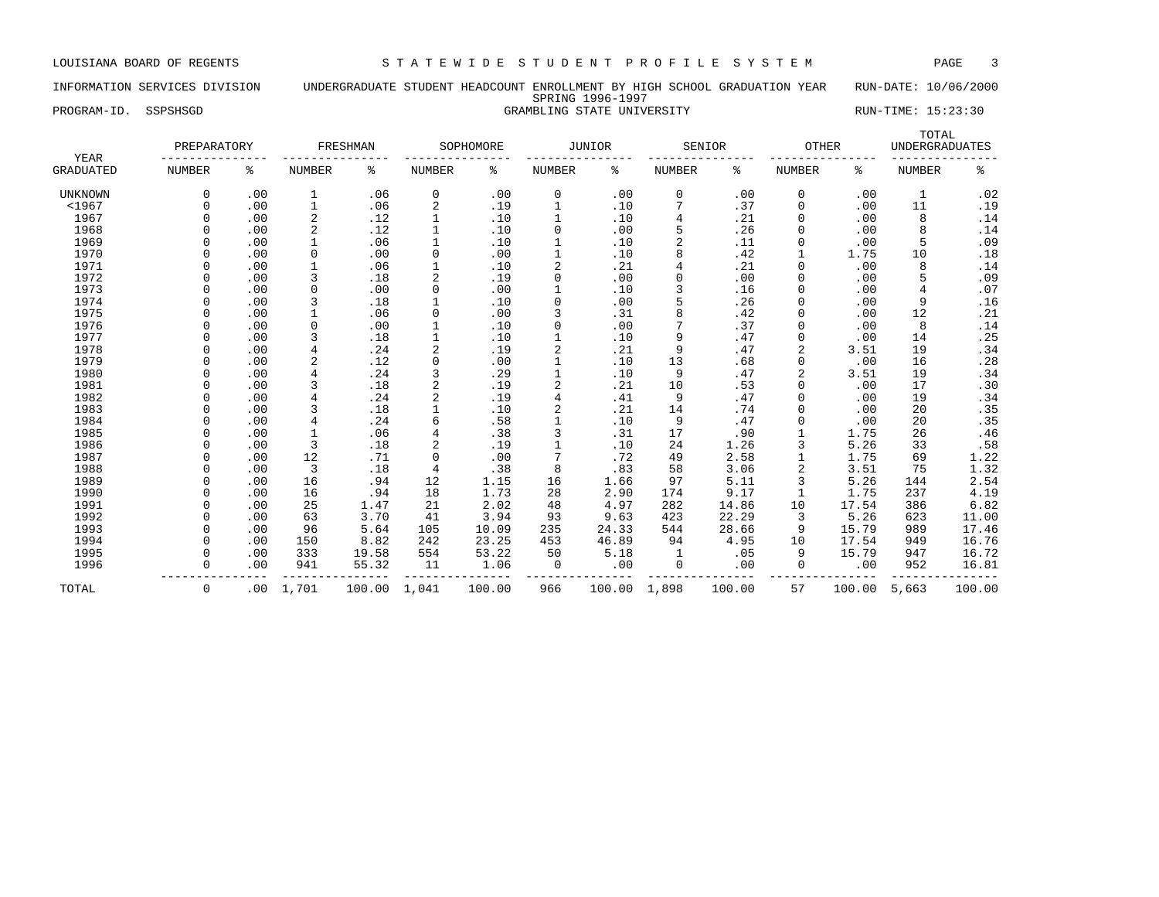LOUISIANA BOARD OF REGENTS S T A T E W I D E S T U D E N T P R O F I L E S Y S T E M PAGE 3

# INFORMATION SERVICES DIVISION UNDERGRADUATE STUDENT HEADCOUNT ENROLLMENT BY HIGH SCHOOL GRADUATION YEAR RUN-DATE: 10/06/2000 SPRING 1996-1997 PROGRAM-ID. SSPSHSGD STATE UNIVERSITY STATE UNIVERSITY RUN-TIME: 15:23:30

| YEAR             | PREPARATORY   |     |                | <b>FRESHMAN</b> |              | SOPHOMORE |                | JUNIOR |                | SENIOR | <b>OTHER</b>  |        | TOTAL<br><b>UNDERGRADUATES</b> |        |
|------------------|---------------|-----|----------------|-----------------|--------------|-----------|----------------|--------|----------------|--------|---------------|--------|--------------------------------|--------|
| <b>GRADUATED</b> | <b>NUMBER</b> | နွ  | <b>NUMBER</b>  | ៖               | NUMBER       | နွ        | <b>NUMBER</b>  | ៖      | <b>NUMBER</b>  | ႜ      | <b>NUMBER</b> | ిక     | <b>NUMBER</b>                  | နွ     |
| UNKNOWN          | 0             | .00 | 1              | .06             | 0            | .00       | 0              | .00    | 0              | .00    | 0             | .00    | $\mathbf 1$                    | .02    |
| $<$ 1967         | 0             | .00 | $\mathbf 1$    | .06             | 2            | .19       |                | .10    |                | .37    | 0             | .00    | 11                             | .19    |
| 1967             |               | .00 | $\sqrt{2}$     | .12             | $\mathbf{1}$ | .10       | $\mathbf{1}$   | .10    | 4              | .21    | 0             | .00    | 8                              | .14    |
| 1968             |               | .00 | $\overline{c}$ | .12             | $\mathbf{1}$ | .10       | $\Omega$       | .00    | 5              | .26    | $\Omega$      | .00    | 8                              | .14    |
| 1969             |               | .00 | $\mathbf{1}$   | .06             | $\mathbf{1}$ | .10       |                | .10    | $\overline{2}$ | .11    | 0             | .00    | 5                              | .09    |
| 1970             |               | .00 | 0              | .00             | 0            | .00       |                | .10    | 8              | .42    |               | 1.75   | 10                             | .18    |
| 1971             | $\Omega$      | .00 |                | .06             | $\mathbf{1}$ | .10       | $\overline{2}$ | .21    | 4              | .21    | 0             | .00    | 8                              | .14    |
| 1972             | $\Omega$      | .00 | 3              | .18             | 2            | .19       | $\Omega$       | .00    | $\Omega$       | .00    | $\Omega$      | .00    | 5                              | .09    |
| 1973             | $\Omega$      | .00 | $\mathbf 0$    | .00             | 0            | .00       |                | .10    | 3              | .16    | $\Omega$      | .00    | $\overline{4}$                 | .07    |
| 1974             | $\Omega$      | .00 | 3              | .18             |              | .10       | 0              | .00    | 5              | .26    | 0             | .00    | 9                              | .16    |
| 1975             | $\Omega$      | .00 | $\mathbf{1}$   | .06             | 0            | .00       | 3              | .31    | 8              | .42    | 0             | .00    | 12                             | .21    |
| 1976             |               | .00 | $\mathbf 0$    | .00             | $\mathbf{1}$ | .10       | $\Omega$       | .00    |                | .37    | 0             | .00    | 8                              | .14    |
| 1977             |               | .00 | 3              | .18             | $\mathbf{1}$ | .10       |                | .10    | 9              | .47    | 0             | .00    | 14                             | .25    |
| 1978             |               | .00 | 4              | .24             | 2            | .19       |                | .21    | 9              | .47    | 2             | 3.51   | 19                             | .34    |
| 1979             |               | .00 | $\overline{c}$ | .12             | 0            | .00       |                | .10    | 13             | .68    | 0             | .00    | 16                             | .28    |
| 1980             |               | .00 | $\overline{4}$ | .24             | 3            | .29       |                | .10    | 9              | .47    | 2             | 3.51   | 19                             | .34    |
| 1981             |               | .00 | 3              | .18             | 2            | .19       | 2              | .21    | 10             | .53    | $\Omega$      | .00    | 17                             | .30    |
| 1982             | $\Omega$      | .00 | 4              | .24             | 2            | .19       | 4              | .41    | 9              | .47    | $\Omega$      | .00    | 19                             | .34    |
| 1983             | <sup>0</sup>  | .00 | 3              | .18             | $\mathbf{1}$ | .10       | 2              | .21    | 14             | .74    | 0             | .00    | 20                             | .35    |
| 1984             |               | .00 | $\overline{4}$ | .24             | 6            | .58       |                | .10    | 9              | .47    | 0             | .00    | 20                             | .35    |
| 1985             |               | .00 | $\mathbf{1}$   | .06             | 4            | .38       | 3              | .31    | 17             | .90    |               | 1.75   | 26                             | .46    |
| 1986             |               | .00 | 3              | .18             | 2            | .19       | $\mathbf{1}$   | .10    | 24             | 1.26   | 3             | 5.26   | 33                             | .58    |
| 1987             | $\Omega$      | .00 | 12             | .71             | 0            | .00       |                | .72    | 49             | 2.58   | $\mathbf{1}$  | 1.75   | 69                             | 1.22   |
| 1988             | $\Omega$      | .00 | 3              | .18             | 4            | .38       | 8              | .83    | 58             | 3.06   | 2             | 3.51   | 75                             | 1.32   |
| 1989             | $\Omega$      | .00 | 16             | .94             | 12           | 1.15      | 16             | 1.66   | 97             | 5.11   | 3             | 5.26   | 144                            | 2.54   |
| 1990             | $\Omega$      | .00 | 16             | .94             | 18           | 1.73      | 28             | 2.90   | 174            | 9.17   | $\mathbf{1}$  | 1.75   | 237                            | 4.19   |
| 1991             | $\Omega$      | .00 | 25             | 1.47            | 21           | 2.02      | 48             | 4.97   | 282            | 14.86  | 10            | 17.54  | 386                            | 6.82   |
| 1992             | 0             | .00 | 63             | 3.70            | 41           | 3.94      | 93             | 9.63   | 423            | 22.29  | 3             | 5.26   | 623                            | 11.00  |
| 1993             |               | .00 | 96             | 5.64            | 105          | 10.09     | 235            | 24.33  | 544            | 28.66  | 9             | 15.79  | 989                            | 17.46  |
| 1994             |               | .00 | 150            | 8.82            | 242          | 23.25     | 453            | 46.89  | 94             | 4.95   | 10            | 17.54  | 949                            | 16.76  |
| 1995             |               | .00 | 333            | 19.58           | 554          | 53.22     | 50             | 5.18   | 1              | .05    | 9             | 15.79  | 947                            | 16.72  |
| 1996             | $\Omega$      | .00 | 941            | 55.32           | 11           | 1.06      | 0              | .00    | 0              | .00    | 0             | .00    | 952                            | 16.81  |
| TOTAL            | 0             | .00 | 1,701          | 100.00          | 1,041        | 100.00    | 966            | 100.00 | 1,898          | 100.00 | 57            | 100.00 | 5,663                          | 100.00 |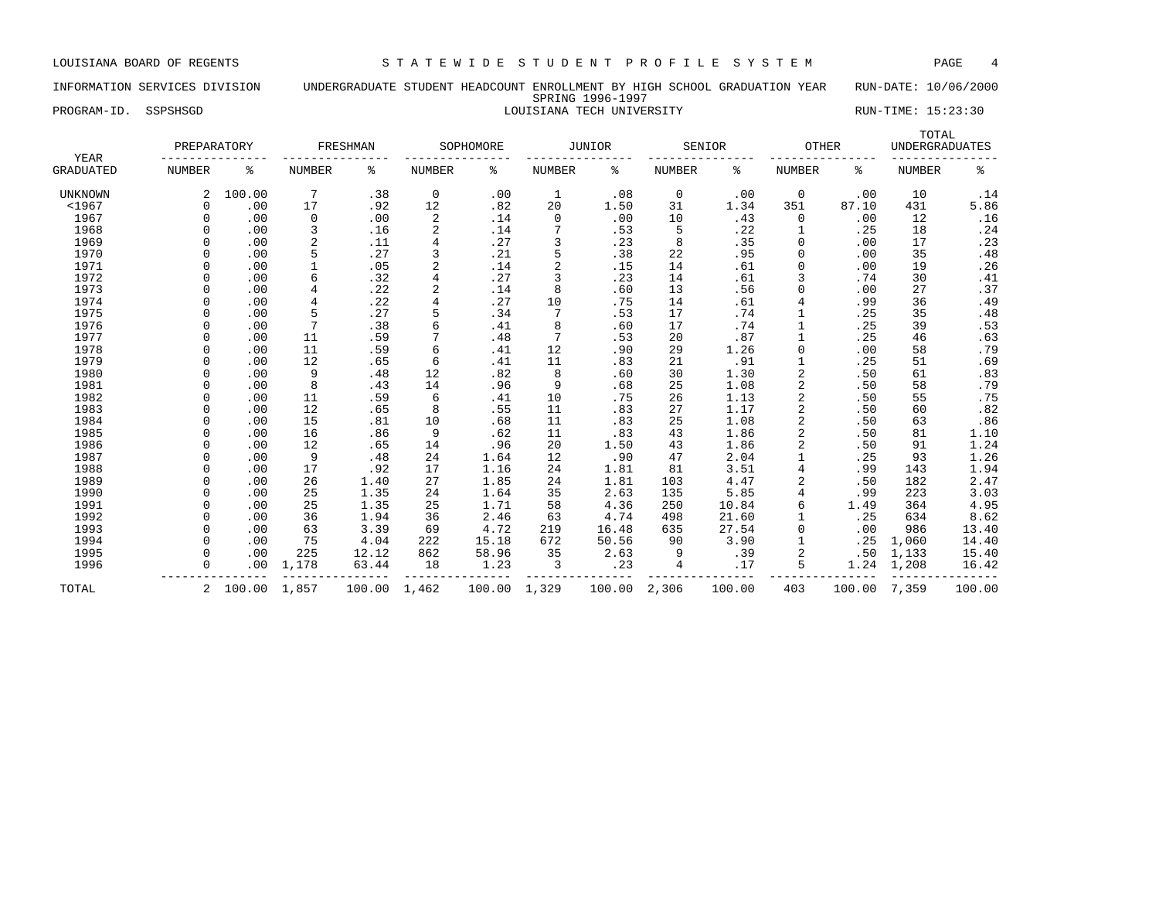# INFORMATION SERVICES DIVISION UNDERGRADUATE STUDENT HEADCOUNT ENROLLMENT BY HIGH SCHOOL GRADUATION YEAR RUN-DATE: 10/06/2000 SPRING 1996-1997 PROGRAM-ID. SSPSHSGD CONTROL STORIC CONTROLLERY CONTROLLERY RUN-TIME: 15:23:30

| YEAR             | PREPARATORY   |          |                | FRESHMAN |                | SOPHOMORE    |                | JUNIOR |               | SENIOR | OTHER          |        | TOTAL<br><b>UNDERGRADUATES</b> |        |
|------------------|---------------|----------|----------------|----------|----------------|--------------|----------------|--------|---------------|--------|----------------|--------|--------------------------------|--------|
| <b>GRADUATED</b> | <b>NUMBER</b> | ್ಠಿ      | <b>NUMBER</b>  | နွ       | <b>NUMBER</b>  | ៖            | <b>NUMBER</b>  | နွ     | <b>NUMBER</b> | ႜ      | <b>NUMBER</b>  | ి      | <b>NUMBER</b>                  | ి      |
| <b>UNKNOWN</b>   |               | 100.00   | 7              | .38      | $\mathbf 0$    | .00          | 1              | .08    | 0             | .00    | $\mathbf 0$    | .00    | 10                             | .14    |
| $1967$           | $\cap$        | .00      | 17             | .92      | 12             | .82          | 20             | 1.50   | 31            | 1.34   | 351            | 87.10  | 431                            | 5.86   |
| 1967             |               | .00      | 0              | .00      | 2              | .14          | 0              | .00    | 10            | .43    | 0              | .00    | 12                             | .16    |
| 1968             |               | .00      | 3              | .16      | 2              | .14          |                | .53    | 5             | .22    | 1              | .25    | 18                             | .24    |
| 1969             |               | .00      | 2              | .11      | 4              | .27          | 3              | .23    | 8             | .35    | 0              | .00    | 17                             | .23    |
| 1970             |               | .00      | 5              | .27      | 3              | .21          | 5              | .38    | 22            | .95    | 0              | .00    | 35                             | .48    |
| 1971             |               | .00      |                | .05      | $\overline{2}$ | .14          | $\overline{a}$ | .15    | 14            | .61    | $\mathbf 0$    | .00    | 19                             | .26    |
| 1972             |               | .00      | 6              | .32      | 4              | .27          |                | .23    | 14            | .61    | 3              | .74    | 30                             | .41    |
| 1973             |               | .00      | 4              | .22      | $\overline{2}$ | .14          | 8              | .60    | 13            | .56    | $\Omega$       | .00    | 27                             | .37    |
| 1974             |               | .00      | $\overline{4}$ | .22      | $\overline{4}$ | .27          | 10             | .75    | 14            | .61    | 4              | .99    | 36                             | .49    |
| 1975             |               | .00      | 5              | .27      | 5              | .34          | 7              | .53    | 17            | .74    |                | .25    | 35                             | .48    |
| 1976             |               | .00      | 7              | .38      | 6              | .41          | 8              | .60    | 17            | .74    |                | .25    | 39                             | .53    |
| 1977             |               | .00      | 11             | .59      | 7              | .48          | 7              | .53    | 20            | .87    | 1              | .25    | 46                             | .63    |
| 1978             |               | .00      | 11             | .59      | 6              | .41          | 12             | .90    | 29            | 1.26   | $\Omega$       | .00    | 58                             | .79    |
| 1979             |               | .00      | 12             | .65      | 6              | .41          | 11             | .83    | 21            | .91    | 1              | .25    | 51                             | .69    |
| 1980             |               | .00      | 9              | .48      | 12             | .82          | 8              | .60    | 30            | 1.30   | 2              | .50    | 61                             | .83    |
| 1981             |               | .00      | 8              | .43      | 14             | .96          | 9              | .68    | 25            | 1.08   | 2              | .50    | 58                             | .79    |
| 1982             |               | .00      | 11             | .59      | 6              | .41          | 10             | .75    | 26            | 1.13   | 2              | .50    | 55                             | .75    |
| 1983             |               | .00      | 12             | .65      | 8              | .55          | 11             | .83    | 27            | 1.17   | 2              | .50    | 60                             | .82    |
| 1984             |               | .00      | 15             | .81      | 10             | .68          | 11             | .83    | 25            | 1.08   | 2              | .50    | 63                             | .86    |
| 1985             |               | .00      | 16             | .86      | 9              | .62          | 11             | .83    | 43            | 1.86   | $\overline{2}$ | .50    | 81                             | 1.10   |
| 1986             |               | .00      | 12             | .65      | 14             | .96          | 20             | 1.50   | 43            | 1.86   | 2              | .50    | 91                             | 1.24   |
| 1987             |               | .00      | 9              | .48      | 24             | 1.64         | 12             | .90    | 47            | 2.04   |                | .25    | 93                             | 1.26   |
| 1988             |               | .00      | 17             | .92      | 17             | 1.16         | 24             | 1.81   | 81            | 3.51   | 4              | .99    | 143                            | 1.94   |
| 1989             |               | .00      | 26             | 1.40     | 27             | 1.85         | 24             | 1.81   | 103           | 4.47   | 2              | .50    | 182                            | 2.47   |
| 1990             |               | .00      | 25             | 1.35     | 24             | 1.64         | 35             | 2.63   | 135           | 5.85   | 4              | .99    | 223                            | 3.03   |
| 1991             | ∩             | .00      | 25             | 1.35     | 25             | 1.71         | 58             | 4.36   | 250           | 10.84  | 6              | 1.49   | 364                            | 4.95   |
| 1992             |               | .00      | 36             | 1.94     | 36             | 2.46         | 63             | 4.74   | 498           | 21.60  |                | .25    | 634                            | 8.62   |
| 1993             |               | .00      | 63             | 3.39     | 69             | 4.72         | 219            | 16.48  | 635           | 27.54  | $\mathbf 0$    | .00    | 986                            | 13.40  |
| 1994             |               | .00      | 75             | 4.04     | 222            | 15.18        | 672            | 50.56  | 90            | 3.90   |                | .25    | 1,060                          | 14.40  |
| 1995             |               | .00      | 225            | 12.12    | 862            | 58.96        | 35             | 2.63   | 9             | .39    | $\overline{a}$ | .50    | 1,133                          | 15.40  |
| 1996             | $\Omega$      | .00      | 1,178          | 63.44    | 18             | 1.23         | 3              | .23    | 4             | .17    | 5              | 1.24   | 1,208                          | 16.42  |
| TOTAL            |               | 2 100.00 | 1,857          | 100.00   | 1,462          | 100.00 1,329 |                | 100.00 | 2,306         | 100.00 | 403            | 100.00 | 7,359                          | 100.00 |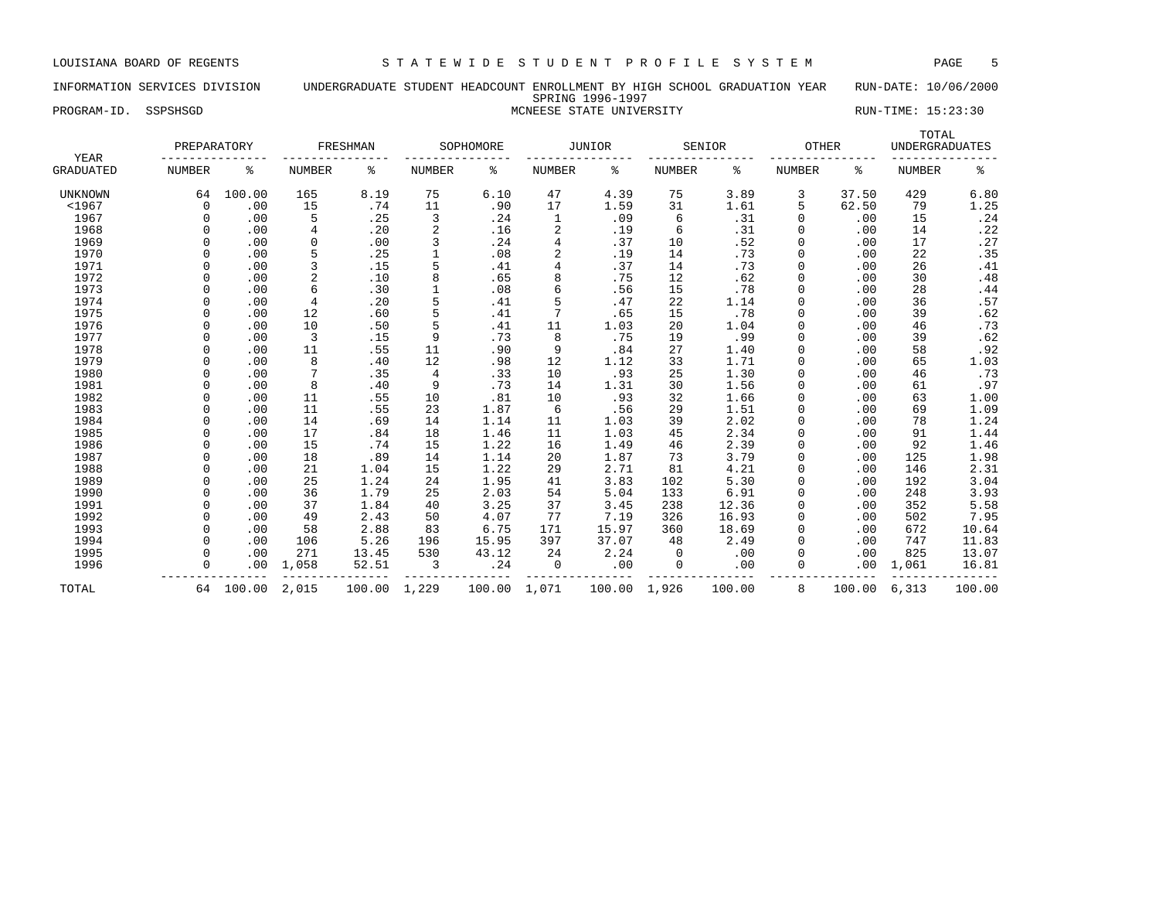# INFORMATION SERVICES DIVISION UNDERGRADUATE STUDENT HEADCOUNT ENROLLMENT BY HIGH SCHOOL GRADUATION YEAR RUN-DATE: 10/06/2000 SPRING 1996-1997 PROGRAM-ID. SSPSHSGD **EXECUTE STATE STATE STATE UNIVERSITY** THE RUN-TIME: 15:23:30

|                          | PREPARATORY |           |               | FRESHMAN |                | SOPHOMORE |                | <b>JUNIOR</b> |               | SENIOR | <b>OTHER</b>  |        | TOTAL<br><b>UNDERGRADUATES</b> |        |
|--------------------------|-------------|-----------|---------------|----------|----------------|-----------|----------------|---------------|---------------|--------|---------------|--------|--------------------------------|--------|
| YEAR<br><b>GRADUATED</b> | NUMBER      | န့        | <b>NUMBER</b> | ႜ        | NUMBER         | ႜ         | NUMBER         | ႜ             | <b>NUMBER</b> | ႜ      | <b>NUMBER</b> | ႜ      | <b>NUMBER</b>                  | နွ     |
| <b>UNKNOWN</b>           | 64          | 100.00    | 165           | 8.19     | 75             | 6.10      | 47             | 4.39          | 75            | 3.89   | 3             | 37.50  | 429                            | 6.80   |
| $<$ 1967                 | $\Omega$    | .00       | 15            | .74      | 11             | .90       | 17             | 1.59          | 31            | 1.61   | 5             | 62.50  | 79                             | 1.25   |
| 1967                     | $\Omega$    | .00       | 5             | .25      | 3              | .24       | 1              | .09           | 6             | .31    | $\Omega$      | .00    | 15                             | .24    |
| 1968                     | $\Omega$    | .00       | 4             | .20      | $\overline{2}$ | .16       | 2              | .19           | 6             | .31    |               | .00    | 14                             | .22    |
| 1969                     | $\Omega$    | .00       | 0             | .00      | 3              | .24       | $\overline{4}$ | .37           | 10            | .52    | $\Omega$      | .00    | 17                             | .27    |
| 1970                     |             | .00       | 5             | .25      |                | .08       | $\sqrt{2}$     | .19           | 14            | .73    | $\Omega$      | .00    | 22                             | .35    |
| 1971                     |             | .00       | 3             | .15      | 5              | .41       | 4              | .37           | 14            | .73    | $\Omega$      | .00    | 26                             | .41    |
| 1972                     |             | .00       | 2             | .10      | 8              | .65       | 8              | .75           | 12            | .62    |               | .00    | 30                             | .48    |
| 1973                     |             | .00       | 6             | .30      |                | .08       | 6              | .56           | 15            | .78    |               | .00    | 28                             | .44    |
| 1974                     | $\Omega$    | .00       | 4             | .20      | 5              | .41       | 5              | .47           | 22            | 1.14   |               | .00    | 36                             | .57    |
| 1975                     | $\cap$      | .00       | 12            | .60      | 5              | .41       |                | .65           | 15            | .78    | $\Omega$      | .00    | 39                             | .62    |
| 1976                     | $\cap$      | .00       | 10            | .50      | 5              | .41       | 11             | 1.03          | 20            | 1.04   | $\Omega$      | .00    | 46                             | .73    |
| 1977                     | $\cap$      | .00       | 3             | .15      | 9              | .73       | 8              | .75           | 19            | .99    | O             | .00    | 39                             | .62    |
| 1978                     | $\Omega$    | .00       | 11            | .55      | 11             | .90       | 9              | .84           | 27            | 1.40   |               | .00    | 58                             | .92    |
| 1979                     | $\Omega$    | .00       | 8             | .40      | 12             | .98       | 12             | 1.12          | 33            | 1.71   |               | .00    | 65                             | 1.03   |
| 1980                     | $\cap$      | .00       | 7             | .35      | $\overline{4}$ | .33       | 10             | .93           | 25            | 1.30   | $\Omega$      | .00    | 46                             | .73    |
| 1981                     | $\Omega$    | .00       | 8             | .40      | 9              | .73       | 14             | 1.31          | 30            | 1.56   | $\Omega$      | .00    | 61                             | .97    |
| 1982                     | $\Omega$    | .00       | 11            | .55      | 10             | .81       | 10             | .93           | 32            | 1.66   | $\Omega$      | .00    | 63                             | 1.00   |
| 1983                     |             | .00       | 11            | .55      | 23             | 1.87      | 6              | .56           | 29            | 1.51   | O             | .00    | 69                             | 1.09   |
| 1984                     | $\Omega$    | .00       | 14            | .69      | 14             | 1.14      | 11             | 1.03          | 39            | 2.02   |               | .00    | 78                             | 1.24   |
| 1985                     | $\Omega$    | .00       | 17            | .84      | 18             | 1.46      | 11             | 1.03          | 45            | 2.34   | $\Omega$      | .00    | 91                             | 1.44   |
| 1986                     | $\Omega$    | .00       | 15            | .74      | 15             | 1.22      | 16             | 1.49          | 46            | 2.39   | $\Omega$      | .00    | 92                             | 1.46   |
| 1987                     | $\Omega$    | .00       | 18            | .89      | 14             | 1.14      | 20             | 1.87          | 73            | 3.79   | $\Omega$      | .00    | 125                            | 1.98   |
| 1988                     | $\Omega$    | .00       | 21            | 1.04     | 15             | 1.22      | 29             | 2.71          | 81            | 4.21   | $\Omega$      | .00    | 146                            | 2.31   |
| 1989                     | $\Omega$    | .00       | 25            | 1.24     | 24             | 1.95      | 41             | 3.83          | 102           | 5.30   |               | .00    | 192                            | 3.04   |
| 1990                     | $\Omega$    | .00       | 36            | 1.79     | 25             | 2.03      | 54             | 5.04          | 133           | 6.91   |               | .00    | 248                            | 3.93   |
| 1991                     | $\Omega$    | .00       | 37            | 1.84     | 40             | 3.25      | 37             | 3.45          | 238           | 12.36  | $\Omega$      | .00    | 352                            | 5.58   |
| 1992                     |             | .00       | 49            | 2.43     | 50             | 4.07      | 77             | 7.19          | 326           | 16.93  | $\Omega$      | .00    | 502                            | 7.95   |
| 1993                     |             | .00       | 58            | 2.88     | 83             | 6.75      | 171            | 15.97         | 360           | 18.69  |               | .00    | 672                            | 10.64  |
| 1994                     | $\Omega$    | .00       | 106           | 5.26     | 196            | 15.95     | 397            | 37.07         | 48            | 2.49   |               | .00    | 747                            | 11.83  |
| 1995                     | $\Omega$    | .00       | 271           | 13.45    | 530            | 43.12     | 24             | 2.24          | $\Omega$      | .00    |               | .00    | 825                            | 13.07  |
| 1996                     | $\Omega$    | .00       | 1,058         | 52.51    | 3              | .24       | 0              | .00           | 0             | .00    |               | .00    | 1,061                          | 16.81  |
| TOTAL                    |             | 64 100.00 | 2,015         | 100.00   | 1,229          | 100.00    | 1,071          | 100.00        | 1,926         | 100.00 | 8             | 100.00 | 6,313                          | 100.00 |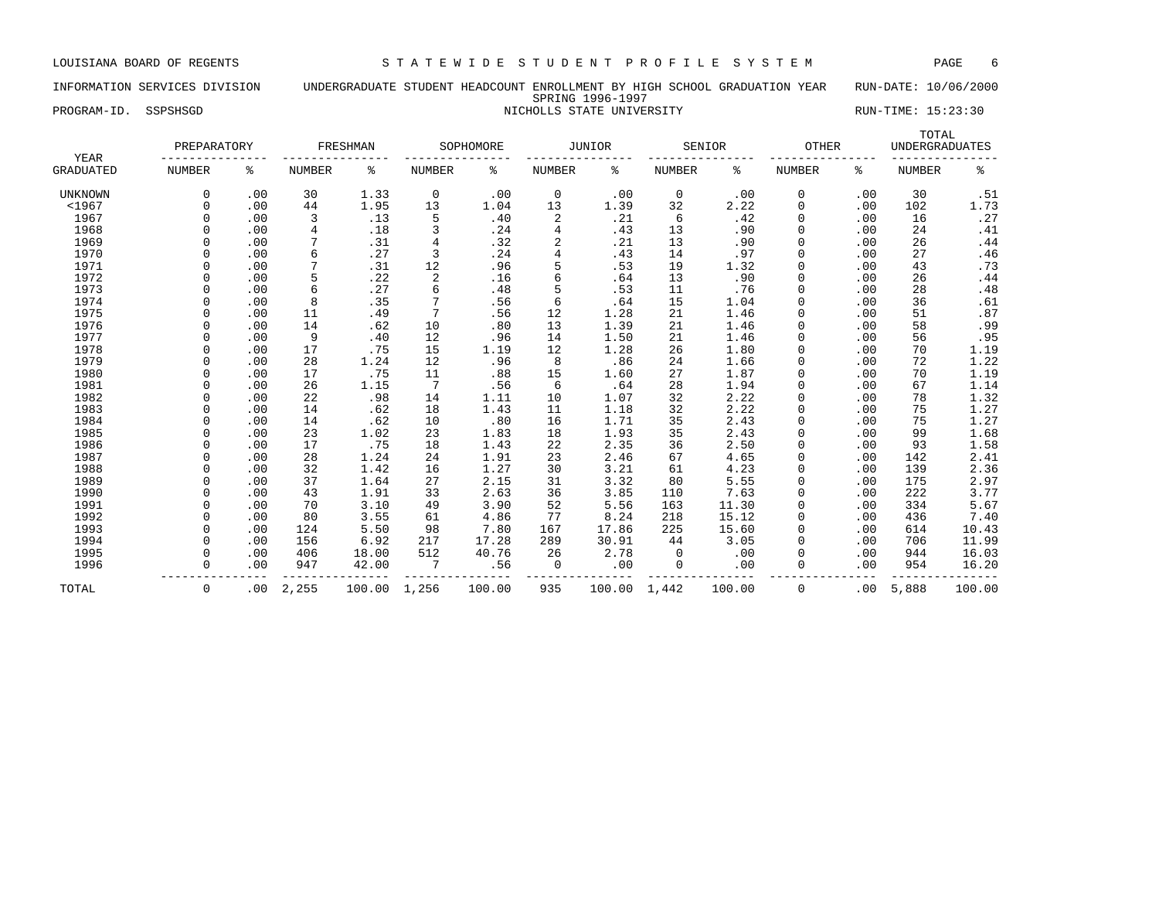# INFORMATION SERVICES DIVISION UNDERGRADUATE STUDENT HEADCOUNT ENROLLMENT BY HIGH SCHOOL GRADUATION YEAR RUN-DATE: 10/06/2000 SPRING 1996-1997 PROGRAM-ID. SSPSHSGD NICHOLLS STATE UNIVERSITY NICHOLLS STATE UNIVERSITY RUN-TIME: 15:23:30

| YEAR             | PREPARATORY   |     |               | FRESHMAN |                         | SOPHOMORE |               | JUNIOR |               | SENIOR | <b>OTHER</b>  |     | TOTAL<br><b>UNDERGRADUATES</b> |        |
|------------------|---------------|-----|---------------|----------|-------------------------|-----------|---------------|--------|---------------|--------|---------------|-----|--------------------------------|--------|
| <b>GRADUATED</b> | <b>NUMBER</b> | န့  | <b>NUMBER</b> | န့       | <b>NUMBER</b>           | ႜ         | <b>NUMBER</b> | နွ     | <b>NUMBER</b> | ႜ      | <b>NUMBER</b> | ႜ   | <b>NUMBER</b>                  | ್ಠಿ    |
| <b>UNKNOWN</b>   | $\Omega$      | .00 | 30            | 1.33     | 0                       | .00       | 0             | .00    | 0             | .00    | 0             | .00 | 30                             | .51    |
| $1967$           | $\Omega$      | .00 | 44            | 1.95     | 13                      | 1.04      | 13            | 1.39   | 32            | 2.22   | $\Omega$      | .00 | 102                            | 1.73   |
| 1967             | $\Omega$      | .00 | 3             | .13      | 5                       | .40       | 2             | .21    | 6             | .42    | $\Omega$      | .00 | 16                             | .27    |
| 1968             | $\Omega$      | .00 | 4             | .18      | 3                       | .24       | 4             | .43    | 13            | .90    | 0             | .00 | 24                             | .41    |
| 1969             |               | .00 |               | .31      | $\overline{4}$          | .32       | 2             | .21    | 13            | .90    | 0             | .00 | 26                             | .44    |
| 1970             | $\Omega$      | .00 | 6             | .27      | 3                       | .24       |               | .43    | 14            | .97    | 0             | .00 | 27                             | .46    |
| 1971             | $\Omega$      | .00 | 7             | .31      | 12                      | .96       | 5             | .53    | 19            | 1.32   | 0             | .00 | 43                             | .73    |
| 1972             |               | .00 | 5             | .22      | $\overline{\mathbf{c}}$ | .16       | 6             | .64    | 13            | .90    | 0             | .00 | 26                             | .44    |
| 1973             |               | .00 | 6             | .27      | 6                       | .48       | 5             | .53    | 11            | .76    | 0             | .00 | 28                             | .48    |
| 1974             |               | .00 | 8             | .35      | 7                       | .56       | 6             | .64    | 15            | 1.04   | U             | .00 | 36                             | .61    |
| 1975             |               | .00 | 11            | .49      | 7                       | .56       | 12            | 1.28   | 21            | 1.46   | 0             | .00 | 51                             | .87    |
| 1976             |               | .00 | 14            | .62      | 10                      | .80       | 13            | 1.39   | 21            | 1.46   | O             | .00 | 58                             | .99    |
| 1977             | $\cap$        | .00 | 9             | .40      | 12                      | .96       | 14            | 1.50   | 21            | 1.46   | U             | .00 | 56                             | .95    |
| 1978             | $\cap$        | .00 | 17            | .75      | 15                      | 1.19      | 12            | 1.28   | 26            | 1.80   | U             | .00 | 70                             | 1.19   |
| 1979             | $\Omega$      | .00 | 28            | 1.24     | 12                      | .96       | 8             | .86    | 24            | 1.66   | U             | .00 | 72                             | 1.22   |
| 1980             | $\Omega$      | .00 | 17            | .75      | 11                      | .88       | 15            | 1.60   | 27            | 1.87   | U             | .00 | 70                             | 1.19   |
| 1981             | $\Omega$      | .00 | 26            | 1.15     | 7                       | .56       | 6             | .64    | 28            | 1.94   | 0             | .00 | 67                             | 1.14   |
| 1982             | $\Omega$      | .00 | 22            | .98      | 14                      | 1.11      | 10            | 1.07   | 32            | 2.22   | 0             | .00 | 78                             | 1.32   |
| 1983             | $\Omega$      | .00 | 14            | .62      | 18                      | 1.43      | 11            | 1.18   | 32            | 2.22   | 0             | .00 | 75                             | 1.27   |
| 1984             | $\Omega$      | .00 | 14            | .62      | 10                      | .80       | 16            | 1.71   | 35            | 2.43   | 0             | .00 | 75                             | 1.27   |
| 1985             | $\Omega$      | .00 | 23            | 1.02     | 23                      | 1.83      | 18            | 1.93   | 35            | 2.43   | 0             | .00 | 99                             | 1.68   |
| 1986             | $\Omega$      | .00 | 17            | .75      | 18                      | 1.43      | 22            | 2.35   | 36            | 2.50   | 0             | .00 | 93                             | 1.58   |
| 1987             |               | .00 | 28            | 1.24     | 24                      | 1.91      | 23            | 2.46   | 67            | 4.65   | 0             | .00 | 142                            | 2.41   |
| 1988             | $\Omega$      | .00 | 32            | 1.42     | 16                      | 1.27      | 30            | 3.21   | 61            | 4.23   | 0             | .00 | 139                            | 2.36   |
| 1989             | $\Omega$      | .00 | 37            | 1.64     | 27                      | 2.15      | 31            | 3.32   | 80            | 5.55   | 0             | .00 | 175                            | 2.97   |
| 1990             | $\Omega$      | .00 | 43            | 1.91     | 33                      | 2.63      | 36            | 3.85   | 110           | 7.63   | U             | .00 | 222                            | 3.77   |
| 1991             | $\Omega$      | .00 | 70            | 3.10     | 49                      | 3.90      | 52            | 5.56   | 163           | 11.30  | U             | .00 | 334                            | 5.67   |
| 1992             | $\Omega$      | .00 | 80            | 3.55     | 61                      | 4.86      | 77            | 8.24   | 218           | 15.12  | 0             | .00 | 436                            | 7.40   |
| 1993             | $\Omega$      | .00 | 124           | 5.50     | 98                      | 7.80      | 167           | 17.86  | 225           | 15.60  | U             | .00 | 614                            | 10.43  |
| 1994             | $\Omega$      | .00 | 156           | 6.92     | 217                     | 17.28     | 289           | 30.91  | 44            | 3.05   | 0             | .00 | 706                            | 11.99  |
| 1995             | $\Omega$      | .00 | 406           | 18.00    | 512                     | 40.76     | 26            | 2.78   | 0             | .00    | 0             | .00 | 944                            | 16.03  |
| 1996             | $\Omega$      | .00 | 947           | 42.00    | 7                       | .56       | 0             | .00    | 0             | .00    | 0             | .00 | 954                            | 16.20  |
| TOTAL            | 0             | .00 | 2,255         | 100.00   | 1,256                   | 100.00    | 935           | 100.00 | 1,442         | 100.00 | 0             | .00 | 5,888                          | 100.00 |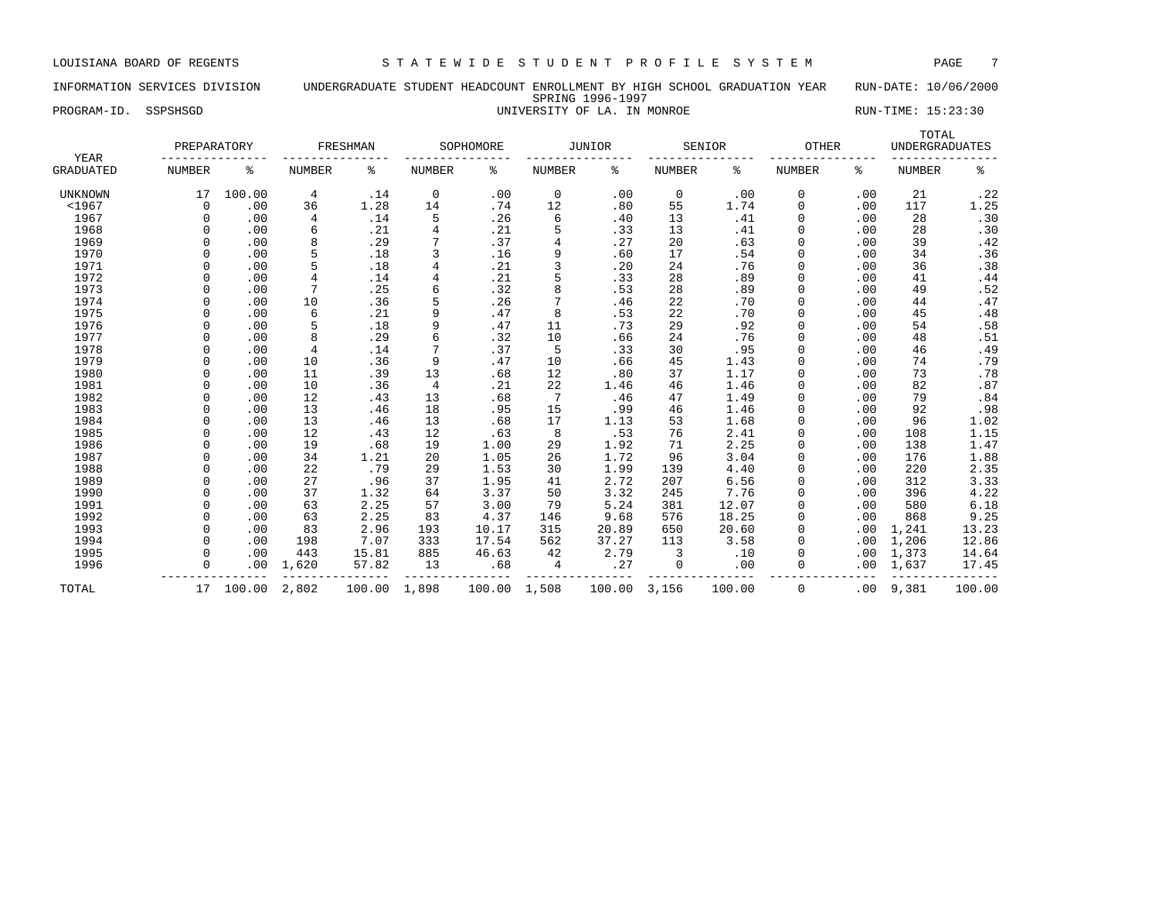# INFORMATION SERVICES DIVISION UNDERGRADUATE STUDENT HEADCOUNT ENROLLMENT BY HIGH SCHOOL GRADUATION YEAR RUN-DATE: 10/06/2000 SPRING 1996-1997 PROGRAM-ID. SSPSHSGD **EXECUTE:** 15:23:30

| YEAR             | PREPARATORY   |        |                | FRESHMAN |                | SOPHOMORE |             | <b>JUNIOR</b> |               | SENIOR | OTHER    |     | TOTAL<br><b>UNDERGRADUATES</b> |                |
|------------------|---------------|--------|----------------|----------|----------------|-----------|-------------|---------------|---------------|--------|----------|-----|--------------------------------|----------------|
| <b>GRADUATED</b> | <b>NUMBER</b> | ి      | <b>NUMBER</b>  | န့       | NUMBER         | ి         | NUMBER      | ៖             | <b>NUMBER</b> | ႜ      | NUMBER   | နွ  | NUMBER                         | ႜ              |
| <b>UNKNOWN</b>   | 17            | 100.00 | 4              | .14      | $\mathbf 0$    | .00       | $\mathbf 0$ | .00           | $\mathbf 0$   | .00    | 0        | .00 | 21                             | .22            |
| $<$ 1967         | $\Omega$      | .00    | 36             | 1.28     | 14             | .74       | 12          | .80           | 55            | 1.74   | 0        | .00 | 117                            | 1.25           |
| 1967             | $\Omega$      | .00    | 4              | .14      | 5              | .26       | 6           | .40           | 13            | .41    | 0        | .00 | 28                             | .30            |
| 1968             | $\Omega$      | .00    | 6              | .21      | 4              | .21       | 5           | .33           | 13            | .41    | 0        | .00 | 28                             | .30            |
| 1969             | $\Omega$      | .00    | 8              | .29      | 7              | .37       | 4           | .27           | 20            | .63    | 0        | .00 | 39                             | .42            |
| 1970             |               | .00    | 5              | .18      | 3              | .16       | 9           | .60           | 17            | .54    | 0        | .00 | 34                             | .36            |
| 1971             |               | .00    | 5              | .18      | $\overline{4}$ | .21       | 3           | .20           | 24            | .76    | $\Omega$ | .00 | 36                             | .38            |
| 1972             | $\Omega$      | .00    | 4              | .14      | 4              | .21       | 5           | .33           | 28            | .89    | 0        | .00 | 41                             | .44            |
| 1973             | $\Omega$      | .00    | 7              | .25      | 6              | .32       | 8           | .53           | 28            | .89    | $\Omega$ | .00 | 49                             | .52            |
| 1974             | $\Omega$      | .00    | 10             | .36      | 5              | .26       | 7           | .46           | 22            | .70    | $\Omega$ | .00 | 44                             | .47            |
| 1975             | $\Omega$      | .00    | 6              | .21      | 9              | .47       | 8           | .53           | 22            | .70    | $\Omega$ | .00 | 45                             | .48            |
| 1976             | $\Omega$      | .00    | 5              | .18      | 9              | .47       | 11          | .73           | 29            | .92    | 0        | .00 | 54                             | .58            |
| 1977             | $\Omega$      | .00    | 8              | .29      | 6              | .32       | 10          | .66           | 24            | .76    | 0        | .00 | 48                             | .51            |
| 1978             | $\Omega$      | .00    | $\overline{4}$ | .14      | 7              | .37       | 5           | .33           | 30            | .95    | 0        | .00 | 46                             | .49            |
| 1979             | $\Omega$      | .00    | 10             | .36      | 9              | .47       | 10          | .66           | 45            | 1.43   | 0        | .00 | 74                             | .79            |
| 1980             |               | .00    | 11             | .39      | 13             | .68       | 12          | .80           | 37            | 1.17   | 0        | .00 | 73                             | .78            |
| 1981             | $\Omega$      | .00    | 10             | .36      | $\overline{4}$ | .21       | 22          | 1.46          | 46            | 1.46   | $\Omega$ | .00 | 82                             | .87            |
| 1982             | $\Omega$      | .00    | 12             | .43      | 13             | .68       | 7           | .46           | 47            | 1.49   | $\Omega$ | .00 | 79                             | .84            |
| 1983             | $\cap$        | .00    | 13             | .46      | 18             | .95       | 15          | .99           | 46            | 1.46   | $\Omega$ | .00 | 92                             | .98            |
| 1984             | $\Omega$      | .00    | 13             | .46      | 13             | .68       | 17          | 1.13          | 53            | 1.68   | 0        | .00 | 96                             | 1.02           |
| 1985             | $\Omega$      | .00    | 12             | .43      | 12             | .63       | 8           | .53           | 76            | 2.41   | 0        | .00 | 108                            | 1.15           |
| 1986             | $\Omega$      | .00    | 19             | .68      | 19             | 1.00      | 29          | 1.92          | 71            | 2.25   | 0        | .00 | 138                            | 1.47           |
| 1987             | $\Omega$      | .00    | 34             | 1.21     | 20             | 1.05      | 26          | 1.72          | 96            | 3.04   | 0        | .00 | 176                            |                |
| 1988             | $\Omega$      | .00    | 22             | .79      | 29             | 1.53      | 30          | 1.99          | 139           | 4.40   | 0        | .00 | 220                            | $1.88$<br>2.35 |
| 1989             | $\Omega$      | .00    | 27             | .96      | 37             | 1.95      | 41          | 2.72          | 207           | 6.56   | 0        | .00 | 312                            | 3.33           |
| 1990             |               | .00    | 37             | 1.32     | 64             | 3.37      | 50          | 3.32          | 245           | 7.76   | 0        | .00 | 396                            | 4.22           |
| 1991             |               | .00    | 63             | 2.25     | 57             | 3.00      | 79          | 5.24          | 381           | 12.07  | $\Omega$ | .00 | 580                            | 6.18           |
| 1992             | $\Omega$      | .00    | 63             | 2.25     | 83             | 4.37      | 146         | 9.68          | 576           | 18.25  | $\Omega$ | .00 | 868                            | 9.25           |
| 1993             | $\Omega$      | .00    | 83             | 2.96     | 193            | 10.17     | 315         | 20.89         | 650           | 20.60  | $\Omega$ | .00 | 1,241                          | 13.23          |
| 1994             | $\Omega$      | .00    | 198            | 7.07     | 333            | 17.54     | 562         | 37.27         | 113           | 3.58   | $\Omega$ | .00 | 1,206                          | 12.86          |
| 1995             | $\Omega$      | .00    | 443            | 15.81    | 885            | 46.63     | 42          | 2.79          | 3             | .10    | 0        | .00 | 1,373                          | 14.64          |
| 1996             | $\Omega$      | .00    | 1,620          | 57.82    | 13             | .68       | 4           | .27           | 0             | .00    | 0        | .00 | 1,637                          | 17.45          |
| TOTAL            | 17            | 100.00 | 2,802          | 100.00   | 1,898          | 100.00    | 1,508       | 100.00        | 3,156         | 100.00 | 0        | .00 | 9,381                          | 100.00         |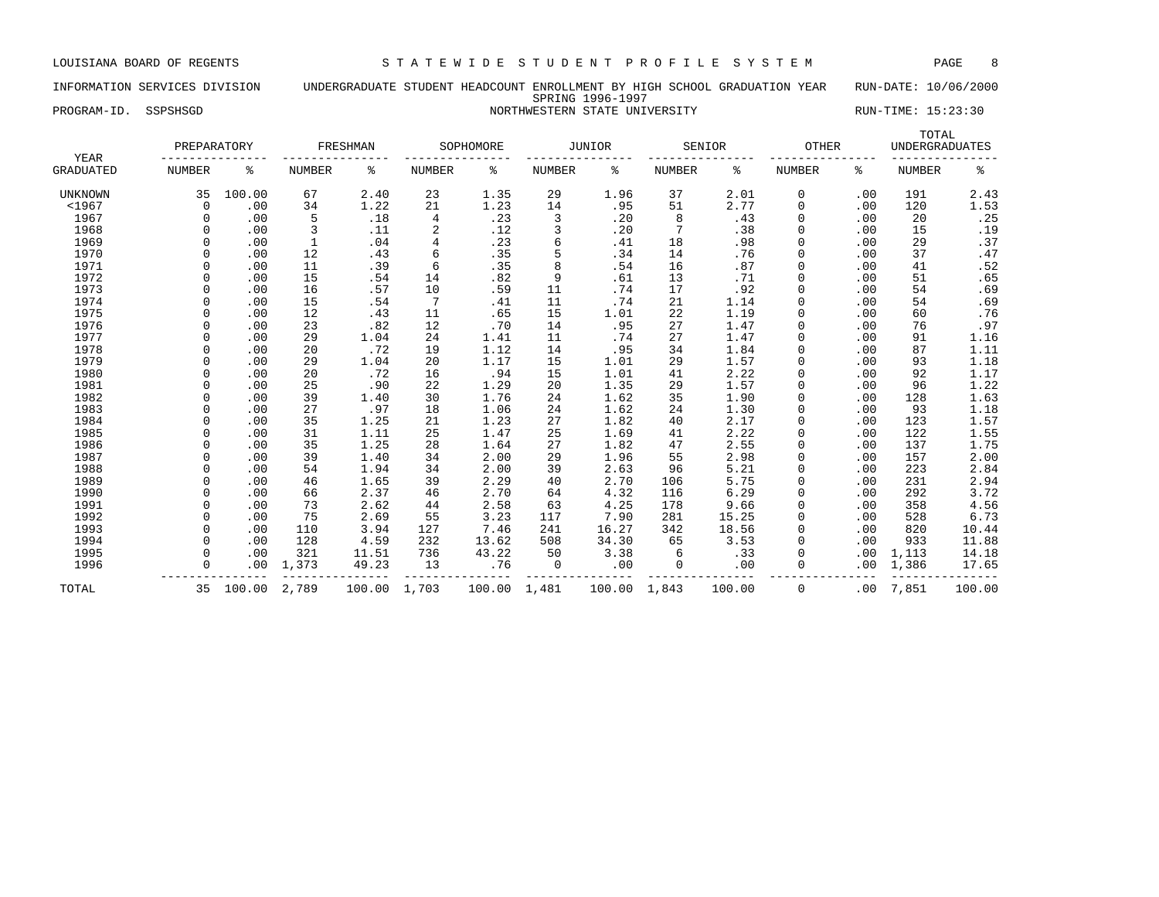# INFORMATION SERVICES DIVISION UNDERGRADUATE STUDENT HEADCOUNT ENROLLMENT BY HIGH SCHOOL GRADUATION YEAR RUN-DATE: 10/06/2000 SPRING 1996-1997

PROGRAM-ID. SSPSHSGD NORTHWESTERN STATE UNIVERSITY NORTHWESTERN STATE UNIVERSITY

| YEAR             | PREPARATORY   |        |               | FRESHMAN     |                | SOPHOMORE |        | <b>JUNIOR</b> |               | SENIOR | OTHER         |     | TOTAL<br><b>UNDERGRADUATES</b> |                  |
|------------------|---------------|--------|---------------|--------------|----------------|-----------|--------|---------------|---------------|--------|---------------|-----|--------------------------------|------------------|
| <b>GRADUATED</b> | <b>NUMBER</b> | နွ     | <b>NUMBER</b> | ႜ            | NUMBER         | န့        | NUMBER | ႜ             | <b>NUMBER</b> | ႜ      | <b>NUMBER</b> | ႜ   | <b>NUMBER</b>                  | ್ಠಿ              |
| UNKNOWN          | 35            | 100.00 | 67            | 2.40         | 23             | 1.35      | 29     | 1.96          | 37            | 2.01   | 0             | .00 | 191                            | 2.43             |
| $<$ 1967         | 0             | .00    | 34            | 1.22         | 21             | 1.23      | 14     | .95           | 51            | 2.77   | 0             | .00 | 120                            | 1.53             |
| 1967             | $\Omega$      | .00    | 5             | .18          | 4              | .23       | 3      | .20           | 8             | .43    | 0             | .00 | 20                             | .25              |
| 1968             | $\Omega$      | .00    | 3             | .11          | 2              | .12       | 3      | .20           |               | .38    | $\Omega$      | .00 | 15                             | .19              |
| 1969             | $\Omega$      | .00    | $\mathbf{1}$  | .04          | 4              | .23       | 6      | .41           | 18            | .98    | $\Omega$      | .00 | 29                             | .37              |
| 1970             | $\Omega$      | .00    | 12            | .43          | 6              | .35       | 5      | .34           | 14            | .76    | $\Omega$      | .00 | 37                             | .47              |
| 1971             | $\Omega$      | .00    | 11            | .39          | 6              | .35       | 8      | .54           | 16            | .87    | $\Omega$      | .00 | 41                             | .52              |
| 1972             | $\Omega$      | .00    | 15            | .54          | 14             | .82       | 9      | .61           | 13            | .71    | 0             | .00 | 51                             | .65              |
| 1973             |               | .00    | 16            | .57          | 10             | .59       | 11     | .74           | 17            | .92    | 0             | .00 | 54                             | .69              |
| 1974             |               | .00    | 15            | .54          | $\overline{7}$ | .41       | 11     | .74           | 21            | 1.14   | 0             | .00 | 54                             | .69              |
| 1975             |               | .00    | 12            | .43          | 11             | .65       | 15     | 1.01          | 22            | 1.19   | 0             | .00 | 60                             | .76              |
| 1976             |               | .00    | 23            | .82          | 12             | .70       | 14     | .95           | 27            | 1.47   | 0             | .00 | 76                             | .97              |
| 1977             |               | .00    | 29            | 1.04         | 24             | 1.41      | 11     | .74           | 27            | 1.47   | 0             | .00 | 91                             | 1.16             |
| 1978             | $\cap$        | .00    | 20            | .72          | 19             | 1.12      | 14     | .95           | 34            | 1.84   | $\Omega$      | .00 | 87                             | 1.11             |
| 1979             | $\Omega$      | .00    | 29            | 1.04         | 20             | 1.17      | 15     | 1.01          | 29            | 1.57   | $\Omega$      | .00 | 93                             | 1.18             |
| 1980             | $\Omega$      | .00    | 20            | .72          | 16             | .94       | 15     | 1.01          | 41            | 2.22   | $\Omega$      | .00 | 92                             | 1.17             |
| 1981             | $\Omega$      | .00    | 25            | .90          | 22             | 1.29      | 20     | 1.35          | 29            | 1.57   | 0             | .00 | 96                             | 1.22             |
| 1982             | 0             | .00    | 39            | 1.40         | 30             | 1.76      | 24     | 1.62          | 35            | 1.90   | 0             | .00 | 128                            | 1.63             |
| 1983             |               | .00    | 27            | .97          | 18             | 1.06      | 24     | 1.62          | 24            | 1.30   | 0             | .00 | 93                             | $1.18$<br>$1.57$ |
| 1984             |               | .00    | 35            | 1.25         | 21             | 1.23      | 27     | 1.82          | 40            | 2.17   | $\Omega$      | .00 | 123                            |                  |
| 1985             |               | .00    | 31            | 1.11         | 25             | 1.47      | 25     | 1.69          | 41            | 2.22   | 0             | .00 | 122                            | 1.55             |
| 1986             |               | .00    | 35            | 1.25         | 28             | 1.64      | 27     | 1.82          | 47            | 2.55   | $\Omega$      | .00 | 137                            | 1.75             |
| 1987             |               | .00    | 39            | 1.40         | 34             | 2.00      | 29     | 1.96          | 55            | 2.98   | $\Omega$      | .00 | 157                            | 2.00             |
| 1988             | $\Omega$      | .00    | 54            | 1.94         | 34             | 2.00      | 39     | 2.63          | 96            | 5.21   | $\Omega$      | .00 | 223                            | 2.84             |
| 1989             | $\Omega$      | .00    | 46            | 1.65         | 39             | 2.29      | 40     | 2.70          | 106           | 5.75   | $\Omega$      | .00 | 231                            | 2.94             |
| 1990             | $\Omega$      | .00    | 66            | 2.37         | 46             | 2.70      | 64     | 4.32          | 116           | 6.29   | $\Omega$      | .00 | 292                            | 3.72             |
| 1991             | O             | .00    | 73            | 2.62         | 44             | 2.58      | 63     | 4.25          | 178           | 9.66   | 0             | .00 | 358                            | 4.56             |
| 1992             |               | .00    | 75            | 2.69         | 55             | 3.23      | 117    | 7.90          | 281           | 15.25  | 0             | .00 | 528                            | 6.73             |
| 1993             |               | .00    | 110           | 3.94         | 127            | 7.46      | 241    | 16.27         | 342           | 18.56  | 0             | .00 | 820                            | 10.44            |
| 1994             |               | .00    | 128           | 4.59         | 232            | 13.62     | 508    | 34.30         | 65            | 3.53   | $\Omega$      | .00 | 933                            | 11.88            |
| 1995             |               | .00    | 321           | 11.51        | 736            | 43.22     | 50     | 3.38          | 6             | .33    | $\Omega$      | .00 | 1,113                          | 14.18            |
| 1996             | $\Omega$      | .00    | 1,373         | 49.23        | 13             | .76       | 0      | .00           | 0             | .00    | 0             | .00 | 1,386                          | 17.65            |
| TOTAL            | 35            | 100.00 | 2,789         | 100.00 1,703 |                | 100.00    | 1,481  | 100.00        | 1,843         | 100.00 | 0             | .00 | 7,851                          | 100.00           |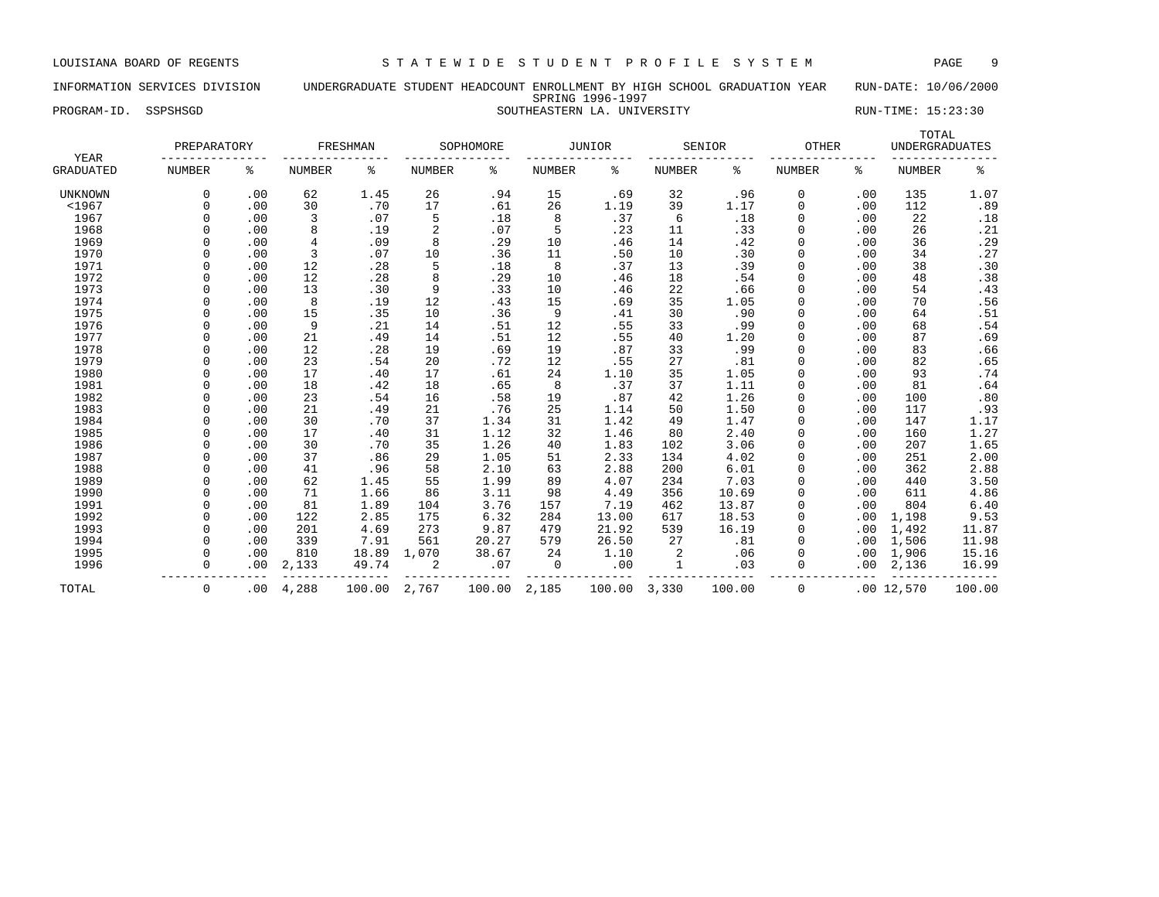# INFORMATION SERVICES DIVISION UNDERGRADUATE STUDENT HEADCOUNT ENROLLMENT BY HIGH SCHOOL GRADUATION YEAR RUN-DATE: 10/06/2000 SPRING 1996-1997 PROGRAM-ID. SSPSHSGD SOUTHEASTERN LA. UNIVERSITY RUN-TIME: 15:23:30

| YEAR             | PREPARATORY   |     |                | FRESHMAN |                | SOPHOMORE |               | JUNIOR |               | SENIOR | <b>OTHER</b>  |     | TOTAL<br><b>UNDERGRADUATES</b> |        |
|------------------|---------------|-----|----------------|----------|----------------|-----------|---------------|--------|---------------|--------|---------------|-----|--------------------------------|--------|
| <b>GRADUATED</b> | <b>NUMBER</b> | နွ  | <b>NUMBER</b>  | ి        | <b>NUMBER</b>  | နွ        | <b>NUMBER</b> | နွ     | <b>NUMBER</b> | ႜ      | <b>NUMBER</b> | ႜ   | <b>NUMBER</b>                  | နွ     |
| <b>UNKNOWN</b>   | $\Omega$      | .00 | 62             | 1.45     | 26             | .94       | 15            | .69    | 32            | .96    | 0             | .00 | 135                            | 1.07   |
| $<$ 1967         | $\Omega$      | .00 | 30             | .70      | 17             | .61       | 26            | 1.19   | 39            | 1.17   | $\Omega$      | .00 | 112                            | .89    |
| 1967             |               | .00 | 3              | .07      | 5              | .18       | 8             | .37    | 6             | .18    | $\Omega$      | .00 | 22                             | .18    |
| 1968             |               | .00 | 8              | .19      | $\overline{c}$ | .07       | 5             | .23    | 11            | .33    |               | .00 | 26                             | .21    |
| 1969             |               | .00 | $\overline{4}$ | .09      | 8              | .29       | 10            | .46    | 14            | .42    | $\Omega$      | .00 | 36                             | .29    |
| 1970             |               | .00 | 3              | .07      | 10             | .36       | 11            | .50    | 10            | .30    | $\Omega$      | .00 | 34                             | .27    |
| 1971             |               | .00 | 12             | .28      | 5              | .18       | 8             | .37    | 13            | .39    | $\Omega$      | .00 | 38                             | .30    |
| 1972             |               | .00 | 12             | .28      | 8              | .29       | 10            | .46    | 18            | .54    | $\Omega$      | .00 | 48                             | .38    |
| 1973             |               | .00 | 13             | .30      | 9              | .33       | 10            | .46    | 22            | .66    |               | .00 | 54                             | .43    |
| 1974             |               | .00 | 8              | .19      | 12             | .43       | 15            | .69    | 35            | 1.05   |               | .00 | 70                             | .56    |
| 1975             | $\Omega$      | .00 | 15             | .35      | 10             | .36       | 9             | .41    | 30            | .90    | $\Omega$      | .00 | 64                             | .51    |
| 1976             |               | .00 | 9              | .21      | 14             | .51       | 12            | .55    | 33            | .99    | $\Omega$      | .00 | 68                             | .54    |
| 1977             | $\Omega$      | .00 | 21             | .49      | 14             | .51       | 12            | .55    | 40            | 1.20   | $\Omega$      | .00 | 87                             | .69    |
| 1978             | $\Omega$      | .00 | 12             | .28      | 19             | .69       | 19            | .87    | 33            | .99    | $\Omega$      | .00 | 83                             | .66    |
| 1979             |               | .00 | 23             | .54      | 20             | .72       | 12            | .55    | 27            | .81    | $\Omega$      | .00 | 82                             | .65    |
| 1980             | $\Omega$      | .00 | 17             | .40      | 17             | .61       | 24            | 1.10   | 35            | 1.05   | $\Omega$      | .00 | 93                             | .74    |
| 1981             |               | .00 | 18             | .42      | 18             | .65       | 8             | .37    | 37            | 1.11   | $\Omega$      | .00 | 81                             | .64    |
| 1982             |               | .00 | 23             | .54      | 16             | .58       | 19            | .87    | 42            | 1.26   | $\Omega$      | .00 | 100                            | .80    |
| 1983             |               | .00 | 21             | .49      | 21             | .76       | 25            | 1.14   | 50            | 1.50   | $\Omega$      | .00 | 117                            | .93    |
| 1984             |               | .00 | 30             | .70      | 37             | 1.34      | 31            | 1.42   | 49            | 1.47   | $\Omega$      | .00 | 147                            | 1.17   |
| 1985             |               | .00 | 17             | .40      | 31             | 1.12      | 32            | 1.46   | 80            | 2.40   | $\Omega$      | .00 | 160                            | 1.27   |
| 1986             | $\Omega$      | .00 | 30             | .70      | 35             | 1.26      | 40            | 1.83   | 102           | 3.06   | $\Omega$      | .00 | 207                            | 1.65   |
| 1987             | $\cap$        | .00 | 37             | .86      | 29             | 1.05      | 51            | 2.33   | 134           | 4.02   | $\Omega$      | .00 | 251                            | 2.00   |
| 1988             | $\Omega$      | .00 | 41             | .96      | 58             | 2.10      | 63            | 2.88   | 200           | 6.01   | $\Omega$      | .00 | 362                            | 2.88   |
| 1989             | $\Omega$      | .00 | 62             | 1.45     | 55             | 1.99      | 89            | 4.07   | 234           | 7.03   | $\Omega$      | .00 | 440                            | 3.50   |
| 1990             |               | .00 | 71             | 1.66     | 86             | 3.11      | 98            | 4.49   | 356           | 10.69  | $\Omega$      | .00 | 611                            | 4.86   |
| 1991             |               | .00 | 81             | 1.89     | 104            | 3.76      | 157           | 7.19   | 462           | 13.87  |               | .00 | 804                            | 6.40   |
| 1992             |               | .00 | 122            | 2.85     | 175            | 6.32      | 284           | 13.00  | 617           | 18.53  | $\Omega$      | .00 | 1,198                          | 9.53   |
| 1993             |               | .00 | 201            | 4.69     | 273            | 9.87      | 479           | 21.92  | 539           | 16.19  | $\Omega$      | .00 | 1,492                          | 11.87  |
| 1994             |               | .00 | 339            | 7.91     | 561            | 20.27     | 579           | 26.50  | 27            | .81    | $\Omega$      | .00 | 1,506                          | 11.98  |
| 1995             |               | .00 | 810            | 18.89    | 1,070          | 38.67     | 24            | 1.10   | 2             | .06    |               | .00 | 1,906                          | 15.16  |
| 1996             | $\Omega$      | .00 | 2,133          | 49.74    | 2              | .07       | 0             | .00    | $\mathbf 1$   | .03    |               | .00 | 2,136                          | 16.99  |
| TOTAL            | 0             | .00 | 4,288          | 100.00   | 2,767          | 100.00    | 2,185         | 100.00 | 3,330         | 100.00 | 0             |     | .0012,570                      | 100.00 |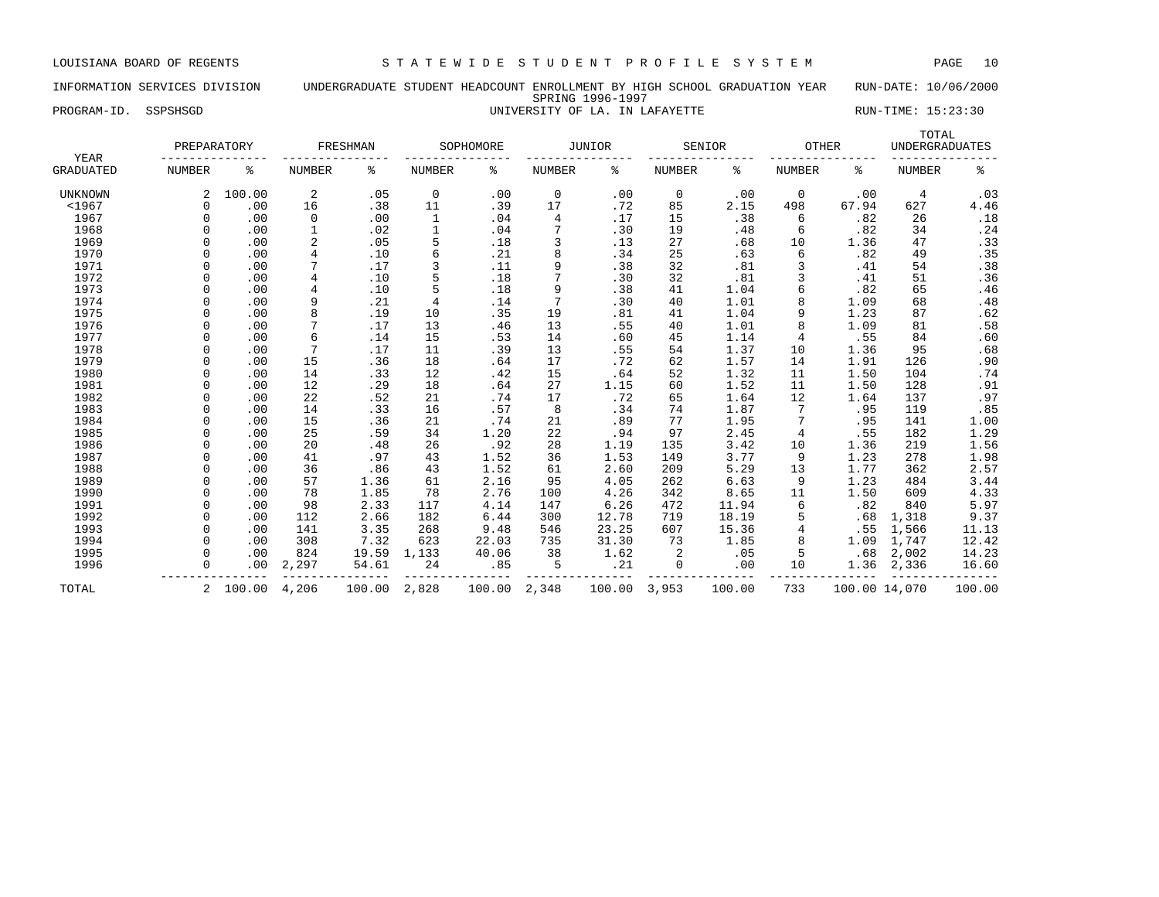# INFORMATION SERVICES DIVISION UNDERGRADUATE STUDENT HEADCOUNT ENROLLMENT BY HIGH SCHOOL GRADUATION YEAR RUN-DATE: 10/06/2000 SPRING 1996-1997 PROGRAM-ID. SSPSHSGD **EXAM-ID.** SSPSHSGD **EXAM-ID.** SSPSHSGD **EXAM-ID.** SSPSHSGD **EXAM-ID.** SSPSHSGD

| YEAR             | PREPARATORY   |          |                | FRESHMAN |               | SOPHOMORE |               | <b>JUNIOR</b> |               | SENIOR | OTHER           |               | TOTAL         | <b>UNDERGRADUATES</b> |
|------------------|---------------|----------|----------------|----------|---------------|-----------|---------------|---------------|---------------|--------|-----------------|---------------|---------------|-----------------------|
| <b>GRADUATED</b> | <b>NUMBER</b> | နွ       | <b>NUMBER</b>  | နွ       | <b>NUMBER</b> | နွ        | <b>NUMBER</b> | နွ            | <b>NUMBER</b> | ႜ      | <b>NUMBER</b>   | နွ            | <b>NUMBER</b> | နွ                    |
| <b>UNKNOWN</b>   | 2             | 100.00   | 2              | .05      | 0             | .00       | 0             | .00           | 0             | .00    | 0               | .00           | 4             | .03                   |
| < 1967           | $\Omega$      | .00      | 16             | .38      | 11            | .39       | 17            | .72           | 85            | 2.15   | 498             | 67.94         | 627           | 4.46                  |
| 1967             | $\Omega$      | .00      | 0              | .00      | 1             | .04       | 4             | .17           | 15            | .38    | 6               | .82           | 26            | .18                   |
| 1968             | 0             | .00      |                | .02      |               | .04       |               | .30           | 19            | .48    | 6               | .82           | 34            | .24                   |
| 1969             | $\Omega$      | .00      | 2              | .05      | 5             | .18       | 3             | .13           | 27            | .68    | 10              | 1.36          | 47            | .33                   |
| 1970             | $\Omega$      | .00      | $\overline{4}$ | .10      | 6             | .21       | 8             | .34           | 25            | .63    | 6               | .82           | 49            | .35                   |
| 1971             | $\Omega$      | .00      | 7              | .17      | 3             | .11       | 9             | .38           | 32            | .81    | 3               | .41           | 54            | .38                   |
| 1972             | $\cap$        | .00      | 4              | .10      | 5             | .18       | 7             | .30           | 32            | .81    | 3               | .41           | 51            | .36                   |
| 1973             |               | .00      | 4              | .10      | 5             | .18       | 9             | .38           | 41            | 1.04   | 6               | .82           | 65            | .46                   |
| 1974             |               | .00      | 9              | .21      | 4             | .14       |               | .30           | 40            | 1.01   | 8               | 1.09          | 68            | .48                   |
| 1975             | $\cap$        | .00      | 8              | .19      | 10            | .35       | 19            | .81           | 41            | 1.04   | 9               | 1.23          | 87            | .62                   |
| 1976             | $\Omega$      | .00      |                | .17      | 13            | .46       | 13            | .55           | 40            | 1.01   | 8               | 1.09          | 81            | .58                   |
| 1977             | $\Omega$      | .00      | 6              | .14      | 15            | .53       | 14            | .60           | 45            | 1.14   | 4               | .55           | 84            | .60                   |
| 1978             | $\Omega$      | .00      | 7              | .17      | 11            | .39       | 13            | .55           | 54            | 1.37   | 10              | 1.36          | 95            | .68                   |
| 1979             | $\Omega$      | .00      | 15             | .36      | 18            | .64       | 17            | .72           | 62            | 1.57   | 14              | 1.91          | 126           | .90                   |
| 1980             | $\Omega$      | .00      | 14             | .33      | 12            | .42       | 15            | .64           | 52            | 1.32   | 11              | 1.50          | 104           | .74                   |
| 1981             | $\Omega$      | .00      | 12             | .29      | 18            | .64       | 27            | 1.15          | 60            | 1.52   | 11              | 1.50          | 128           | .91                   |
| 1982             | $\Omega$      | .00      | 22             | .52      | 21            | .74       | 17            | .72           | 65            | 1.64   | 12              | 1.64          | 137           | .97                   |
| 1983             | $\Omega$      | .00      | 14             | .33      | 16            | .57       | 8             | .34           | 74            | 1.87   | $7\phantom{.0}$ | .95           | 119           | .85                   |
| 1984             | $\Omega$      | .00      | 15             | .36      | 21            | .74       | 21            | .89           | 77            | 1.95   | 7               | .95           | 141           | 1.00                  |
| 1985             |               | .00      | 25             | .59      | 34            | 1.20      | 22            | .94           | 97            | 2.45   | 4               | .55           | 182           | 1.29                  |
| 1986             | $\Omega$      | .00      | 20             | .48      | 26            | .92       | 28            | 1.19          | 135           | 3.42   | 10              | 1.36          | 219           | 1.56                  |
| 1987             | $\Omega$      | .00      | 41             | .97      | 43            | 1.52      | 36            | 1.53          | 149           | 3.77   | 9               | 1.23          | 278           | 1.98                  |
| 1988             | $\Omega$      | .00      | 36             | .86      | 43            | 1.52      | 61            | 2.60          | 209           | 5.29   | 13              | 1.77          | 362           | 2.57                  |
| 1989             | $\Omega$      | .00      | 57             | 1.36     | 61            | 2.16      | 95            | 4.05          | 262           | 6.63   | 9               | 1.23          | 484           | 3.44                  |
| 1990             | $\Omega$      | .00      | 78             | 1.85     | 78            | 2.76      | 100           | 4.26          | 342           | 8.65   | 11              | 1.50          | 609           | 4.33                  |
| 1991             | $\Omega$      | .00      | 98             | 2.33     | 117           | 4.14      | 147           | 6.26          | 472           | 11.94  | 6               | .82           | 840           | 5.97                  |
| 1992             | $\Omega$      | .00      | 112            | 2.66     | 182           | 6.44      | 300           | 12.78         | 719           | 18.19  | 5               | .68           | 1,318         | 9.37                  |
| 1993             | $\Omega$      | .00      | 141            | 3.35     | 268           | 9.48      | 546           | 23.25         | 607           | 15.36  | 4               | .55           | 1,566         | 11.13                 |
| 1994             | $\Omega$      | .00      | 308            | 7.32     | 623           | 22.03     | 735           | 31.30         | 73            | 1.85   | 8               | 1.09          | 1,747         | 12.42                 |
| 1995             | $\Omega$      | .00      | 824            | 19.59    | 1,133         | 40.06     | 38            | 1.62          | 2             | .05    | 5               | .68           | 2,002         | 14.23                 |
| 1996             | $\Omega$      | .00      | 2,297          | 54.61    | 24            | .85       | 5             | .21           | 0             | .00    | 10              | 1.36          | 2,336         | 16.60                 |
| TOTAL            |               | 2 100.00 | 4,206          | 100.00   | 2,828         | 100.00    | 2,348         | 100.00        | 3,953         | 100.00 | 733             | 100.00 14,070 |               | 100.00                |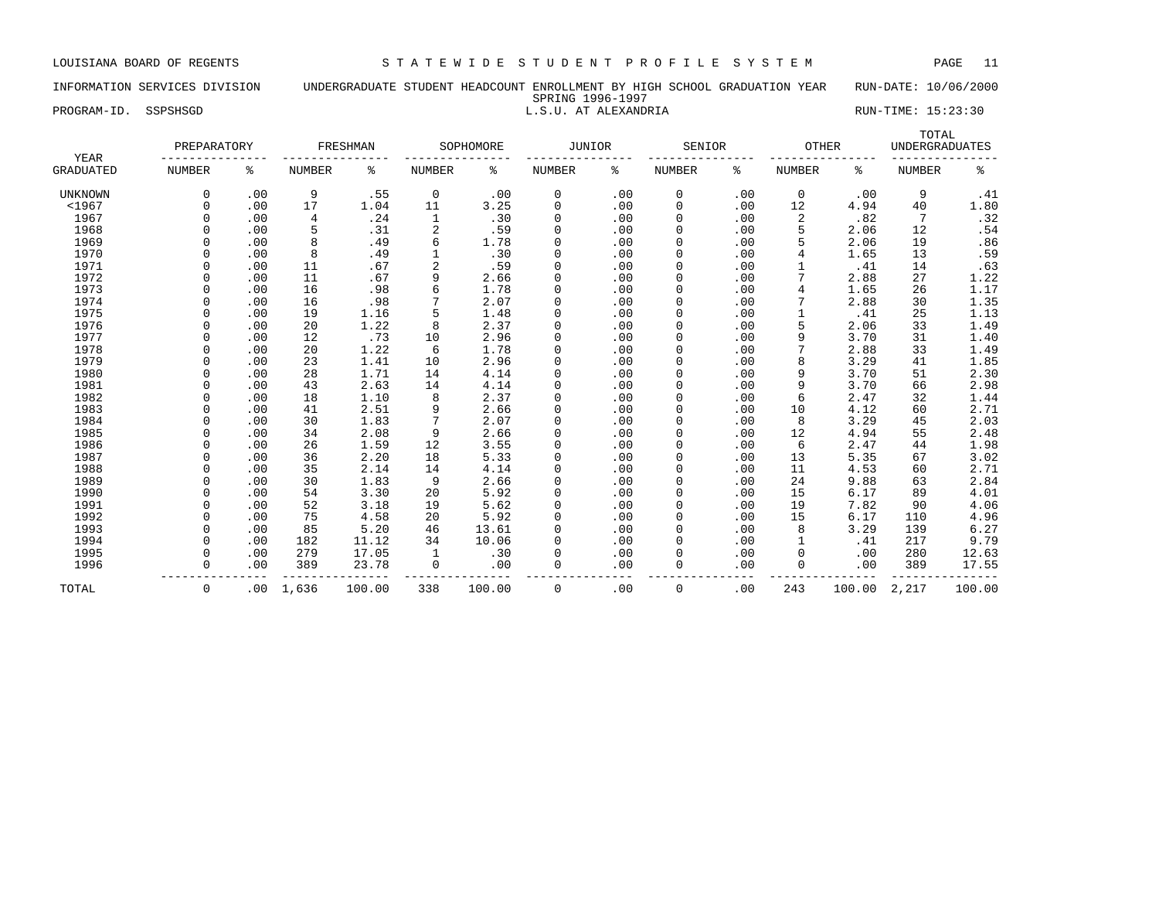# INFORMATION SERVICES DIVISION UNDERGRADUATE STUDENT HEADCOUNT ENROLLMENT BY HIGH SCHOOL GRADUATION YEAR RUN-DATE: 10/06/2000 SPRING 1996-1997

# PROGRAM-ID. SSPSHSGD **EXECUTE:** 15:23:30

| YEAR             | PREPARATORY   |     |        | FRESHMAN |                | SOPHOMORE | JUNIOR        |     | SENIOR        |     | <b>OTHER</b>  |        | TOTAL<br><b>UNDERGRADUATES</b> |        |
|------------------|---------------|-----|--------|----------|----------------|-----------|---------------|-----|---------------|-----|---------------|--------|--------------------------------|--------|
| <b>GRADUATED</b> | <b>NUMBER</b> | ి   | NUMBER | ႜ        | <b>NUMBER</b>  | ႜ         | <b>NUMBER</b> | နွ  | <b>NUMBER</b> | ៖   | <b>NUMBER</b> | ႜ      | <b>NUMBER</b>                  | နွ     |
| <b>UNKNOWN</b>   | $\Omega$      | .00 | 9      | .55      | $\mathbf 0$    | .00       | 0             | .00 | 0             | .00 | $\mathbf 0$   | .00    | 9                              | .41    |
| $1967$           | $\Omega$      | .00 | 17     | 1.04     | 11             | 3.25      | $\mathbf 0$   | .00 | $\mathbf 0$   | .00 | 12            | 4.94   | 40                             | 1.80   |
| 1967             | $\Omega$      | .00 | 4      | .24      | 1              | .30       | 0             | .00 | 0             | .00 | 2             | .82    | 7                              | .32    |
| 1968             |               | .00 | 5      | .31      | $\overline{2}$ | .59       | 0             | .00 | $\mathbf 0$   | .00 | 5             | 2.06   | 12                             | .54    |
| 1969             |               | .00 | 8      | .49      | 6              | 1.78      | 0             | .00 | $\mathbf 0$   | .00 |               | 2.06   | 19                             | .86    |
| 1970             |               | .00 | 8      | .49      |                | .30       | 0             | .00 | $\Omega$      | .00 | 4             | 1.65   | 13                             | .59    |
| 1971             |               | .00 | 11     | .67      | $\overline{c}$ | .59       | 0             | .00 | $\Omega$      | .00 |               | .41    | 14                             | .63    |
| 1972             |               | .00 | 11     | .67      | 9              | 2.66      | $\mathbf 0$   | .00 | 0             | .00 |               | 2.88   | 27                             | 1.22   |
| 1973             |               | .00 | 16     | .98      | 6              | 1.78      | 0             | .00 | $\Omega$      | .00 | 4             | 1.65   | 26                             | 1.17   |
| 1974             |               | .00 | 16     | .98      | 7              | 2.07      | $\Omega$      | .00 | $\Omega$      | .00 |               | 2.88   | 30                             | 1.35   |
| 1975             |               | .00 | 19     | 1.16     | 5              | 1.48      | 0             | .00 | $\Omega$      | .00 |               | .41    | 25                             | 1.13   |
| 1976             |               | .00 | 20     | 1.22     | 8              | 2.37      | 0             | .00 | $\Omega$      | .00 |               | 2.06   | 33                             | 1.49   |
| 1977             |               | .00 | 12     | .73      | 10             | 2.96      | 0             | .00 | $\Omega$      | .00 | 9             | 3.70   | 31                             | 1.40   |
| 1978             | $\cap$        | .00 | 20     | 1.22     | 6              | 1.78      | $\Omega$      | .00 | $\Omega$      | .00 |               | 2.88   | 33                             | 1.49   |
| 1979             |               | .00 | 23     | 1.41     | 10             | 2.96      | $\mathbf 0$   | .00 | $\Omega$      | .00 | 8             | 3.29   | 41                             | 1.85   |
| 1980             | $\Omega$      | .00 | 28     | 1.71     | 14             | 4.14      | $\Omega$      | .00 | $\Omega$      | .00 | 9             | 3.70   | 51                             | 2.30   |
| 1981             | $\Omega$      | .00 | 43     | 2.63     | 14             | 4.14      | 0             | .00 | 0             | .00 | 9             | 3.70   | 66                             | 2.98   |
| 1982             |               | .00 | 18     | 1.10     | 8              | 2.37      | 0             | .00 | $\mathbf 0$   | .00 | 6             | 2.47   | 32                             | 1.44   |
| 1983             |               | .00 | 41     | 2.51     | 9              | 2.66      | 0             | .00 | 0             | .00 | 10            | 4.12   | 60                             | 2.71   |
| 1984             |               | .00 | 30     | 1.83     | 7              | 2.07      | $\Omega$      | .00 | 0             | .00 | 8             | 3.29   | 45                             | 2.03   |
| 1985             |               | .00 | 34     | 2.08     | 9              | 2.66      | 0             | .00 | 0             | .00 | 12            | 4.94   | 55                             | 2.48   |
| 1986             |               | .00 | 26     | 1.59     | 12             | 3.55      | 0             | .00 | 0             | .00 | 6             | 2.47   | 44                             | 1.98   |
| 1987             |               | .00 | 36     | 2.20     | 18             | 5.33      | 0             | .00 | 0             | .00 | 13            | 5.35   | 67                             | 3.02   |
| 1988             |               | .00 | 35     | 2.14     | 14             | 4.14      | 0             | .00 | $\Omega$      | .00 | 11            | 4.53   | 60                             | 2.71   |
| 1989             |               | .00 | 30     | 1.83     | 9              | 2.66      | 0             | .00 | $\Omega$      | .00 | 24            | 9.88   | 63                             | 2.84   |
| 1990             |               | .00 | 54     | 3.30     | 20             | 5.92      | $\mathbf 0$   | .00 | $\Omega$      | .00 | 15            | 6.17   | 89                             | 4.01   |
| 1991             | $\Omega$      | .00 | 52     | 3.18     | 19             | 5.62      | $\mathbf 0$   | .00 | $\Omega$      | .00 | 19            | 7.82   | 90                             | 4.06   |
| 1992             | $\cap$        | .00 | 75     | 4.58     | 20             | 5.92      | $\Omega$      | .00 | $\Omega$      | .00 | 15            | 6.17   | 110                            | 4.96   |
| 1993             | $\Omega$      | .00 | 85     | 5.20     | 46             | 13.61     | $\Omega$      | .00 | 0             | .00 | <sub>8</sub>  | 3.29   | 139                            | 6.27   |
| 1994             | $\Omega$      | .00 | 182    | 11.12    | 34             | 10.06     | 0             | .00 | 0             | .00 |               | .41    | 217                            | 9.79   |
| 1995             | $\Omega$      | .00 | 279    | 17.05    | 1              | .30       | 0             | .00 | 0             | .00 | 0             | .00    | 280                            | 12.63  |
| 1996             | $\Omega$      | .00 | 389    | 23.78    | $\mathbf 0$    | .00       | 0             | .00 | $\Omega$      | .00 | $\Omega$      | .00    | 389                            | 17.55  |
| TOTAL            | $\mathbf 0$   | .00 | 1,636  | 100.00   | 338            | 100.00    | $\mathbf 0$   | .00 | $\mathbf 0$   | .00 | 243           | 100.00 | 2,217                          | 100.00 |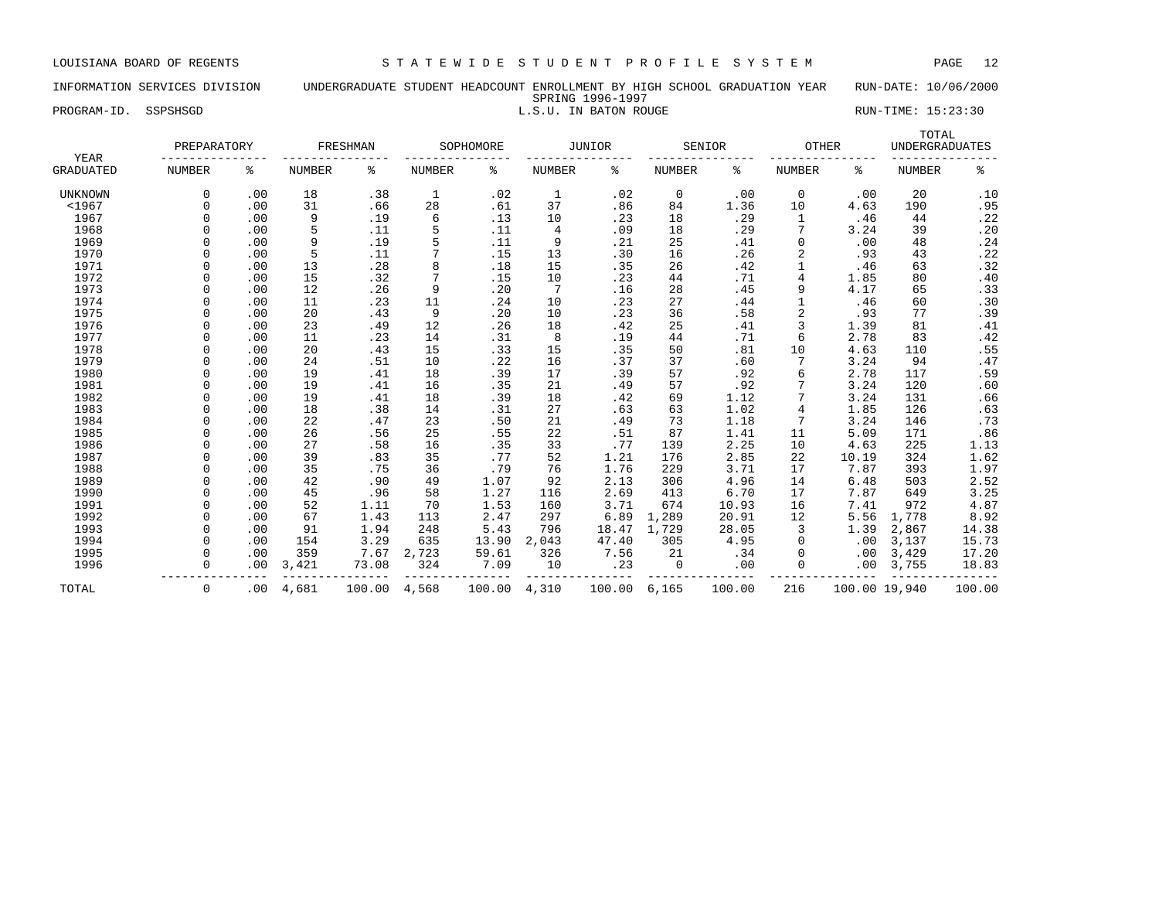### INFORMATION SERVICES DIVISION UNDERGRADUATE STUDENT HEADCOUNT ENROLLMENT BY HIGH SCHOOL GRADUATION YEAR RUN-DATE: 10/06/2000 SPRING 1996-1997 PROGRAM-ID. SSPSHSGD **EXECUTE:** 15:23:30

| YEAR             | PREPARATORY   |     |               | FRESHMAN |               | SOPHOMORE |               | JUNIOR |               | SENIOR | <b>OTHER</b>  |               | TOTAL<br><b>UNDERGRADUATES</b> |        |
|------------------|---------------|-----|---------------|----------|---------------|-----------|---------------|--------|---------------|--------|---------------|---------------|--------------------------------|--------|
| <b>GRADUATED</b> | <b>NUMBER</b> | ి   | <b>NUMBER</b> | နွ       | <b>NUMBER</b> | နွ        | <b>NUMBER</b> | ి      | <b>NUMBER</b> | ႜ      | <b>NUMBER</b> | ႜ             | <b>NUMBER</b>                  | နွ     |
| <b>UNKNOWN</b>   | $\Omega$      | .00 | 18            | .38      | 1             | .02       | -1            | .02    | 0             | .00    | $\mathbf 0$   | .00           | 20                             | .10    |
| $<$ 1967         | $\Omega$      | .00 | 31            | .66      | 28            | .61       | 37            | .86    | 84            | 1.36   | 10            | 4.63          | 190                            | .95    |
| 1967             | $\Omega$      | .00 | 9             | .19      | 6             | .13       | 10            | .23    | 18            | .29    | 1             | .46           | 44                             | .22    |
| 1968             |               | .00 | 5             | .11      | 5             | .11       | 4             | .09    | 18            | .29    |               | 3.24          | 39                             | .20    |
| 1969             |               | .00 | 9             | .19      | 5             | .11       | 9             | .21    | 25            | .41    |               | .00           | 48                             | $.24$  |
| 1970             |               | .00 | 5             | .11      | 7             | .15       | 13            | .30    | 16            | .26    | 2             | .93           | 43                             | .22    |
| 1971             |               | .00 | 13            | .28      | 8             | .18       | 15            | .35    | 26            | .42    |               | .46           | 63                             | .32    |
| 1972             |               | .00 | 15            | .32      | 7             | .15       | 10            | .23    | 44            | .71    | 4             | 1.85          | 80                             | .40    |
| 1973             |               | .00 | 12            | .26      | 9             | .20       | 7             | .16    | 28            | .45    | 9             | 4.17          | 65                             | .33    |
| 1974             |               | .00 | 11            | .23      | 11            | .24       | 10            | .23    | 27            | .44    |               | .46           | 60                             | .30    |
| 1975             |               | .00 | 20            | .43      | 9             | .20       | 10            | .23    | 36            | .58    | 2             | .93           | 77                             | .39    |
| 1976             |               | .00 | 23            | .49      | 12            | .26       | 18            | .42    | 25            | .41    | 3             | 1.39          | 81                             | .41    |
| 1977             |               | .00 | 11            | .23      | 14            | .31       | 8             | .19    | 44            | .71    | 6             | 2.78          | 83                             | .42    |
| 1978             |               | .00 | 20            | .43      | 15            | .33       | 15            | .35    | 50            | .81    | 10            | 4.63          | 110                            | .55    |
| 1979             | $\Omega$      | .00 | 24            | .51      | 10            | .22       | 16            | .37    | 37            | .60    | 7             | 3.24          | 94                             | .47    |
| 1980             |               | .00 | 19            | .41      | 18            | .39       | 17            | .39    | 57            | .92    | 6             | 2.78          | 117                            | .59    |
| 1981             |               | .00 | 19            | .41      | 16            | .35       | 21            | .49    | 57            | .92    |               | 3.24          | 120                            | .60    |
| 1982             | $\Omega$      | .00 | 19            | .41      | 18            | .39       | 18            | .42    | 69            | 1.12   |               | 3.24          | 131                            | .66    |
| 1983             |               | .00 | 18            | .38      | 14            | .31       | 27            | .63    | 63            | 1.02   | 4             | 1.85          | 126                            | .63    |
| 1984             |               | .00 | 22            | .47      | 23            | .50       | 21            | .49    | 73            | 1.18   | 7             | 3.24          | 146                            | .73    |
| 1985             |               | .00 | 26            | .56      | 25            | .55       | 22            | .51    | 87            | 1.41   | 11            | 5.09          | 171                            | .86    |
| 1986             |               | .00 | 27            | .58      | 16            | .35       | 33            | .77    | 139           | 2.25   | 10            | 4.63          | 225                            | 1.13   |
| 1987             |               | .00 | 39            | .83      | 35            | .77       | 52            | 1.21   | 176           | 2.85   | 22            | 10.19         | 324                            | 1.62   |
| 1988             | $\Omega$      | .00 | 35            | .75      | 36            | .79       | 76            | 1.76   | 229           | 3.71   | 17            | 7.87          | 393                            | 1.97   |
| 1989             | $\cap$        | .00 | 42            | .90      | 49            | 1.07      | 92            | 2.13   | 306           | 4.96   | 14            | 6.48          | 503                            | 2.52   |
| 1990             | $\cap$        | .00 | 45            | .96      | 58            | 1.27      | 116           | 2.69   | 413           | 6.70   | 17            | 7.87          | 649                            | 3.25   |
| 1991             | $\Omega$      | .00 | 52            | 1.11     | 70            | 1.53      | 160           | 3.71   | 674           | 10.93  | 16            | 7.41          | 972                            | 4.87   |
| 1992             |               | .00 | 67            | 1.43     | 113           | 2.47      | 297           | 6.89   | 1,289         | 20.91  | 12            | 5.56          | 1,778                          | 8.92   |
| 1993             |               | .00 | 91            | 1.94     | 248           | 5.43      | 796           | 18.47  | 1,729         | 28.05  | 3             | 1.39          | 2,867                          | 14.38  |
| 1994             | $\Omega$      | .00 | 154           | 3.29     | 635           | 13.90     | 2,043         | 47.40  | 305           | 4.95   |               | .00           | 3,137                          | 15.73  |
| 1995             | $\Omega$      | .00 | 359           | 7.67     | 2,723         | 59.61     | 326           | 7.56   | 21            | .34    | $\Omega$      | .00           | 3,429                          | 17.20  |
| 1996             | $\Omega$      | .00 | 3,421         | 73.08    | 324           | 7.09      | 10            | .23    | 0             | .00    | $\Omega$      | .00           | 3,755                          | 18.83  |
| TOTAL            | 0             | .00 | 4,681         | 100.00   | 4,568         | 100.00    | 4,310         | 100.00 | 6,165         | 100.00 | 216           | 100.00 19,940 |                                | 100.00 |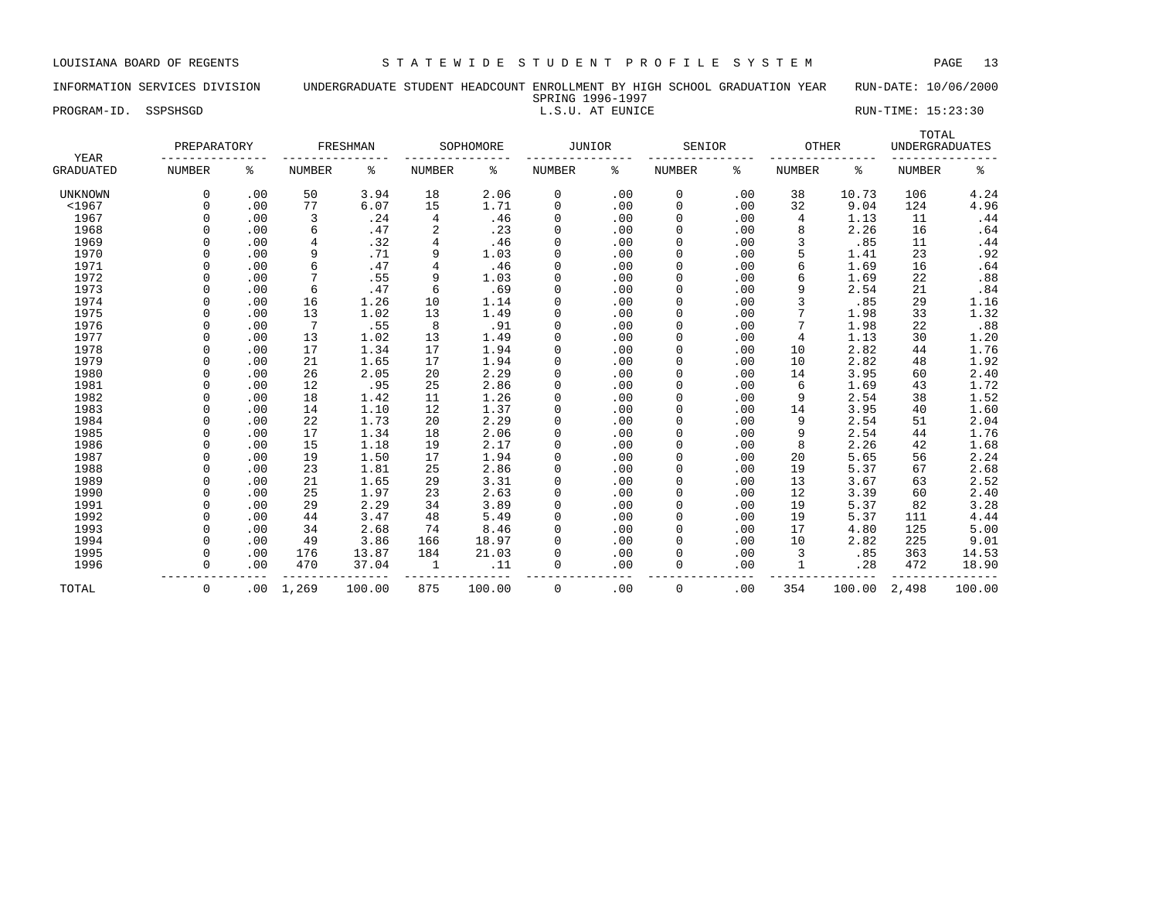### INFORMATION SERVICES DIVISION UNDERGRADUATE STUDENT HEADCOUNT ENROLLMENT BY HIGH SCHOOL GRADUATION YEAR RUN-DATE: 10/06/2000 SPRING 1996-1997<br>L.S.U. AT EUNICE PROGRAM-ID. SSPSHSGD **EXECUTE:** 15:23:30

| YEAR             | PREPARATORY   |     |        | FRESHMAN |                | SOPHOMORE | <b>JUNIOR</b> |     | SENIOR        |     | <b>OTHER</b>  |        | TOTAL<br><b>UNDERGRADUATES</b> |         |
|------------------|---------------|-----|--------|----------|----------------|-----------|---------------|-----|---------------|-----|---------------|--------|--------------------------------|---------|
| <b>GRADUATED</b> | <b>NUMBER</b> | နွ  | NUMBER | န့       | <b>NUMBER</b>  | ႜ         | <b>NUMBER</b> | ៖   | <b>NUMBER</b> | ႜ   | <b>NUMBER</b> | ႜ      | <b>NUMBER</b>                  | ႜ       |
| <b>UNKNOWN</b>   | $\Omega$      | .00 | 50     | 3.94     | 18             | 2.06      | 0             | .00 | 0             | .00 | 38            | 10.73  | 106                            | 4.24    |
| < 1967           |               | .00 | 77     | 6.07     | 15             | 1.71      | 0             | .00 | 0             | .00 | 32            | 9.04   | 124                            | 4.96    |
| 1967             |               | .00 | 3      | .24      | 4              | .46       | 0             | .00 | 0             | .00 | 4             | 1.13   | 11                             | .44     |
| 1968             |               | .00 | 6      | .47      | $\overline{a}$ | .23       | $\mathbf 0$   | .00 | $\mathbf 0$   | .00 | 8             | 2.26   | 16                             | .64     |
| 1969             |               | .00 | 4      | .32      | $\overline{4}$ | .46       | $\mathbf 0$   | .00 | 0             | .00 | 3             | .85    | 11                             | .44     |
| 1970             |               | .00 | 9      | .71      | 9              | 1.03      | $\mathbf 0$   | .00 | 0             | .00 |               | 1.41   | 23                             | .92     |
| 1971             |               | .00 | 6      | .47      | $\overline{4}$ | .46       | $\mathbf 0$   | .00 | 0             | .00 | 6             | 1.69   | 16                             | .64     |
| 1972             |               | .00 | 7      | .55      | 9              | 1.03      | 0             | .00 | $\Omega$      | .00 | 6             | 1.69   | 22                             | .88     |
| 1973             |               | .00 | 6      | .47      | 6              | .69       | 0             | .00 | $\Omega$      | .00 | 9             | 2.54   | 21                             | .84     |
| 1974             |               | .00 | 16     | 1.26     | 10             | 1.14      | 0             | .00 | $\Omega$      | .00 |               | .85    | 29                             | 1.16    |
| 1975             |               | .00 | 13     | 1.02     | 13             | 1.49      | 0             | .00 | $\Omega$      | .00 |               | 1.98   | 33                             | 1.32    |
| 1976             |               | .00 | 7      | .55      | 8              | .91       | 0             | .00 | $\Omega$      | .00 |               | 1.98   | 22                             | $.88\,$ |
| 1977             |               | .00 | 13     | 1.02     | 13             | 1.49      | $\Omega$      | .00 | $\Omega$      | .00 | 4             | 1.13   | 30                             | 1.20    |
| 1978             |               | .00 | 17     | 1.34     | 17             | 1.94      | 0             | .00 | $\Omega$      | .00 | 10            | 2.82   | 44                             | 1.76    |
| 1979             |               | .00 | 21     | 1.65     | 17             | 1.94      | 0             | .00 | $\Omega$      | .00 | 10            | 2.82   | 48                             | 1.92    |
| 1980             |               | .00 | 26     | 2.05     | 20             | 2.29      | 0             | .00 | 0             | .00 | 14            | 3.95   | 60                             | 2.40    |
| 1981             |               | .00 | 12     | .95      | 25             | 2.86      | $\mathbf 0$   | .00 | $\mathbf 0$   | .00 | 6             | 1.69   | 43                             | 1.72    |
| 1982             |               | .00 | 18     | 1.42     | 11             | 1.26      | $\mathbf 0$   | .00 | 0             | .00 | 9             | 2.54   | 38                             | 1.52    |
| 1983             |               | .00 | 14     | 1.10     | 12             | 1.37      | $\mathbf 0$   | .00 | 0             | .00 | 14            | 3.95   | 40                             | 1.60    |
| 1984             |               | .00 | 22     | 1.73     | 20             | 2.29      | $\circ$       | .00 | 0             | .00 | 9             | 2.54   | 51                             | 2.04    |
| 1985             |               | .00 | 17     | 1.34     | 18             | 2.06      | $\mathbf 0$   | .00 | $\mathbf 0$   | .00 | 9             | 2.54   | 44                             | 1.76    |
| 1986             |               | .00 | 15     | 1.18     | 19             | 2.17      | 0             | .00 | $\Omega$      | .00 | 8             | 2.26   | 42                             | 1.68    |
| 1987             |               | .00 | 19     | 1.50     | 17             | 1.94      | 0             | .00 | $\Omega$      | .00 | 20            | 5.65   | 56                             | 2.24    |
| 1988             |               | .00 | 23     | 1.81     | 25             | 2.86      | 0             | .00 | $\Omega$      | .00 | 19            | 5.37   | 67                             | 2.68    |
| 1989             |               | .00 | 21     | 1.65     | 29             | 3.31      | $\mathbf 0$   | .00 | $\Omega$      | .00 | 13            | 3.67   | 63                             | 2.52    |
| 1990             |               | .00 | 25     | 1.97     | 23             | 2.63      | 0             | .00 | $\Omega$      | .00 | 12            | 3.39   | 60                             | 2.40    |
| 1991             |               | .00 | 29     | 2.29     | 34             | 3.89      | $\mathbf 0$   | .00 | $\Omega$      | .00 | 19            | 5.37   | 82                             | 3.28    |
| 1992             |               | .00 | 44     | 3.47     | 48             | 5.49      | $\mathbf 0$   | .00 | $\Omega$      | .00 | 19            | 5.37   | 111                            | 4.44    |
| 1993             |               | .00 | 34     | 2.68     | 74             | 8.46      | 0             | .00 | 0             | .00 | 17            | 4.80   | 125                            | 5.00    |
| 1994             |               | .00 | 49     | 3.86     | 166            | 18.97     | $\mathbf 0$   | .00 | $\mathbf 0$   | .00 | 10            | 2.82   | 225                            | 9.01    |
| 1995             |               | .00 | 176    | 13.87    | 184            | 21.03     | 0             | .00 | 0             | .00 | 3             | .85    | 363                            | 14.53   |
| 1996             |               | .00 | 470    | 37.04    | 1              | .11       | $\mathbf 0$   | .00 | 0             | .00 |               | .28    | 472                            | 18.90   |
| TOTAL            | $\mathbf 0$   | .00 | 1,269  | 100.00   | 875            | 100.00    | $\mathbf 0$   | .00 | 0             | .00 | 354           | 100.00 | 2,498                          | 100.00  |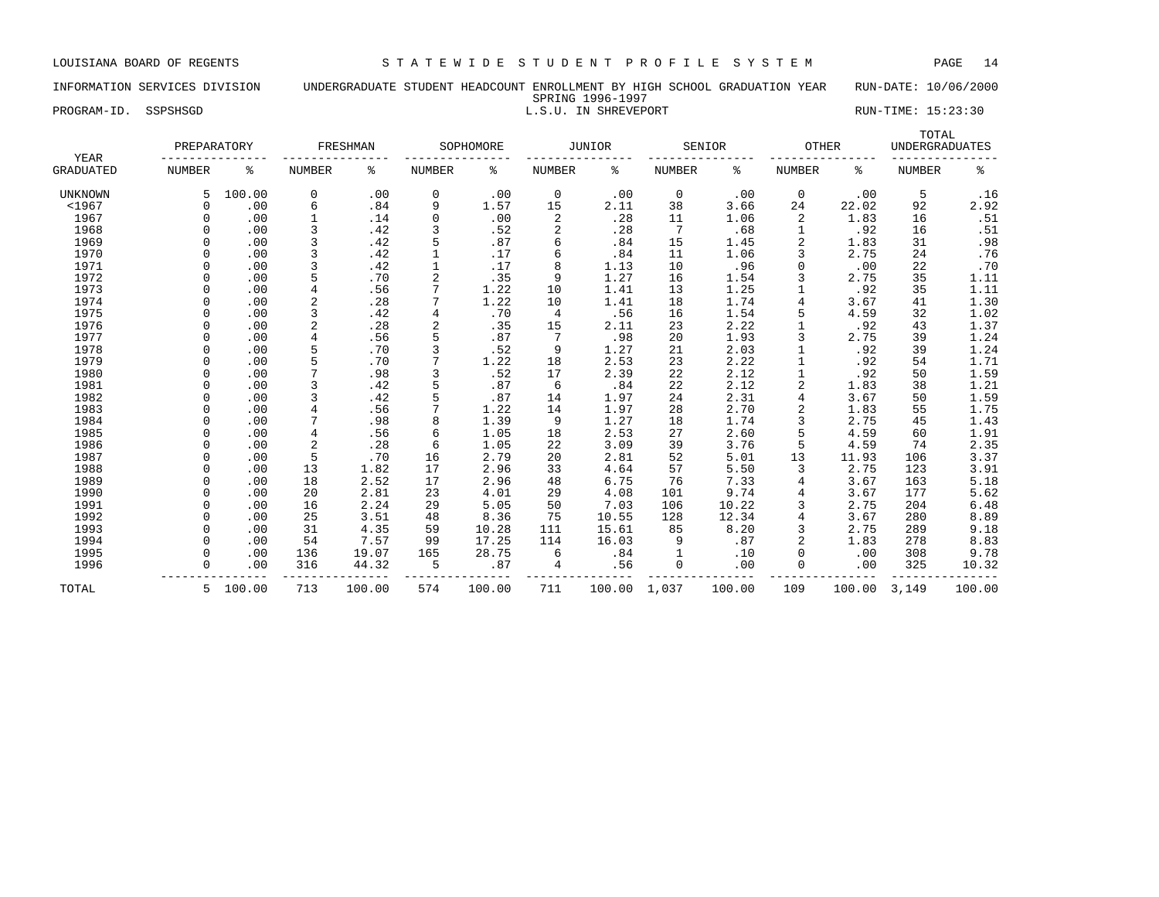# INFORMATION SERVICES DIVISION UNDERGRADUATE STUDENT HEADCOUNT ENROLLMENT BY HIGH SCHOOL GRADUATION YEAR RUN-DATE: 10/06/2000 SPRING 1996-1997

PROGRAM-ID. SSPSHSGD **EXECUTE:** 15:23:30

| YEAR             | PREPARATORY   |          |                | FRESHMAN |                | SOPHOMORE |                | <b>JUNIOR</b> |        | SENIOR | <b>OTHER</b>  |        | TOTAL<br><b>UNDERGRADUATES</b> |        |
|------------------|---------------|----------|----------------|----------|----------------|-----------|----------------|---------------|--------|--------|---------------|--------|--------------------------------|--------|
| <b>GRADUATED</b> | <b>NUMBER</b> | ి        | <b>NUMBER</b>  | ి        | NUMBER         | ႜ         | NUMBER         | ႜ             | NUMBER | ႜ      | <b>NUMBER</b> | ႜ      | <b>NUMBER</b>                  | နွ     |
| <b>UNKNOWN</b>   |               | 100.00   | $\mathbf 0$    | .00      | 0              | .00       | 0              | .00           | 0      | .00    | $\mathbf 0$   | .00    | 5                              | .16    |
| < 1967           | $\Omega$      | .00      | 6              | .84      | 9              | 1.57      | 15             | 2.11          | 38     | 3.66   | 24            | 22.02  | 92                             | 2.92   |
| 1967             | $\Omega$      | .00      | $1\,$          | .14      | $\mathbf 0$    | .00       | 2              | .28           | 11     | 1.06   | 2             | 1.83   | 16                             | .51    |
| 1968             |               | .00      | 3              | .42      | 3              | .52       | 2              | .28           | 7      | .68    |               | .92    | 16                             | .51    |
| 1969             |               | .00      | 3              | .42      | 5              | .87       | 6              | .84           | 15     | 1.45   | 2             | 1.83   | 31                             | .98    |
| 1970             | $\cap$        | .00      | 3              | .42      | $\mathbf{1}$   | .17       | 6              | .84           | 11     | 1.06   | ζ             | 2.75   | 24                             | .76    |
| 1971             | $\cap$        | .00      | 3              | .42      | $\mathbf{1}$   | .17       | 8              | 1.13          | 10     | .96    | $\Omega$      | .00    | 22                             | .70    |
| 1972             | $\Omega$      | .00      | 5              | .70      | $\overline{a}$ | .35       | 9              | 1.27          | 16     | 1.54   | ζ             | 2.75   | 35                             | 1.11   |
| 1973             | $\Omega$      | .00      | $\overline{4}$ | .56      | 7              | 1.22      | 10             | 1.41          | 13     | 1.25   |               | .92    | 35                             | 1.11   |
| 1974             | $\Omega$      | .00      | $\overline{c}$ | .28      | 7              | 1.22      | 10             | 1.41          | 18     | 1.74   | 4             | 3.67   | 41                             | 1.30   |
| 1975             | $\Omega$      | .00      | 3              | .42      | $\overline{4}$ | .70       | $\overline{4}$ | .56           | 16     | 1.54   | 5             | 4.59   | 32                             | 1.02   |
| 1976             |               | .00      | $\overline{2}$ | .28      | $\overline{c}$ | .35       | 15             | 2.11          | 23     | 2.22   |               | .92    | 43                             | 1.37   |
| 1977             |               | .00      | $\overline{4}$ | .56      | 5              | .87       | 7              | .98           | 20     | 1.93   | 3             | 2.75   | 39                             | 1.24   |
| 1978             |               | .00      | 5              | .70      | 3              | .52       | 9              | 1.27          | 21     | 2.03   |               | .92    | 39                             | 1.24   |
| 1979             |               | .00      | 5              | .70      | 7              | 1.22      | 18             | 2.53          | 23     | 2.22   |               | .92    | 54                             | 1.71   |
| 1980             |               | .00      | 7              | .98      | 3              | .52       | 17             | 2.39          | 22     | 2.12   |               | .92    | 50                             | 1.59   |
| 1981             | $\Omega$      | .00      | 3              | .42      | 5              | .87       | 6              | .84           | 22     | 2.12   | 2             | 1.83   | 38                             | 1.21   |
| 1982             |               | .00      | 3              | .42      | 5              | .87       | 14             | 1.97          | 24     | 2.31   | 4             | 3.67   | 50                             | 1.59   |
| 1983             |               | .00      | $\overline{4}$ | .56      | 7              | 1.22      | 14             | 1.97          | 28     | 2.70   | 2             | 1.83   | 55                             | 1.75   |
| 1984             |               | .00      | 7              | .98      | 8              | 1.39      | 9              | 1.27          | 18     | 1.74   | 3             | 2.75   | 45                             | 1.43   |
| 1985             |               | .00      | $\overline{4}$ | .56      | 6              | 1.05      | 18             | 2.53          | 27     | 2.60   | 5             | 4.59   | 60                             | 1.91   |
| 1986             |               | .00      | 2              | .28      | 6              | 1.05      | 22             | 3.09          | 39     | 3.76   | 5             | 4.59   | 74                             | 2.35   |
| 1987             |               | .00      | 5              | .70      | 16             | 2.79      | 20             | 2.81          | 52     | 5.01   | 13            | 11.93  | 106                            | 3.37   |
| 1988             | $\cap$        | .00      | 13             | 1.82     | 17             | 2.96      | 33             | 4.64          | 57     | 5.50   | 3             | 2.75   | 123                            | 3.91   |
| 1989             | $\cap$        | .00      | 18             | 2.52     | 17             | 2.96      | 48             | 6.75          | 76     | 7.33   | 4             | 3.67   | 163                            | 5.18   |
| 1990             | $\Omega$      | .00      | 20             | 2.81     | 23             | 4.01      | 29             | 4.08          | 101    | 9.74   | 4             | 3.67   | 177                            | 5.62   |
| 1991             | $\Omega$      | .00      | 16             | 2.24     | 29             | 5.05      | 50             | 7.03          | 106    | 10.22  | ζ             | 2.75   | 204                            | 6.48   |
| 1992             | $\Omega$      | .00      | 25             | 3.51     | 48             | 8.36      | 75             | 10.55         | 128    | 12.34  | 4             | 3.67   | 280                            | 8.89   |
| 1993             |               | .00      | 31             | 4.35     | 59             | 10.28     | 111            | 15.61         | 85     | 8.20   | 3             | 2.75   | 289                            | 9.18   |
| 1994             |               | .00      | 54             | 7.57     | 99             | 17.25     | 114            | 16.03         | 9      | .87    | 2             | 1.83   | 278                            | 8.83   |
| 1995             |               | .00      | 136            | 19.07    | 165            | 28.75     | 6              | .84           |        | .10    | $\Omega$      | .00    | 308                            | 9.78   |
| 1996             |               | .00      | 316            | 44.32    | 5              | .87       | 4              | .56           | 0      | .00    |               | .00    | 325                            | 10.32  |
| TOTAL            |               | 5 100.00 | 713            | 100.00   | 574            | 100.00    | 711            | 100.00        | 1,037  | 100.00 | 109           | 100.00 | 3,149                          | 100.00 |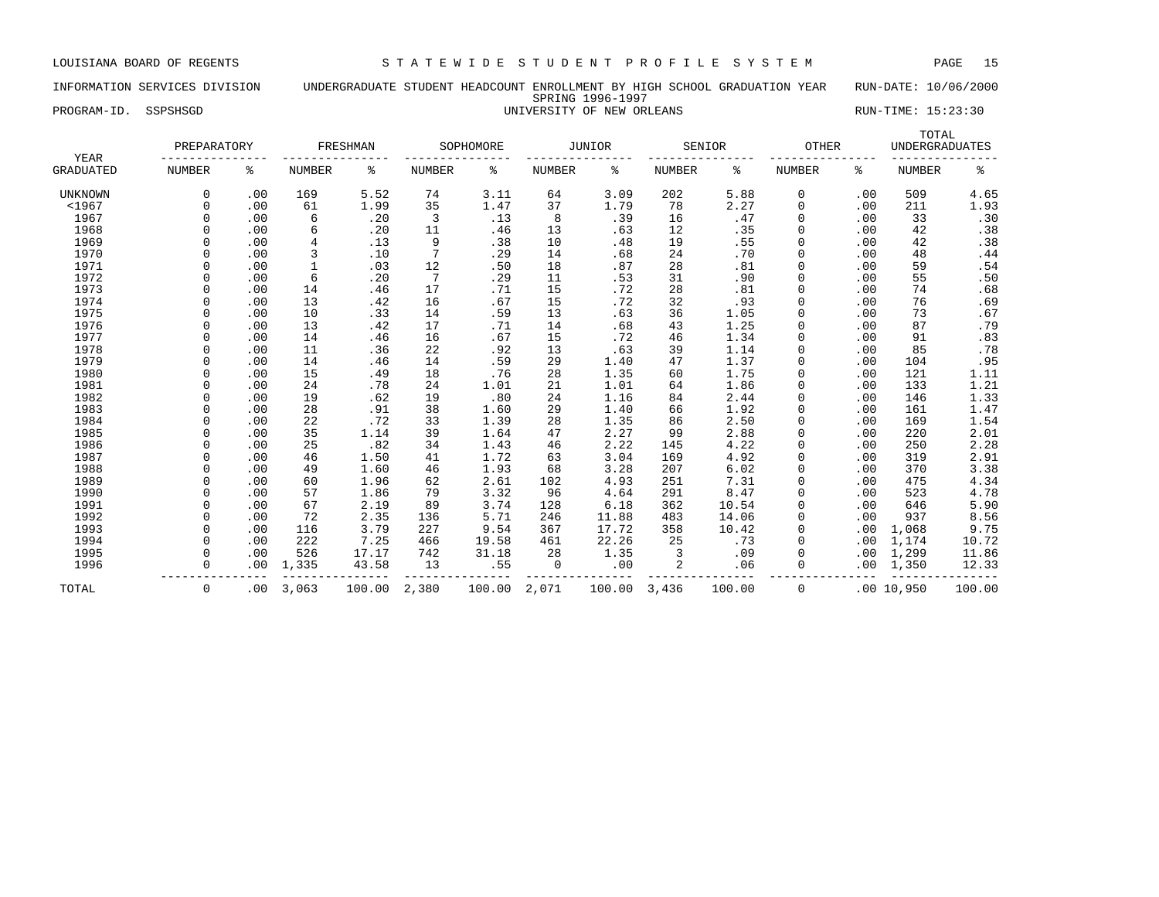### INFORMATION SERVICES DIVISION UNDERGRADUATE STUDENT HEADCOUNT ENROLLMENT BY HIGH SCHOOL GRADUATION YEAR RUN-DATE: 10/06/2000 SPRING 1996-1997 PROGRAM-ID. SSPSHSGD UNIVERSITY OF NEW ORLEANS RUN-TIME: 15:23:30

TOTAL PREPARATORY FRESHMAN SOPHOMORE JUNIOR SENIOR OTHER UNDERGRADUATES YEAR --------------- --------------- --------------- --------------- --------------- --------------- --------------- GRADUATED NUMBER % NUMBER % NUMBER % NUMBER % NUMBER % NUMBER % NUMBER % UNKNOWN 0 .00 169 5.52 74 3.11 64 3.09 202 5.88 0 .00 509 4.65 <1967 0 .00 61 1.99 35 1.47 37 1.79 78 2.27 0 .00 211 1.93 1967 0 .00 6 .20 3 .13 8 .39 16 .47 0 .00 33 .30 1968 0 .00 6 .20 11 .46 13 .63 12 .35 0 .00 42 .38 1969 0 .00 4 .13 9 .38 10 .48 19 .55 0 .00 42 .38 1970 0 .00 3 .10 7 .29 14 .68 24 .70 0 .00 48 .44 1971 0 .00 1 .03 12 .50 18 .87 28 .81 0 .00 59 .54 1972 0 .00 6 .20 7 .29 11 .53 31 .90 0 .00 55 .50 1973 0 .00 14 .46 17 .71 15 .72 28 .81 0 .00 74 .68 1974 0 .00 13 .42 16 .67 15 .72 32 .93 0 .00 76 .69 1975 0 .00 10 .33 14 .59 13 .63 36 1.05 0 .00 73 .67 1976 0 .00 13 .42 17 .71 14 .68 43 1.25 0 .00 87 .79 1977 0 .00 14 .46 16 .67 15 .72 46 1.34 0 .00 91 .83 1978 0 .00 11 .36 22 .92 13 .63 39 1.14 0 .00 85 .78 1979 0 .00 14 .46 14 .59 29 1.40 47 1.37 0 .00 104 .95 1980 0 .00 15 .49 18 .76 28 1.35 60 1.75 0 .00 121 1.11 1981 0 .00 24 .78 24 1.01 21 1.01 64 1.86 0 .00 133 1.21 1982 0 .00 19 .62 19 .80 24 1.16 84 2.44 0 .00 146 1.33 1983 0 .00 28 .91 38 1.60 29 1.40 66 1.92 0 .00 161 1.47 1984 0 .00 22 .72 33 1.39 28 1.35 86 2.50 0 .00 169 1.54 1985 0 .00 35 1.14 39 1.64 47 2.27 99 2.88 0 .00 220 2.01 1986 0 .00 25 .82 34 1.43 46 2.22 145 4.22 0 .00 250 2.28 1987 0 .00 46 1.50 41 1.72 63 3.04 169 4.92 0 .00 319 2.91 1988 0 .00 49 1.60 46 1.93 68 3.28 207 6.02 0 .00 370 3.38 1989 0 .00 60 1.96 62 2.61 102 4.93 251 7.31 0 .00 475 4.34 1990 0 .00 57 1.86 79 3.32 96 4.64 291 8.47 0 .00 523 4.78 1991 0 .00 67 2.19 89 3.74 128 6.18 362 10.54 0 .00 646 5.90 1992 0 .00 72 2.35 136 5.71 246 11.88 483 14.06 0 .00 937 8.56 1993 0 .00 116 3.79 227 9.54 367 17.72 358 10.42 0 .00 1,068 9.75 1994 0 .00 222 7.25 466 19.58 461 22.26 25 .73 0 .00 1,174 10.72 1995 0 .00 526 17.17 742 31.18 28 1.35 3 .09 0 .00 1,299 11.86 1996 0 .00 1,335 43.58 13 .55 0 .00 2 .06 0 .00 1,350 12.33 --------------- --------------- --------------- --------------- --------------- --------------- --------------- TOTAL 0 .00 3,063 100.00 2,380 100.00 2,071 100.00 3,436 100.00 0 .00 10,950 100.00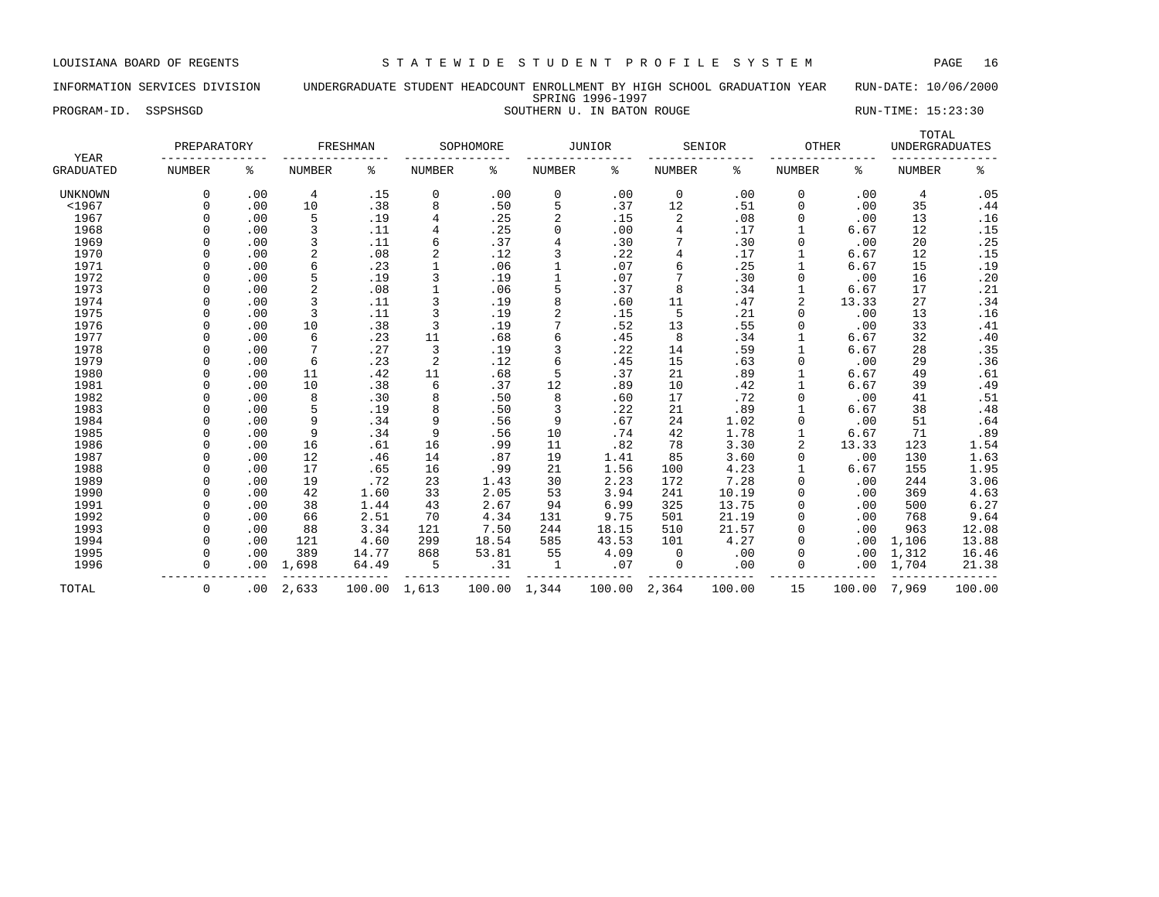LOUISIANA BOARD OF REGENTS S T A T E W I D E S T U D E N T P R O F I L E S Y S T E M PAGE 16

### INFORMATION SERVICES DIVISION UNDERGRADUATE STUDENT HEADCOUNT ENROLLMENT BY HIGH SCHOOL GRADUATION YEAR RUN-DATE: 10/06/2000 SPRING 1996-1997 PROGRAM-ID. SSPSHSGD SOUTHERN U. IN BATON ROUGE SOUTHERN U. THE SERIES RUN-TIME: 15:23:30

| YEAR           | PREPARATORY   |     |                | FRESHMAN |        | SOPHOMORE |               | JUNIOR | SENIOR         |       | OTHER         |       | TOTAL<br><b>UNDERGRADUATES</b> |       |
|----------------|---------------|-----|----------------|----------|--------|-----------|---------------|--------|----------------|-------|---------------|-------|--------------------------------|-------|
| GRADUATED      | <b>NUMBER</b> | ႜ   | <b>NUMBER</b>  | ႜ        | NUMBER | ႜ         | <b>NUMBER</b> | ႜ      | <b>NUMBER</b>  | ႜ     | <b>NUMBER</b> | ႜ     | <b>NUMBER</b>                  | နွ    |
| <b>UNKNOWN</b> | 0             | .00 | 4              | .15      | 0      | .00       | $\mathbf 0$   | .00    | $\mathbf 0$    | .00   | 0             | .00   | 4                              | .05   |
| $<$ 1967       | O             | .00 | 10             | .38      | 8      | .50       | 5             | .37    | 12             | .51   | $\mathbf 0$   | .00   | 35                             | .44   |
| 1967           |               | .00 | 5              | .19      | 4      | .25       | 2             | .15    | 2              | .08   | 0             | .00   | 13                             | .16   |
| 1968           |               | .00 | 3              | .11      | 4      | .25       | $\mathbf 0$   | .00    | $\overline{4}$ | .17   | 1             | 6.67  | 12                             | .15   |
| 1969           |               | .00 | 3              | .11      | 6      | .37       | 4             | .30    |                | .30   | $\mathbf 0$   | .00   | 20                             | .25   |
| 1970           |               | .00 | $\overline{2}$ | .08      | 2      | .12       | 3             | .22    | $\overline{4}$ | .17   | 1             | 6.67  | 12                             | .15   |
| 1971           |               | .00 | 6              | .23      |        | .06       |               | .07    | 6              | .25   | $\mathbf{1}$  | 6.67  | 15                             | .19   |
| 1972           |               | .00 | 5              | .19      | 3      | .19       | $\mathbf{1}$  | .07    |                | .30   | $\Omega$      | .00   | 16                             | .20   |
| 1973           |               | .00 | $\overline{2}$ | .08      |        | .06       | 5             | .37    | 8              | .34   | $\mathbf{1}$  | 6.67  | 17                             | .21   |
| 1974           |               | .00 | 3              | .11      | 3      | .19       | 8             | .60    | 11             | .47   | 2             | 13.33 | 27                             | .34   |
| 1975           |               | .00 | 3              | .11      | 3      | .19       | 2             | .15    | 5              | .21   | 0             | .00   | 13                             | .16   |
| 1976           |               | .00 | 10             | .38      | 3      | .19       |               | .52    | 13             | .55   | 0             | .00   | 33                             | .41   |
| 1977           |               | .00 | 6              | .23      | 11     | .68       | 6             | .45    | 8              | .34   |               | 6.67  | 32                             | $.40$ |
| 1978           |               | .00 |                | .27      | 3      | .19       | 3             | .22    | 14             | .59   | $\mathbf{1}$  | 6.67  | 28                             | .35   |
| 1979           |               | .00 | 6              | .23      | 2      | .12       | 6             | .45    | 15             | .63   | $\Omega$      | .00   | 29                             | .36   |
| 1980           |               | .00 | 11             | .42      | 11     | .68       | 5             | .37    | 21             | .89   | $\mathbf{1}$  | 6.67  | 49                             | .61   |
| 1981           |               | .00 | 10             | .38      | 6      | .37       | 12            | .89    | 10             | .42   | $\mathbf{1}$  | 6.67  | 39                             | .49   |
| 1982           |               | .00 | 8              | .30      | 8      | .50       | 8             | .60    | 17             | .72   | $\Omega$      | .00   | 41                             | .51   |
| 1983           |               | .00 | 5              | .19      | 8      | .50       | 3             | .22    | 21             | .89   |               | 6.67  | 38                             | .48   |
| 1984           |               | .00 | 9              | .34      | 9      | .56       | 9             | .67    | 24             | 1.02  | $\mathbf 0$   | .00   | 51                             | .64   |
| 1985           |               | .00 | 9              | .34      | 9      | .56       | 10            | .74    | 42             | 1.78  | $\mathbf{1}$  | 6.67  | 71                             | .89   |
| 1986           |               | .00 | 16             | .61      | 16     | .99       | 11            | .82    | 78             | 3.30  | 2             | 13.33 | 123                            | 1.54  |
| 1987           |               | .00 | 12             | .46      | 14     | .87       | 19            | 1.41   | 85             | 3.60  | $\mathbf 0$   | .00   | 130                            | 1.63  |
| 1988           |               | .00 | 17             | .65      | 16     | .99       | 21            | 1.56   | 100            | 4.23  | $\mathbf{1}$  | 6.67  | 155                            | 1.95  |
| 1989           |               | .00 | 19             | .72      | 23     | 1.43      | 30            | 2.23   | 172            | 7.28  | $\Omega$      | .00   | 244                            | 3.06  |
| 1990           |               | .00 | 42             | 1.60     | 33     | 2.05      | 53            | 3.94   | 241            | 10.19 | $\Omega$      | .00   | 369                            | 4.63  |
| 1991           |               | .00 | 38             | 1.44     | 43     | 2.67      | 94            | 6.99   | 325            | 13.75 | $\Omega$      | .00   | 500                            | 6.27  |
| 1992           |               | .00 | 66             | 2.51     | 70     | 4.34      | 131           | 9.75   | 501            | 21.19 | $\mathbf 0$   | .00   | 768                            | 9.64  |
| 1993           |               | .00 | 88             | 3.34     | 121    | 7.50      | 244           | 18.15  | 510            | 21.57 | $\Omega$      | .00   | 963                            | 12.08 |
| 1994           |               | .00 | 121            | 4.60     | 299    | 18.54     | 585           | 43.53  | 101            | 4.27  | $\Omega$      | .00   | 1,106                          | 13.88 |

 1995 0 .00 389 14.77 868 53.81 55 4.09 0 .00 0 .00 1,312 16.46 1996 0 .00 1,698 64.49 5 .31 1 .07 0 .00 0 .00 1,704 21.38

TOTAL 0 .00 2,633 100.00 1,613 100.00 1,344 100.00 2,364 100.00 15 100.00 7,969 100.00

--------------- --------------- --------------- --------------- --------------- --------------- ---------------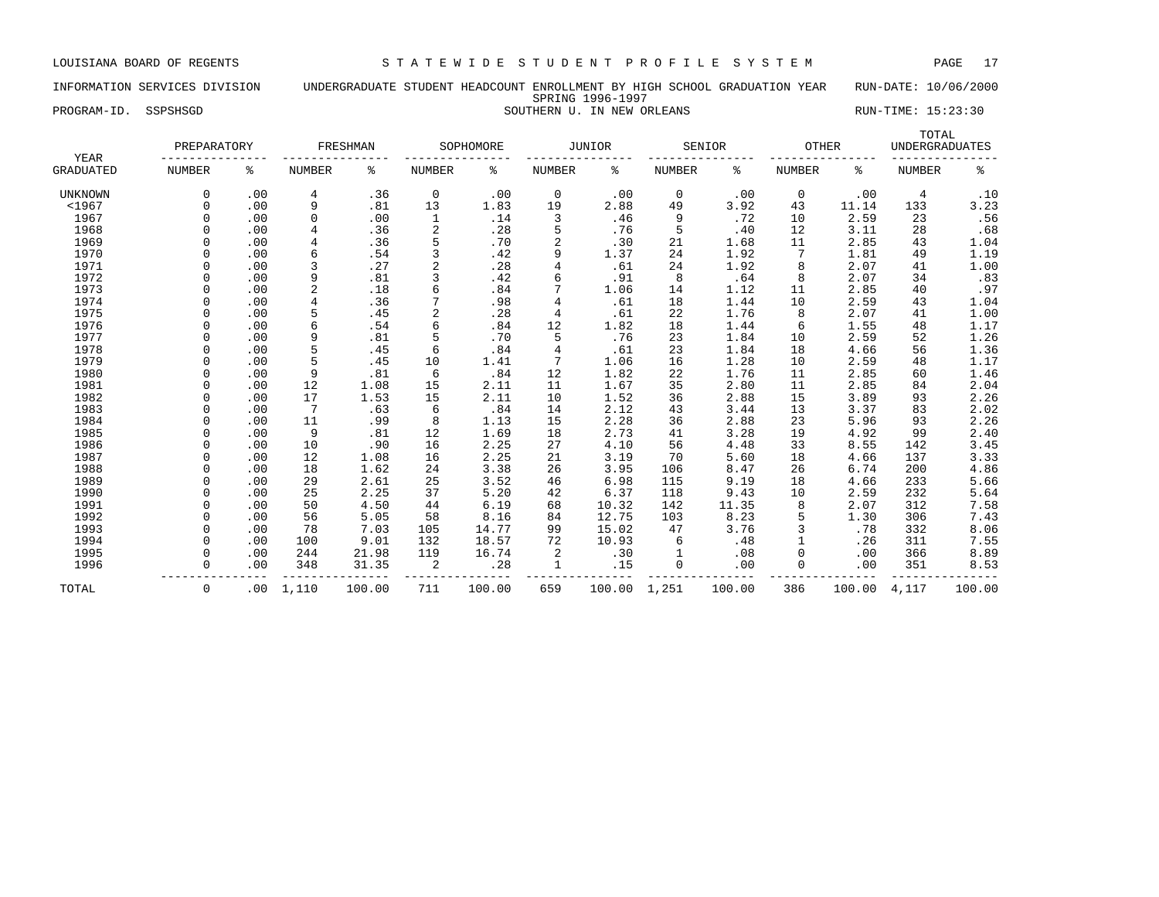# INFORMATION SERVICES DIVISION UNDERGRADUATE STUDENT HEADCOUNT ENROLLMENT BY HIGH SCHOOL GRADUATION YEAR RUN-DATE: 10/06/2000 SPRING 1996-1997 PROGRAM-ID. SSPSHSGD SOUTHERN U. IN NEW ORLEANS RUN-TIME: 15:23:30

| YEAR             | PREPARATORY |     |                | FRESHMAN |                | SOPHOMORE |                | <b>JUNIOR</b> |               | SENIOR | OTHER         |        | TOTAL<br><b>UNDERGRADUATES</b> |        |
|------------------|-------------|-----|----------------|----------|----------------|-----------|----------------|---------------|---------------|--------|---------------|--------|--------------------------------|--------|
| <b>GRADUATED</b> | NUMBER      | န့  | <b>NUMBER</b>  | ႜ        | NUMBER         | ႜ         | <b>NUMBER</b>  | ႜ             | <b>NUMBER</b> | ႜ      | <b>NUMBER</b> | ႜ      | <b>NUMBER</b>                  | နွ     |
| <b>UNKNOWN</b>   | $\Omega$    | .00 | 4              | .36      | 0              | .00       | 0              | .00           | 0             | .00    | 0             | .00    | 4                              | .10    |
| $<$ 1967         | $\Omega$    | .00 | 9              | .81      | 13             | 1.83      | 19             | 2.88          | 49            | 3.92   | 43            | 11.14  | 133                            | 3.23   |
| 1967             | $\Omega$    | .00 | 0              | .00      | 1              | .14       | 3              | .46           | 9             | .72    | 10            | 2.59   | 23                             | .56    |
| 1968             | $\Omega$    | .00 | 4              | .36      | $\overline{2}$ | .28       | 5              | .76           | 5             | .40    | 12            | 3.11   | 28                             | .68    |
| 1969             | $\Omega$    | .00 | 4              | .36      | 5              | .70       | $\sqrt{2}$     | .30           | 21            | 1.68   | 11            | 2.85   | 43                             | 1.04   |
| 1970             | $\Omega$    | .00 | 6              | .54      | 3              | .42       | 9              | 1.37          | 24            | 1.92   | 7             | 1.81   | 49                             | 1.19   |
| 1971             |             | .00 | 3              | .27      | $\overline{c}$ | .28       |                | .61           | 24            | 1.92   | 8             | 2.07   | 41                             | 1.00   |
| 1972             |             | .00 | 9              | .81      | 3              | .42       | б              | .91           | 8             | .64    | 8             | 2.07   | 34                             | .83    |
| 1973             | $\Omega$    | .00 | $\overline{2}$ | .18      | 6              | .84       |                | 1.06          | 14            | 1.12   | 11            | 2.85   | 40                             | .97    |
| 1974             | $\Omega$    | .00 | 4              | .36      |                | .98       | 4              | .61           | 18            | 1.44   | 10            | 2.59   | 43                             | 1.04   |
| 1975             | $\cap$      | .00 | 5              | .45      | $\overline{2}$ | .28       | $\overline{4}$ | .61           | 22            | 1.76   | 8             | 2.07   | 41                             | 1.00   |
| 1976             | $\cap$      | .00 | 6              | .54      | 6              | .84       | 12             | 1.82          | 18            | 1.44   | 6             | 1.55   | 48                             | 1.17   |
| 1977             | $\cap$      | .00 | 9              | .81      | 5              | .70       | 5              | .76           | 23            | 1.84   | 10            | 2.59   | 52                             | 1.26   |
| 1978             | $\Omega$    | .00 | 5              | .45      | 6              | .84       | $\overline{4}$ | .61           | 23            | 1.84   | 18            | 4.66   | 56                             | 1.36   |
| 1979             | $\Omega$    | .00 | 5              | .45      | 10             | 1.41      |                | 1.06          | 16            | 1.28   | 10            | 2.59   | 48                             | 1.17   |
| 1980             | $\Omega$    | .00 | 9              | .81      | 6              | .84       | 12             | 1.82          | 22            | 1.76   | 11            | 2.85   | 60                             | 1.46   |
| 1981             | $\Omega$    | .00 | 12             | 1.08     | 15             | 2.11      | 11             | 1.67          | 35            | 2.80   | 11            | 2.85   | 84                             | 2.04   |
| 1982             | $\Omega$    | .00 | 17             | 1.53     | 15             | 2.11      | 10             | 1.52          | 36            | 2.88   | 15            | 3.89   | 93                             | 2.26   |
| 1983             |             | .00 | 7              | .63      | 6              | .84       | 14             | 2.12          | 43            | 3.44   | 13            | 3.37   | 83                             | 2.02   |
| 1984             | $\Omega$    | .00 | 11             | .99      | 8              | 1.13      | 15             | 2.28          | 36            | 2.88   | 23            | 5.96   | 93                             | 2.26   |
| 1985             | $\Omega$    | .00 | 9              | .81      | 12             | 1.69      | 18             | 2.73          | 41            | 3.28   | 19            | 4.92   | 99                             | 2.40   |
| 1986             | $\Omega$    | .00 | 10             | .90      | 16             | 2.25      | 27             | 4.10          | 56            | 4.48   | 33            | 8.55   | 142                            | 3.45   |
| 1987             | $\Omega$    | .00 | 12             | 1.08     | 16             | 2.25      | 21             | 3.19          | 70            | 5.60   | 18            | 4.66   | 137                            | 3.33   |
| 1988             | $\Omega$    | .00 | 18             | 1.62     | 24             | 3.38      | 26             | 3.95          | 106           | 8.47   | 26            | 6.74   | 200                            | 4.86   |
| 1989             | $\Omega$    | .00 | 29             | 2.61     | 25             | 3.52      | 46             | 6.98          | 115           | 9.19   | 18            | 4.66   | 233                            | 5.66   |
| 1990             | $\Omega$    | .00 | 25             | 2.25     | 37             | 5.20      | 42             | 6.37          | 118           | 9.43   | 10            | 2.59   | 232                            | 5.64   |
| 1991             | $\Omega$    | .00 | 50             | 4.50     | 44             | 6.19      | 68             | 10.32         | 142           | 11.35  | 8             | 2.07   | 312                            | 7.58   |
| 1992             | $\cap$      | .00 | 56             | 5.05     | 58             | 8.16      | 84             | 12.75         | 103           | 8.23   |               | 1.30   | 306                            | 7.43   |
| 1993             |             | .00 | 78             | 7.03     | 105            | 14.77     | 99             | 15.02         | 47            | 3.76   |               | .78    | 332                            | 8.06   |
| 1994             | $\Omega$    | .00 | 100            | 9.01     | 132            | 18.57     | 72             | 10.93         | 6             | .48    |               | .26    | 311                            | 7.55   |
| 1995             | $\Omega$    | .00 | 244            | 21.98    | 119            | 16.74     | 2              | .30           | 1             | .08    |               | .00    | 366                            | 8.89   |
| 1996             | $\Omega$    | .00 | 348            | 31.35    | $\overline{c}$ | .28       | 1              | .15           | 0             | .00    |               | .00    | 351                            | 8.53   |
| TOTAL            | 0           | .00 | 1,110          | 100.00   | 711            | 100.00    | 659            | 100.00 1,251  |               | 100.00 | 386           | 100.00 | 4,117                          | 100.00 |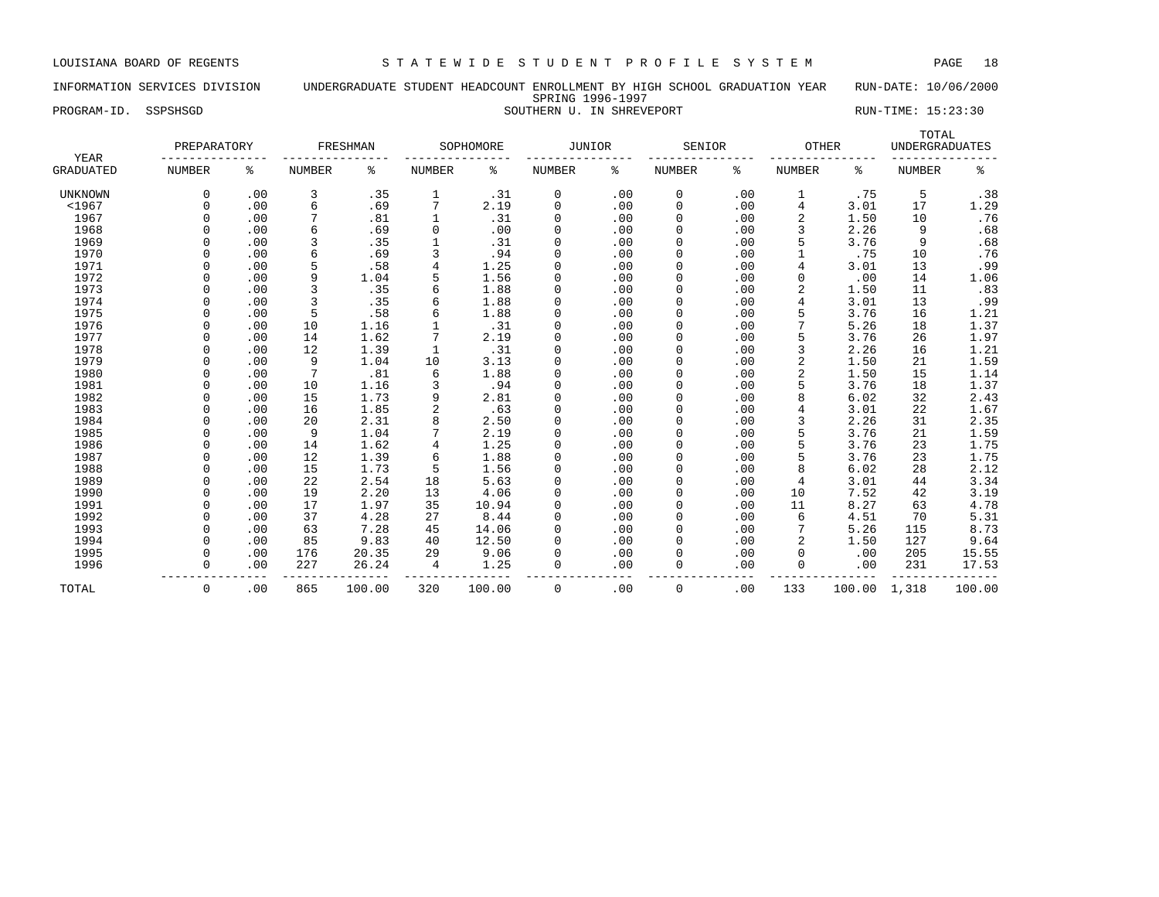# INFORMATION SERVICES DIVISION UNDERGRADUATE STUDENT HEADCOUNT ENROLLMENT BY HIGH SCHOOL GRADUATION YEAR RUN-DATE: 10/06/2000 SPRING 1996-1997 PROGRAM-ID. SSPSHSGD SOUTHERN U. IN SHREVEPORT SOUTHERN U. THE SERIES RUN-TIME: 15:23:30

| YEAR             | PREPARATORY   |     |               | FRESHMAN |                | SOPHOMORE | JUNIOR        |     | SENIOR        |     | <b>OTHER</b>  |        | TOTAL<br><b>UNDERGRADUATES</b> |        |
|------------------|---------------|-----|---------------|----------|----------------|-----------|---------------|-----|---------------|-----|---------------|--------|--------------------------------|--------|
| <b>GRADUATED</b> | <b>NUMBER</b> | ႜ   | <b>NUMBER</b> | ႜ        | <b>NUMBER</b>  | ႜ         | <b>NUMBER</b> | နွ  | <b>NUMBER</b> | ႜ   | <b>NUMBER</b> | ႜ      | <b>NUMBER</b>                  | နွ     |
| <b>UNKNOWN</b>   | $\Omega$      | .00 | 3             | .35      | 1              | .31       | 0             | .00 | 0             | .00 |               | .75    | 5                              | .38    |
| $1967$           | $\Omega$      | .00 | 6             | .69      | 7              | 2.19      | $\mathbf 0$   | .00 | $\mathbf 0$   | .00 | 4             | 3.01   | 17                             | 1.29   |
| 1967             | $\Omega$      | .00 | 7             | .81      |                | .31       | 0             | .00 | 0             | .00 | 2             | 1.50   | 10                             | .76    |
| 1968             | $\cap$        | .00 | 6             | .69      | $\mathbf 0$    | .00       | $\Omega$      | .00 | $\mathbf 0$   | .00 | 3             | 2.26   | 9                              | .68    |
| 1969             | $\Omega$      | .00 | 3             | .35      |                | .31       | 0             | .00 | $\mathbf 0$   | .00 |               | 3.76   | 9                              | .68    |
| 1970             | $\Omega$      | .00 | 6             | .69      | 3              | .94       | $\Omega$      | .00 | $\mathbf 0$   | .00 |               | .75    | 10                             | .76    |
| 1971             | $\Omega$      | .00 | 5             | .58      | 4              | 1.25      | $\Omega$      | .00 | $\mathbf 0$   | .00 |               | 3.01   | 13                             | .99    |
| 1972             | $\Omega$      | .00 | 9             | 1.04     | 5              | 1.56      | $\mathbf 0$   | .00 | $\mathbf 0$   | .00 | $\mathbf 0$   | .00    | 14                             | 1.06   |
| 1973             | $\Omega$      | .00 | 3             | .35      | 6              | 1.88      | 0             | .00 | $\mathbf 0$   | .00 | 2             | 1.50   | 11                             | .83    |
| 1974             | $\cap$        | .00 | 3             | .35      | 6              | 1.88      | 0             | .00 | $\mathbf 0$   | .00 | 4             | 3.01   | 13                             | .99    |
| 1975             |               | .00 | 5             | .58      | 6              | 1.88      | $\Omega$      | .00 | 0             | .00 |               | 3.76   | 16                             | 1.21   |
| 1976             | $\cap$        | .00 | 10            | 1.16     |                | .31       | $\Omega$      | .00 | $\Omega$      | .00 |               | 5.26   | 18                             | 1.37   |
| 1977             | $\Omega$      | .00 | 14            | 1.62     |                | 2.19      | $\Omega$      | .00 | $\Omega$      | .00 |               | 3.76   | 26                             | 1.97   |
| 1978             | $\cap$        | .00 | 12            | 1.39     | $\mathbf{1}$   | .31       | $\Omega$      | .00 | $\Omega$      | .00 | 3             | 2.26   | 16                             | 1.21   |
| 1979             | $\cap$        | .00 | 9             | 1.04     | 10             | 3.13      | $\Omega$      | .00 | $\Omega$      | .00 | 2             | 1.50   | 21                             | 1.59   |
| 1980             | $\cap$        | .00 | 7             | .81      | 6              | 1.88      | $\Omega$      | .00 | $\Omega$      | .00 |               | 1.50   | 15                             | 1.14   |
| 1981             | $\Omega$      | .00 | 10            | 1.16     | 3              | .94       | $\Omega$      | .00 | 0             | .00 |               | 3.76   | 18                             | 1.37   |
| 1982             | $\Omega$      | .00 | 15            | 1.73     | 9              | 2.81      | $\Omega$      | .00 | $\mathbf 0$   | .00 | 8             | 6.02   | 32                             | 2.43   |
| 1983             | $\Omega$      | .00 | 16            | 1.85     | $\overline{2}$ | .63       | 0             | .00 | 0             | .00 |               | 3.01   | 22                             | 1.67   |
| 1984             | $\Omega$      | .00 | 20            | 2.31     | 8              | 2.50      | 0             | .00 | 0             | .00 |               | 2.26   | 31                             | 2.35   |
| 1985             | $\Omega$      | .00 | 9             | 1.04     | 7              | 2.19      | 0             | .00 | 0             | .00 |               | 3.76   | 21                             | 1.59   |
| 1986             | $\Omega$      | .00 | 14            | 1.62     | $\overline{4}$ | 1.25      | 0             | .00 | 0             | .00 |               | 3.76   | 23                             | 1.75   |
| 1987             | $\Omega$      | .00 | 12            | 1.39     | 6              | 1.88      | 0             | .00 | 0             | .00 |               | 3.76   | 23                             | 1.75   |
| 1988             | $\cap$        | .00 | 15            | 1.73     | 5              | 1.56      | 0             | .00 | 0             | .00 | 8             | 6.02   | 28                             | 2.12   |
| 1989             | $\cap$        | .00 | 22            | 2.54     | 18             | 5.63      | 0             | .00 | $\Omega$      | .00 | 4             | 3.01   | 44                             | 3.34   |
| 1990             | $\Omega$      | .00 | 19            | 2.20     | 13             | 4.06      | 0             | .00 | $\Omega$      | .00 | 10            | 7.52   | 42                             | 3.19   |
| 1991             | $\Omega$      | .00 | 17            | 1.97     | 35             | 10.94     | 0             | .00 | $\Omega$      | .00 | 11            | 8.27   | 63                             | 4.78   |
| 1992             | $\cap$        | .00 | 37            | 4.28     | 27             | 8.44      | $\Omega$      | .00 | $\Omega$      | .00 | 6             | 4.51   | 70                             | 5.31   |
| 1993             | $\cap$        | .00 | 63            | 7.28     | 45             | 14.06     | $\Omega$      | .00 | 0             | .00 |               | 5.26   | 115                            | 8.73   |
| 1994             | $\Omega$      | .00 | 85            | 9.83     | 40             | 12.50     | 0             | .00 | 0             | .00 |               | 1.50   | 127                            | 9.64   |
| 1995             | $\Omega$      | .00 | 176           | 20.35    | 29             | 9.06      | 0             | .00 | $\mathbf 0$   | .00 | $\Omega$      | .00    | 205                            | 15.55  |
| 1996             | $\Omega$      | .00 | 227           | 26.24    | $\overline{4}$ | 1.25      | $\mathbf 0$   | .00 | $\Omega$      | .00 | $\Omega$      | .00    | 231                            | 17.53  |
| TOTAL            | 0             | .00 | 865           | 100.00   | 320            | 100.00    | $\mathbf 0$   | .00 | $\mathbf 0$   | .00 | 133           | 100.00 | 1,318                          | 100.00 |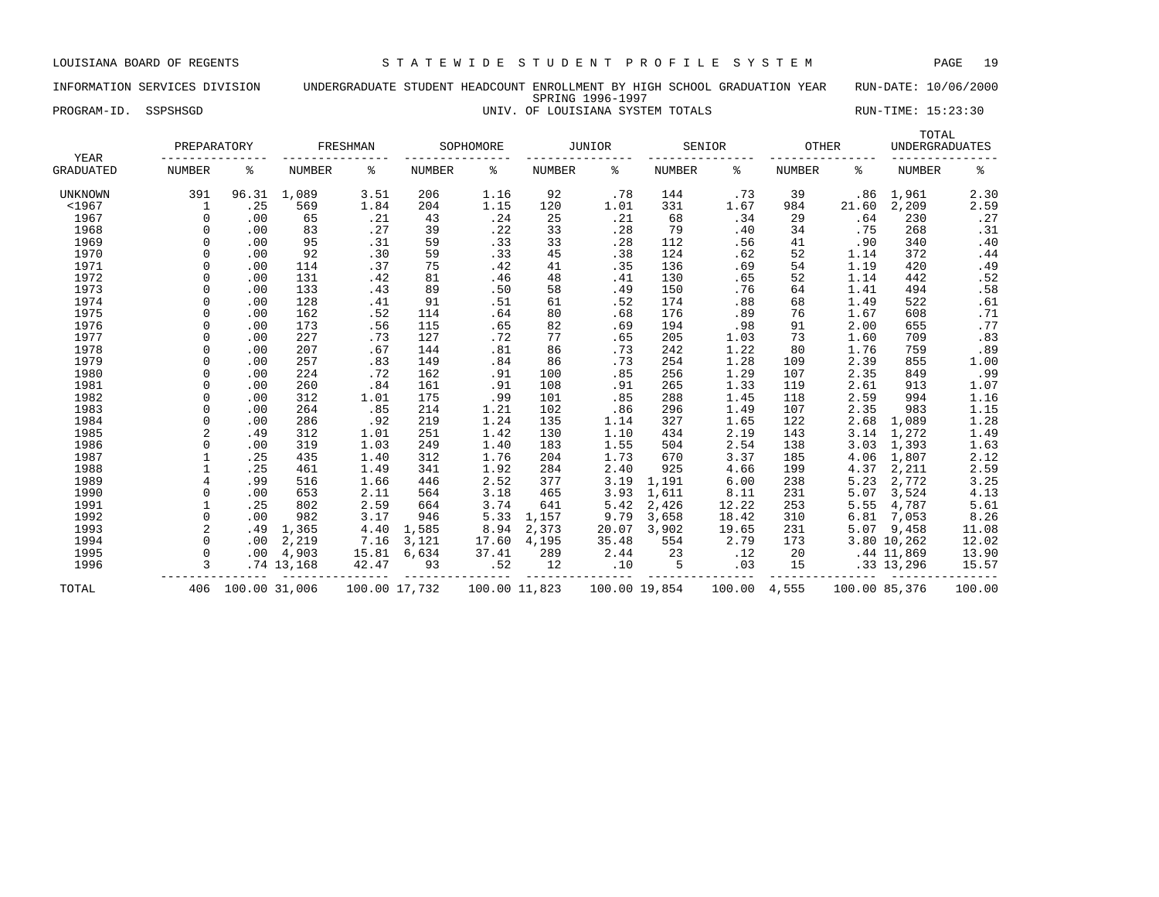# INFORMATION SERVICES DIVISION UNDERGRADUATE STUDENT HEADCOUNT ENROLLMENT BY HIGH SCHOOL GRADUATION YEAR RUN-DATE: 10/06/2000 SPRING 1996-1997

PROGRAM-ID. SSPSHSGD **EXECUTE:** 15:23:30

| YEAR             | PREPARATORY    |               |               | FRESHMAN |               | SOPHOMORE |               | <b>JUNIOR</b> |               | SENIOR | OTHER         |               | TOTAL<br><b>UNDERGRADUATES</b> |        |
|------------------|----------------|---------------|---------------|----------|---------------|-----------|---------------|---------------|---------------|--------|---------------|---------------|--------------------------------|--------|
|                  |                |               |               |          |               |           |               |               |               |        |               |               |                                |        |
| <b>GRADUATED</b> | <b>NUMBER</b>  | ి             | <b>NUMBER</b> | နွ       | NUMBER        | ៖         | <b>NUMBER</b> | နွ            | <b>NUMBER</b> | ႜ      | <b>NUMBER</b> | ిక            | <b>NUMBER</b>                  | နွ     |
| <b>UNKNOWN</b>   | 391            | 96.31         | 1,089         | 3.51     | 206           | 1.16      | 92            | .78           | 144           | .73    | 39            | .86           | 1,961                          | 2.30   |
| $1967$           | 1              | .25           | 569           | 1.84     | 204           | 1.15      | 120           | 1.01          | 331           | 1.67   | 984           | 21.60         | 2,209                          | 2.59   |
| 1967             | $\Omega$       | .00           | 65            | .21      | 43            | .24       | 25            | .21           | 68            | .34    | 29            | .64           | 230                            | .27    |
| 1968             | $\Omega$       | .00           | 83            | .27      | 39            | .22       | 33            | .28           | 79            | .40    | 34            | .75           | 268                            | .31    |
| 1969             | $\Omega$       | .00           | 95            | .31      | 59            | .33       | 33            | .28           | 112           | .56    | 41            | .90           | 340                            | .40    |
| 1970             | $\Omega$       | .00           | 92            | .30      | 59            | .33       | 45            | .38           | 124           | .62    | 52            | 1.14          | 372                            | .44    |
| 1971             | $\Omega$       | .00           | 114           | .37      | 75            | .42       | 41            | .35           | 136           | .69    | 54            | 1.19          | 420                            | .49    |
| 1972             |                | .00           | 131           | .42      | 81            | .46       | 48            | .41           | 130           | .65    | 52            | 1.14          | 442                            | .52    |
| 1973             |                | .00           | 133           | .43      | 89            | .50       | 58            | .49           | 150           | .76    | 64            | 1.41          | 494                            | .58    |
| 1974             | $\Omega$       | .00           | 128           | .41      | 91            | .51       | 61            | .52           | 174           | .88    | 68            | 1.49          | 522                            | .61    |
| 1975             | $\Omega$       | .00           | 162           | .52      | 114           | .64       | 80            | .68           | 176           | .89    | 76            | 1.67          | 608                            | .71    |
| 1976             | $\Omega$       | .00           | 173           | .56      | 115           | .65       | 82            | .69           | 194           | .98    | 91            | 2.00          | 655                            | .77    |
| 1977             | $\Omega$       | .00           | 227           | .73      | 127           | .72       | 77            | .65           | 205           | 1.03   | 73            | 1.60          | 709                            | .83    |
| 1978             | $\Omega$       | .00           | 207           | .67      | 144           | .81       | 86            | .73           | 242           | 1.22   | 80            | 1.76          | 759                            | .89    |
| 1979             | $\Omega$       | .00           | 257           | .83      | 149           | .84       | 86            | .73           | 254           | 1.28   | 109           | 2.39          | 855                            | 1.00   |
| 1980             | $\Omega$       | .00           | 224           | .72      | 162           | .91       | 100           | .85           | 256           | 1.29   | 107           | 2.35          | 849                            | .99    |
| 1981             | $\Omega$       | .00           | 260           | .84      | 161           | .91       | 108           | .91           | 265           | 1.33   | 119           | 2.61          | 913                            | 1.07   |
| 1982             | $\Omega$       | .00           | 312           | 1.01     | 175           | .99       | 101           | .85           | 288           | 1.45   | 118           | 2.59          | 994                            | 1.16   |
| 1983             | $\Omega$       | .00           | 264           | .85      | 214           | 1.21      | 102           | .86           | 296           | 1.49   | 107           | 2.35          | 983                            | 1.15   |
| 1984             | $\Omega$       | .00           | 286           | .92      | 219           | 1.24      | 135           | 1.14          | 327           | 1.65   | 122           | 2.68          | 1,089                          | 1.28   |
| 1985             | $\overline{c}$ | .49           | 312           | 1.01     | 251           | 1.42      | 130           | 1.10          | 434           | 2.19   | 143           | 3.14          | 1,272                          | 1.49   |
| 1986             | $\Omega$       | .00           | 319           | 1.03     | 249           | 1.40      | 183           | 1.55          | 504           | 2.54   | 138           | 3.03          | 1,393                          | 1.63   |
| 1987             |                | .25           | 435           | 1.40     | 312           | 1.76      | 204           | 1.73          | 670           | 3.37   | 185           | 4.06          | 1,807                          | 2.12   |
| 1988             | $\mathbf{1}$   | .25           | 461           | 1.49     | 341           | 1.92      | 284           | 2.40          | 925           | 4.66   | 199           | 4.37          | 2,211                          | 2.59   |
| 1989             | $\overline{4}$ | .99           | 516           | 1.66     | 446           | 2.52      | 377           | 3.19          | 1,191         | 6.00   | 238           | 5.23          | 2,772                          | 3.25   |
| 1990             | $\Omega$       | .00           | 653           | 2.11     | 564           | 3.18      | 465           | 3.93          | 1,611         | 8.11   | 231           | 5.07          | 3,524                          | 4.13   |
| 1991             |                | .25           | 802           | 2.59     | 664           | 3.74      | 641           | 5.42          | 2,426         | 12.22  | 253           | 5.55          | 4,787                          | 5.61   |
| 1992             | $\Omega$       | .00           | 982           | 3.17     | 946           | 5.33      | 1,157         | 9.79          | 3,658         | 18.42  | 310           | 6.81          | 7,053                          | 8.26   |
| 1993             | $\overline{c}$ | .49           | 1,365         | 4.40     | 1,585         | 8.94      | 2,373         | 20.07         | 3,902         | 19.65  | 231           | 5.07          | 9,458                          | 11.08  |
| 1994             |                | .00           | 2,219         | 7.16     | 3,121         | 17.60     | 4,195         | 35.48         | 554           | 2.79   | 173           |               | 3.80 10,262                    | 12.02  |
| 1995             | $\Omega$       | .00           | 4,903         | 15.81    | 6,634         | 37.41     | 289           | 2.44          | 23            | .12    | 20            |               | .44 11,869                     | 13.90  |
| 1996             | 3              |               | $.74$ 13,168  | 42.47    | 93            | .52       | 12            | .10           | 5             | .03    | 15            |               | .33 13,296                     | 15.57  |
| TOTAL            | 406            | 100.00 31,006 |               |          | 100.00 17,732 |           | 100.00 11,823 |               | 100.00 19,854 | 100.00 | 4,555         | 100.00 85,376 |                                | 100.00 |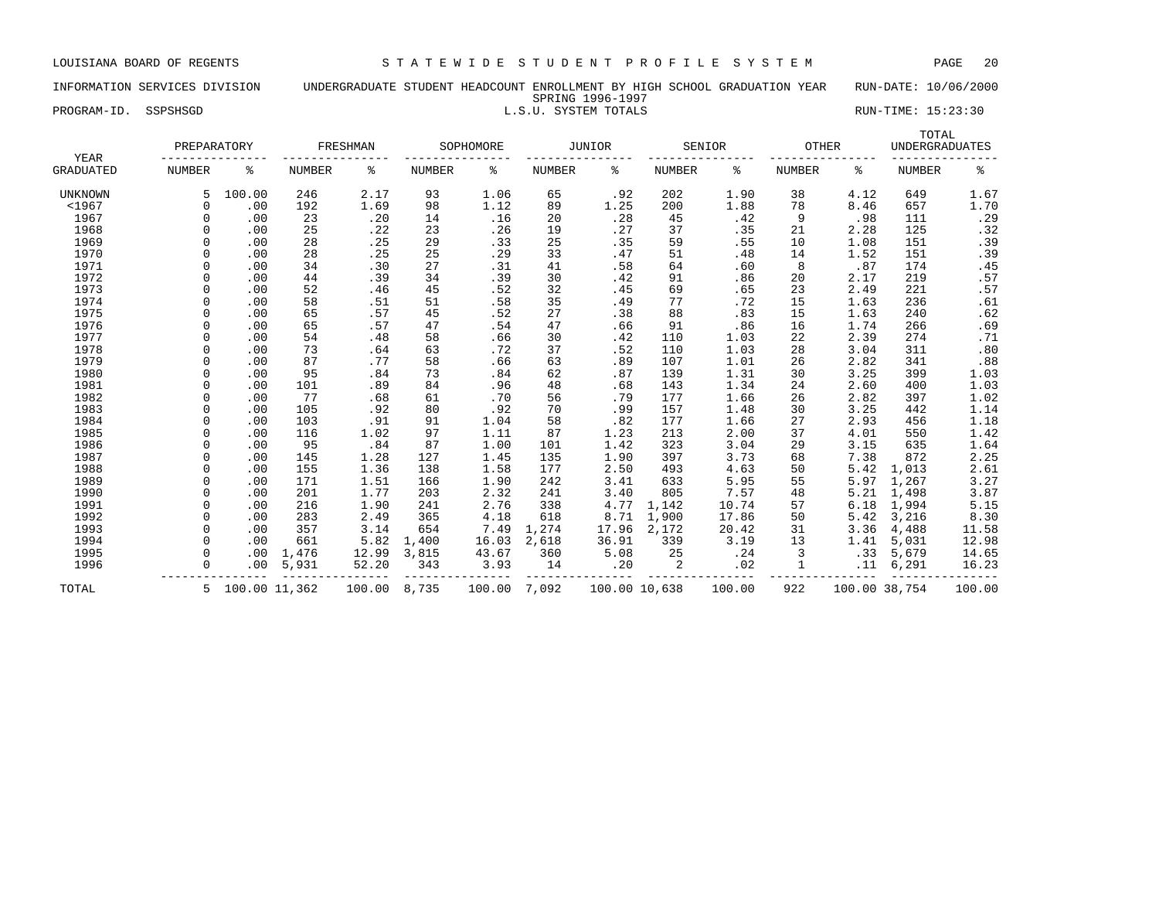# INFORMATION SERVICES DIVISION UNDERGRADUATE STUDENT HEADCOUNT ENROLLMENT BY HIGH SCHOOL GRADUATION YEAR RUN-DATE: 10/06/2000 SPRING 1996-1997

# PROGRAM-ID. SSPSHSGD **EXECUTE:** 15:23:30

| YEAR             | PREPARATORY   |                 |               | FRESHMAN |               | SOPHOMORE |               | JUNIOR        |                | SENIOR | <b>OTHER</b>  |               | TOTAL<br><b>UNDERGRADUATES</b> |        |
|------------------|---------------|-----------------|---------------|----------|---------------|-----------|---------------|---------------|----------------|--------|---------------|---------------|--------------------------------|--------|
| <b>GRADUATED</b> | <b>NUMBER</b> | ి               | <b>NUMBER</b> | ి        | <b>NUMBER</b> | ి         | <b>NUMBER</b> | ి             | <b>NUMBER</b>  | ిక     | <b>NUMBER</b> | ႜ             | <b>NUMBER</b>                  | နွ     |
| <b>UNKNOWN</b>   |               | 100.00          | 246           | 2.17     | 93            | 1.06      | 65            | .92           | 202            | 1.90   | 38            | 4.12          | 649                            | 1.67   |
| $<$ 1967         | $\Omega$      | .00             | 192           | 1.69     | 98            | 1.12      | 89            | 1.25          | 200            | 1.88   | 78            | 8.46          | 657                            | 1.70   |
| 1967             | $\Omega$      | .00             | 23            | .20      | 14            | .16       | 20            | .28           | 45             | .42    | 9             | .98           | 111                            | .29    |
| 1968             | $\Omega$      | .00             | 25            | .22      | 23            | .26       | 19            | .27           | 37             | .35    | 21            | 2.28          | 125                            | .32    |
| 1969             | $\Omega$      | .00             | 28            | .25      | 29            | .33       | 25            | .35           | 59             | .55    | 10            | 1.08          | 151                            | .39    |
| 1970             | $\Omega$      | .00             | 28            | .25      | 25            | .29       | 33            | .47           | 51             | .48    | 14            | 1.52          | 151                            | .39    |
| 1971             | $\Omega$      | .00             | 34            | .30      | 27            | .31       | 41            | .58           | 64             | .60    | 8             | .87           | 174                            | .45    |
| 1972             |               | .00             | 44            | .39      | 34            | .39       | 30            | .42           | 91             | .86    | 20            | 2.17          | 219                            | .57    |
| 1973             |               | .00             | 52            | .46      | 45            | .52       | 32            | .45           | 69             | .65    | 23            | 2.49          | 221                            | .57    |
| 1974             | $\Omega$      | .00             | 58            | .51      | 51            | .58       | 35            | .49           | 77             | .72    | 15            | 1.63          | 236                            | .61    |
| 1975             | $\Omega$      | .00             | 65            | .57      | 45            | .52       | 27            | .38           | 88             | .83    | 15            | 1.63          | 240                            | .62    |
| 1976             | $\cap$        | .00             | 65            | .57      | 47            | .54       | 47            | .66           | 91             | .86    | 16            | 1.74          | 266                            | .69    |
| 1977             | $\cap$        | .00             | 54            | .48      | 58            | .66       | 30            | .42           | 110            | 1.03   | 22            | 2.39          | 274                            | .71    |
| 1978             | $\Omega$      | .00             | 73            | .64      | 63            | .72       | 37            | .52           | 110            | 1.03   | 28            | 3.04          | 311                            | .80    |
| 1979             | $\Omega$      | .00             | 87            | .77      | 58            | .66       | 63            | .89           | 107            | 1.01   | 26            | 2.82          | 341                            | $.88$  |
| 1980             | $\Omega$      | .00             | 95            | .84      | 73            | .84       | 62            | .87           | 139            | 1.31   | 30            | 3.25          | 399                            | 1.03   |
| 1981             | $\Omega$      | .00             | 101           | .89      | 84            | .96       | 48            | .68           | 143            | 1.34   | 24            | 2.60          | 400                            | 1.03   |
| 1982             | $\Omega$      | .00             | 77            | .68      | 61            | .70       | 56            | .79           | 177            | 1.66   | 26            | 2.82          | 397                            | 1.02   |
| 1983             | $\cap$        | .00             | 105           | .92      | 80            | .92       | 70            | .99           | 157            | 1.48   | 30            | 3.25          | 442                            | 1.14   |
| 1984             | $\Omega$      | .00             | 103           | .91      | 91            | 1.04      | 58            | .82           | 177            | 1.66   | 27            | 2.93          | 456                            | 1.18   |
| 1985             | $\Omega$      | .00             | 116           | 1.02     | 97            | 1.11      | 87            | 1.23          | 213            | 2.00   | 37            | 4.01          | 550                            | 1.42   |
| 1986             | $\Omega$      | .00             | 95            | .84      | 87            | 1.00      | 101           | 1.42          | 323            | 3.04   | 29            | 3.15          | 635                            | 1.64   |
| 1987             | $\Omega$      | .00             | 145           | 1.28     | 127           | 1.45      | 135           | 1.90          | 397            | 3.73   | 68            | 7.38          | 872                            | 2.25   |
| 1988             | $\cap$        | .00             | 155           | 1.36     | 138           | 1.58      | 177           | 2.50          | 493            | 4.63   | 50            | 5.42          | 1,013                          | 2.61   |
| 1989             | $\Omega$      | .00             | 171           | 1.51     | 166           | 1.90      | 242           | 3.41          | 633            | 5.95   | 55            | 5.97          | 1,267                          | 3.27   |
| 1990             | $\Omega$      | .00             | 201           | 1.77     | 203           | 2.32      | 241           | 3.40          | 805            | 7.57   | 48            | 5.21          | 1,498                          | 3.87   |
| 1991             | $\Omega$      | .00             | 216           | 1.90     | 241           | 2.76      | 338           | 4.77          | 1,142          | 10.74  | 57            | 6.18          | 1,994                          | 5.15   |
| 1992             | $\Omega$      | .00             | 283           | 2.49     | 365           | 4.18      | 618           | 8.71          | 1,900          | 17.86  | 50            | 5.42          | 3,216                          | 8.30   |
| 1993             | $\Omega$      | .00             | 357           | 3.14     | 654           | 7.49      | 1,274         | 17.96         | 2,172          | 20.42  | 31            | 3.36          | 4,488                          | 11.58  |
| 1994             | $\cap$        | .00             | 661           | 5.82     | 1,400         | 16.03     | 2,618         | 36.91         | 339            | 3.19   | 13            | 1.41          | 5,031                          | 12.98  |
| 1995             | $\Omega$      | .00             | 1,476         | 12.99    | 3,815         | 43.67     | 360           | 5.08          | 25             | .24    | 3             | .33           | 5,679                          | 14.65  |
| 1996             | $\Omega$      | .00             | 5,931         | 52.20    | 343           | 3.93      | 14            | .20           | $\overline{c}$ | .02    |               | .11           | 6,291                          | 16.23  |
| TOTAL            |               | 5 100.00 11,362 |               | 100.00   | 8,735         | 100.00    | 7,092         | 100.00 10,638 |                | 100.00 | 922           | 100.00 38,754 |                                | 100.00 |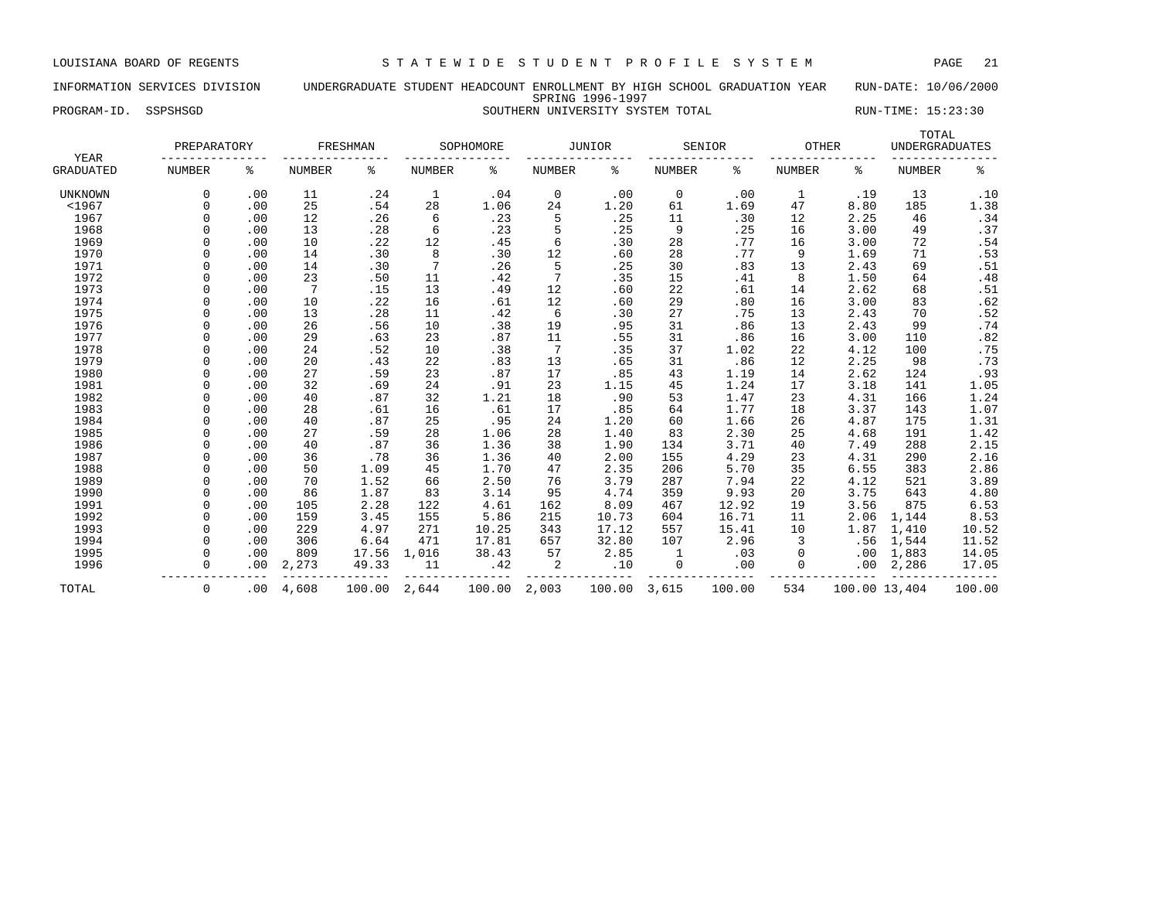# INFORMATION SERVICES DIVISION UNDERGRADUATE STUDENT HEADCOUNT ENROLLMENT BY HIGH SCHOOL GRADUATION YEAR RUN-DATE: 10/06/2000 SPRING 1996-1997 PROGRAM-ID. SSPSHSGD SOUTHERN UNIVERSITY SYSTEM TOTAL RUN-TIME: 15:23:30

| YEAR             | PREPARATORY   |     |               | FRESHMAN |               | SOPHOMORE |               | JUNIOR |               | SENIOR |               | <b>OTHER</b>  | TOTAL<br><b>UNDERGRADUATES</b> |        |
|------------------|---------------|-----|---------------|----------|---------------|-----------|---------------|--------|---------------|--------|---------------|---------------|--------------------------------|--------|
| <b>GRADUATED</b> | <b>NUMBER</b> | ႜ   | <b>NUMBER</b> | ႜ        | <b>NUMBER</b> | န့        | <b>NUMBER</b> | ៖      | <b>NUMBER</b> | ႜ      | <b>NUMBER</b> | ႜ             | <b>NUMBER</b>                  | ್ಠಿ    |
| <b>UNKNOWN</b>   | $\Omega$      | .00 | 11            | .24      | 1             | .04       | 0             | .00    | $\mathbf 0$   | .00    | 1             | .19           | 13                             | .10    |
| $<$ 1967         | $\Omega$      | .00 | 25            | .54      | 28            | 1.06      | 24            | 1.20   | 61            | 1.69   | 47            | 8.80          | 185                            | 1.38   |
| 1967             | $\Omega$      | .00 | 12            | .26      | 6             | .23       | 5             | .25    | 11            | .30    | 12            | 2.25          | 46                             | .34    |
| 1968             | O             | .00 | 13            | .28      | 6             | .23       | 5             | .25    | 9             | .25    | 16            | 3.00          | 49                             | .37    |
| 1969             | O             | .00 | 10            | .22      | 12            | .45       | 6             | .30    | 28            | .77    | 16            | 3.00          | 72                             | .54    |
| 1970             |               | .00 | 14            | .30      | 8             | .30       | 12            | .60    | 28            | .77    | 9             | 1.69          | 71                             | .53    |
| 1971             | $\Omega$      | .00 | 14            | .30      | 7             | .26       | 5             | .25    | 30            | .83    | 13            | 2.43          | 69                             | .51    |
| 1972             |               | .00 | 23            | .50      | 11            | .42       | 7             | .35    | 15            | .41    | 8             | 1.50          | 64                             | .48    |
| 1973             |               | .00 | 7             | .15      | 13            | .49       | 12            | .60    | 22            | .61    | 14            | 2.62          | 68                             | .51    |
| 1974             |               | .00 | 10            | .22      | 16            | .61       | 12            | .60    | 29            | .80    | 16            | 3.00          | 83                             | .62    |
| 1975             |               | .00 | 13            | .28      | 11            | .42       | 6             | .30    | 27            | .75    | 13            | 2.43          | 70                             | .52    |
| 1976             |               | .00 | 26            | .56      | 10            | .38       | 19            | .95    | 31            | .86    | 13            | 2.43          | 99                             | .74    |
| 1977             | U             | .00 | 29            | .63      | 23            | .87       | 11            | .55    | 31            | .86    | 16            | 3.00          | 110                            | .82    |
| 1978             | U             | .00 | 24            | .52      | 10            | .38       | 7             | .35    | 37            | 1.02   | 22            | 4.12          | 100                            | .75    |
| 1979             | U             | .00 | 20            | .43      | 22            | .83       | 13            | .65    | 31            | .86    | 12            | 2.25          | 98                             | .73    |
| 1980             | U             | .00 | 27            | .59      | 23            | .87       | 17            | .85    | 43            | 1.19   | 14            | 2.62          | 124                            | .93    |
| 1981             | O             | .00 | 32            | .69      | 24            | .91       | 23            | 1.15   | 45            | 1.24   | 17            | 3.18          | 141                            | 1.05   |
| 1982             | O             | .00 | 40            | .87      | 32            | 1.21      | 18            | .90    | 53            | 1.47   | 23            | 4.31          | 166                            | 1.24   |
| 1983             | O             | .00 | 28            | .61      | 16            | .61       | 17            | .85    | 64            | 1.77   | 18            | 3.37          | 143                            | 1.07   |
| 1984             | O             | .00 | 40            | .87      | 25            | .95       | 24            | 1.20   | 60            | 1.66   | 26            | 4.87          | 175                            | 1.31   |
| 1985             | O             | .00 | 27            | .59      | 28            | 1.06      | 28            | 1.40   | 83            | 2.30   | 25            | 4.68          | 191                            | 1.42   |
| 1986             | O             | .00 | 40            | .87      | 36            | 1.36      | 38            | 1.90   | 134           | 3.71   | 40            | 7.49          | 288                            | 2.15   |
| 1987             |               | .00 | 36            | .78      | 36            | 1.36      | 40            | 2.00   | 155           | 4.29   | 23            | 4.31          | 290                            | 2.16   |
| 1988             |               | .00 | 50            | 1.09     | 45            | 1.70      | 47            | 2.35   | 206           | 5.70   | 35            | 6.55          | 383                            | 2.86   |
| 1989             |               | .00 | 70            | 1.52     | 66            | 2.50      | 76            | 3.79   | 287           | 7.94   | 22            | 4.12          | 521                            | 3.89   |
| 1990             | $\cap$        | .00 | 86            | 1.87     | 83            | 3.14      | 95            | 4.74   | 359           | 9.93   | 20            | 3.75          | 643                            | 4.80   |
| 1991             | $\Omega$      | .00 | 105           | 2.28     | 122           | 4.61      | 162           | 8.09   | 467           | 12.92  | 19            | 3.56          | 875                            | 6.53   |
| 1992             | U             | .00 | 159           | 3.45     | 155           | 5.86      | 215           | 10.73  | 604           | 16.71  | 11            | 2.06          | 1,144                          | 8.53   |
| 1993             | O             | .00 | 229           | 4.97     | 271           | 10.25     | 343           | 17.12  | 557           | 15.41  | 10            | 1.87          | 1,410                          | 10.52  |
| 1994             | O             | .00 | 306           | 6.64     | 471           | 17.81     | 657           | 32.80  | 107           | 2.96   | 3             | .56           | 1,544                          | 11.52  |
| 1995             | O             | .00 | 809           | 17.56    | 1,016         | 38.43     | 57            | 2.85   | 1             | .03    | 0             | .00           | 1,883                          | 14.05  |
| 1996             | O             | .00 | 2,273         | 49.33    | 11            | .42       | 2             | .10    | 0             | .00    |               | .00           | 2,286                          | 17.05  |
| TOTAL            | 0             | .00 | 4,608         | 100.00   | 2,644         | 100.00    | 2,003         | 100.00 | 3,615         | 100.00 | 534           | 100.00 13,404 |                                | 100.00 |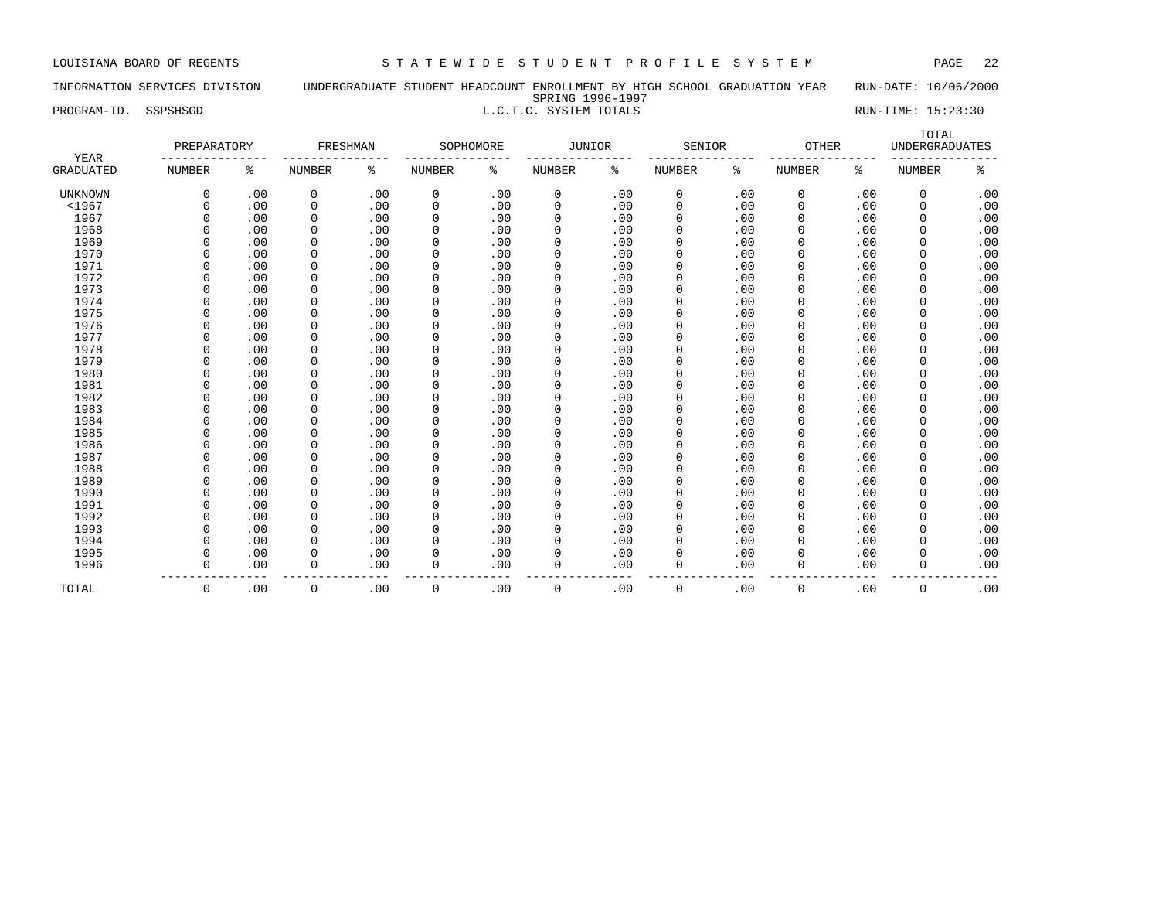# INFORMATION SERVICES DIVISION UNDERGRADUATE STUDENT HEADCOUNT ENROLLMENT BY HIGH SCHOOL GRADUATION YEAR RUN-DATE: 10/06/2000 SPRING 1996-1997

PROGRAM-ID. SSPSHSGD **RUN-TIME:** 15:23:30

| YEAR             | PREPARATORY   |     | FRESHMAN      |     |               | SOPHOMORE | <b>JUNIOR</b> |     | SENIOR        |     | OTHER         |     | TOTAL<br><b>UNDERGRADUATES</b> |     |
|------------------|---------------|-----|---------------|-----|---------------|-----------|---------------|-----|---------------|-----|---------------|-----|--------------------------------|-----|
| <b>GRADUATED</b> | <b>NUMBER</b> | နွ  | <b>NUMBER</b> | ႜ   | <b>NUMBER</b> | ႜ         | <b>NUMBER</b> | ႜ   | <b>NUMBER</b> | ႜ   | <b>NUMBER</b> | ႜ   | <b>NUMBER</b>                  | ್ಠಿ |
| <b>UNKNOWN</b>   | 0             | .00 | 0             | .00 | 0             | .00       | 0             | .00 | 0             | .00 | 0             | .00 | 0                              | .00 |
| $<$ 1967         | $\Omega$      | .00 | 0             | .00 | $\mathbf 0$   | .00       | $\mathbf{0}$  | .00 | $\mathbf 0$   | .00 | 0             | .00 | 0                              | .00 |
| 1967             | $\Omega$      | .00 | 0             | .00 | 0             | .00       | 0             | .00 | 0             | .00 | $\Omega$      | .00 | $\Omega$                       | .00 |
| 1968             | $\Omega$      | .00 | $\mathbf 0$   | .00 | 0             | .00       | 0             | .00 | $\mathbf 0$   | .00 | 0             | .00 | 0                              | .00 |
| 1969             | $\Omega$      | .00 | $\mathbf 0$   | .00 | 0             | .00       | 0             | .00 | $\mathbf 0$   | .00 | 0             | .00 | 0                              | .00 |
| 1970             | 0             | .00 | $\mathbf 0$   | .00 | 0             | .00       | 0             | .00 | $\mathbf 0$   | .00 | 0             | .00 | 0                              | .00 |
| 1971             | $\Omega$      | .00 | $\mathbf 0$   | .00 | $\mathbf 0$   | .00       | 0             | .00 | $\mathbf 0$   | .00 | 0             | .00 | 0                              | .00 |
| 1972             | $\Omega$      | .00 | $\mathbf 0$   | .00 | 0             | .00       | 0             | .00 | $\mathbf 0$   | .00 | 0             | .00 | 0                              | .00 |
| 1973             | $\Omega$      | .00 | $\mathbf 0$   | .00 | 0             | .00       | 0             | .00 | $\mathbf 0$   | .00 | 0             | .00 | 0                              | .00 |
| 1974             | $\Omega$      | .00 | 0             | .00 | 0             | .00       | 0             | .00 | 0             | .00 | 0             | .00 | 0                              | .00 |
| 1975             | $\Omega$      | .00 | $\mathbf 0$   | .00 | 0             | .00       | 0             | .00 | $\mathbf 0$   | .00 | 0             | .00 | 0                              | .00 |
| 1976             | $\Omega$      | .00 | $\mathbf 0$   | .00 | 0             | .00       | $\Omega$      | .00 | $\Omega$      | .00 | 0             | .00 | 0                              | .00 |
| 1977             | $\Omega$      | .00 | $\mathbf 0$   | .00 | 0             | .00       | 0             | .00 | $\Omega$      | .00 | $\Omega$      | .00 | 0                              | .00 |
| 1978             | $\Omega$      | .00 | $\mathbf 0$   | .00 | 0             | .00       | 0             | .00 | $\Omega$      | .00 | $\Omega$      | .00 | 0                              | .00 |
| 1979             | $\Omega$      | .00 | 0             | .00 | 0             | .00       | 0             | .00 | $\Omega$      | .00 | $\Omega$      | .00 | 0                              | .00 |
| 1980             | $\Omega$      | .00 | 0             | .00 | 0             | .00       | 0             | .00 | $\Omega$      | .00 | $\Omega$      | .00 | $\Omega$                       | .00 |
| 1981             | $\Omega$      | .00 | $\mathbf 0$   | .00 | 0             | .00       | 0             | .00 | $\mathbf 0$   | .00 | 0             | .00 | 0                              | .00 |
| 1982             | $\Omega$      | .00 | $\mathbf 0$   | .00 | 0             | .00       | 0             | .00 | $\mathbf 0$   | .00 | 0             | .00 | 0                              | .00 |
| 1983             | 0             | .00 | $\mathbf 0$   | .00 | 0             | .00       | 0             | .00 | $\mathbf 0$   | .00 | 0             | .00 | 0                              | .00 |
| 1984             | $\Omega$      | .00 | $\mathbf 0$   | .00 | 0             | .00       | 0             | .00 | $\mathbf 0$   | .00 | 0             | .00 | 0                              | .00 |
| 1985             | $\Omega$      | .00 | $\mathbf 0$   | .00 | $\mathbf 0$   | .00       | 0             | .00 | $\mathbf 0$   | .00 | 0             | .00 | 0                              | .00 |
| 1986             | $\Omega$      | .00 | 0             | .00 | 0             | .00       | 0             | .00 | $\mathbf 0$   | .00 | 0             | .00 | 0                              | .00 |
| 1987             | $\Omega$      | .00 | 0             | .00 | 0             | .00       | 0             | .00 | 0             | .00 | 0             | .00 | 0                              | .00 |
| 1988             | $\Omega$      | .00 | 0             | .00 | 0             | .00       | 0             | .00 | $\Omega$      | .00 | 0             | .00 | 0                              | .00 |
| 1989             | $\Omega$      | .00 | $\mathbf 0$   | .00 | 0             | .00       | 0             | .00 | $\Omega$      | .00 | 0             | .00 | 0                              | .00 |
| 1990             | $\Omega$      | .00 | $\mathbf 0$   | .00 | 0             | .00       | $\mathbf 0$   | .00 | $\Omega$      | .00 | 0             | .00 | 0                              | .00 |
| 1991             | $\Omega$      | .00 | $\mathbf 0$   | .00 | 0             | .00       | $\mathbf 0$   | .00 | $\Omega$      | .00 | 0             | .00 | 0                              | .00 |
| 1992             | $\Omega$      | .00 | 0             | .00 | 0             | .00       | $\Omega$      | .00 | $\Omega$      | .00 | $\Omega$      | .00 | $\Omega$                       | .00 |
| 1993             | $\Omega$      | .00 | $\mathbf 0$   | .00 | 0             | .00       | 0             | .00 | $\Omega$      | .00 | 0             | .00 | $\Omega$                       | .00 |
| 1994             | $\Omega$      | .00 | $\mathbf 0$   | .00 | 0             | .00       | 0             | .00 | $\mathbf 0$   | .00 | 0             | .00 | $\Omega$                       | .00 |
| 1995             | $\Omega$      | .00 | 0             | .00 | 0             | .00       | 0             | .00 | $\mathbf 0$   | .00 | 0             | .00 | $\Omega$                       | .00 |
| 1996             | $\mathbf 0$   | .00 | $\mathbf 0$   | .00 | 0             | .00       | $\Omega$      | .00 | $\Omega$      | .00 | 0             | .00 | 0                              | .00 |
| TOTAL            | $\mathsf 0$   | .00 | $\mathbf 0$   | .00 | 0             | .00       | $\Omega$      | .00 | $\mathbf 0$   | .00 | 0             | .00 | $\mathbf{0}$                   | .00 |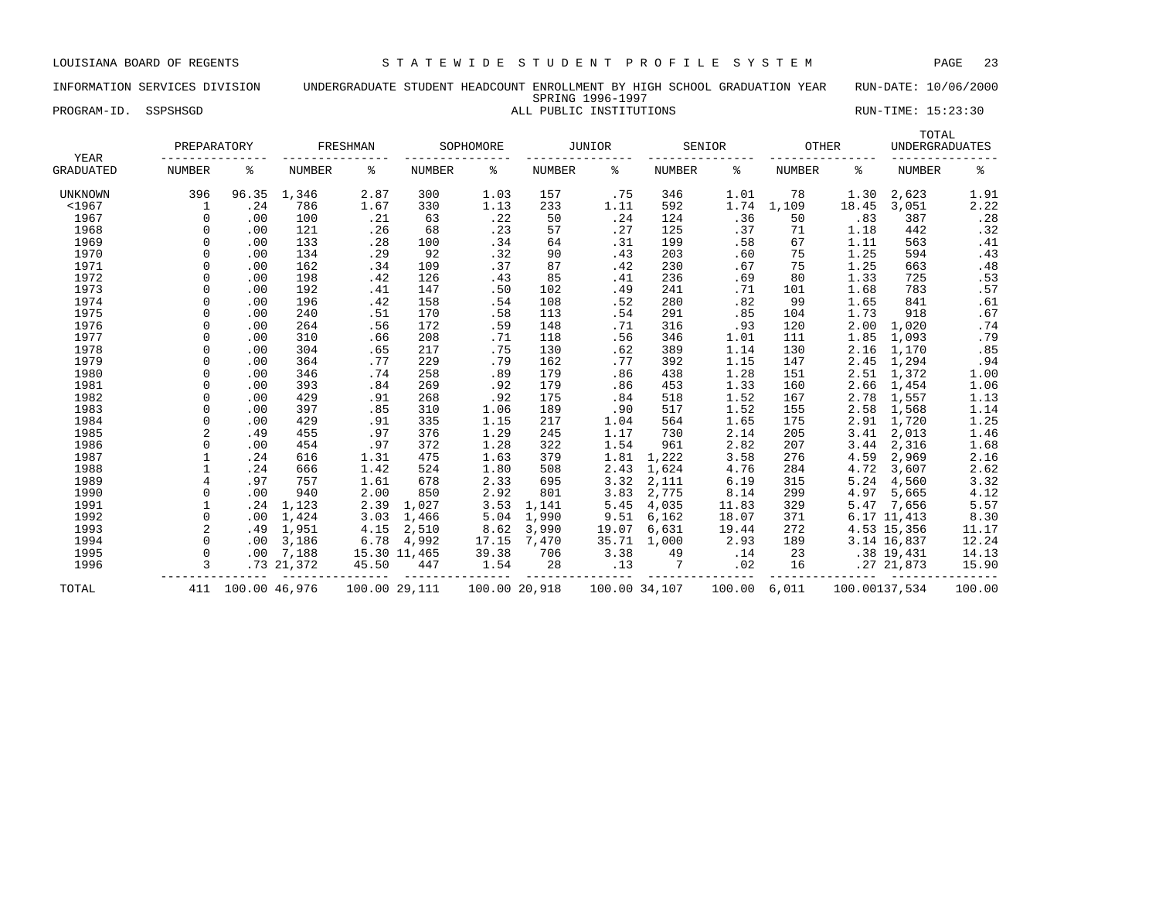### INFORMATION SERVICES DIVISION UNDERGRADUATE STUDENT HEADCOUNT ENROLLMENT BY HIGH SCHOOL GRADUATION YEAR RUN-DATE: 10/06/2000 SPRING 1996-1997 PROGRAM-ID. SSPSHSGD **ALL PUBLIC INSTITUTIONS** RUN-TIME: 15:23:30

| YEAR             | PREPARATORY    |               |               | FRESHMAN |               | SOPHOMORE |               | JUNIOR        |        | SENIOR | OTHER         |               | TOTAL<br><b>UNDERGRADUATES</b> |        |
|------------------|----------------|---------------|---------------|----------|---------------|-----------|---------------|---------------|--------|--------|---------------|---------------|--------------------------------|--------|
| <b>GRADUATED</b> | <b>NUMBER</b>  | ి             | <b>NUMBER</b> | ႜ        | NUMBER        | ႜ         | <b>NUMBER</b> | ៖             | NUMBER | ႜ      | <b>NUMBER</b> | ႜ             | <b>NUMBER</b>                  | နွ     |
| <b>UNKNOWN</b>   | 396            | 96.35         | 1,346         | 2.87     | 300           | 1.03      | 157           | .75           | 346    | 1.01   | 78            | 1.30          | 2,623                          | 1.91   |
| < 1967           | 1              | .24           | 786           | 1.67     | 330           | 1.13      | 233           | 1.11          | 592    | 1.74   | 1,109         | 18.45         | 3,051                          | 2.22   |
| 1967             | $\Omega$       | .00           | 100           | .21      | 63            | .22       | 50            | .24           | 124    | .36    | 50            | .83           | 387                            | .28    |
| 1968             | $\Omega$       | .00           | 121           | .26      | 68            | .23       | 57            | .27           | 125    | .37    | 71            | 1.18          | 442                            | .32    |
| 1969             | $\Omega$       | .00           | 133           | .28      | 100           | .34       | 64            | .31           | 199    | .58    | 67            | 1.11          | 563                            | .41    |
| 1970             |                | .00           | 134           | .29      | 92            | .32       | 90            | .43           | 203    | .60    | 75            | 1.25          | 594                            | .43    |
| 1971             | $\cap$         | .00           | 162           | .34      | 109           | .37       | 87            | .42           | 230    | .67    | 75            | 1.25          | 663                            | .48    |
| 1972             |                | .00           | 198           | .42      | 126           | .43       | 85            | .41           | 236    | .69    | 80            | 1.33          | 725                            | .53    |
| 1973             |                | .00           | 192           | .41      | 147           | .50       | 102           | .49           | 241    | .71    | 101           | 1.68          | 783                            | .57    |
| 1974             | $\cap$         | .00           | 196           | .42      | 158           | .54       | 108           | .52           | 280    | .82    | 99            | 1.65          | 841                            | .61    |
| 1975             | $\Omega$       | .00           | 240           | .51      | 170           | .58       | 113           | .54           | 291    | .85    | 104           | 1.73          | 918                            | .67    |
| 1976             | $\Omega$       | .00           | 264           | .56      | 172           | .59       | 148           | .71           | 316    | .93    | 120           | 2.00          | 1,020                          | .74    |
| 1977             | $\Omega$       | .00           | 310           | .66      | 208           | .71       | 118           | .56           | 346    | 1.01   | 111           | 1.85          | 1,093                          | .79    |
| 1978             | $\Omega$       | .00           | 304           | .65      | 217           | .75       | 130           | .62           | 389    | 1.14   | 130           | 2.16          | 1,170                          | .85    |
| 1979             | $\Omega$       | .00           | 364           | .77      | 229           | .79       | 162           | .77           | 392    | 1.15   | 147           | 2.45          | 1,294                          | .94    |
| 1980             | $\Omega$       | .00           | 346           | .74      | 258           | .89       | 179           | .86           | 438    | 1.28   | 151           | 2.51          | 1,372                          | 1.00   |
| 1981             | $\cap$         | .00           | 393           | .84      | 269           | .92       | 179           | .86           | 453    | 1.33   | 160           | 2.66          | 1,454                          | 1.06   |
| 1982             |                | .00           | 429           | .91      | 268           | .92       | 175           | .84           | 518    | 1.52   | 167           | 2.78          | 1,557                          | 1.13   |
| 1983             |                | .00           | 397           | .85      | 310           | 1.06      | 189           | .90           | 517    | 1.52   | 155           | 2.58          | 1,568                          | 1.14   |
| 1984             | $\Omega$       | .00           | 429           | .91      | 335           | 1.15      | 217           | 1.04          | 564    | 1.65   | 175           | 2.91          | 1,720                          | 1.25   |
| 1985             | $\overline{a}$ | .49           | 455           | .97      | 376           | 1.29      | 245           | 1.17          | 730    | 2.14   | 205           | 3.41          | 2,013                          | 1.46   |
| 1986             | $\Omega$       | .00           | 454           | .97      | 372           | 1.28      | 322           | 1.54          | 961    | 2.82   | 207           | 3.44          | 2,316                          | 1.68   |
| 1987             |                | .24           | 616           | 1.31     | 475           | 1.63      | 379           | 1.81          | 1,222  | 3.58   | 276           | 4.59          | 2,969                          | 2.16   |
| 1988             |                | .24           | 666           | 1.42     | 524           | 1.80      | 508           | 2.43          | 1,624  | 4.76   | 284           | 4.72          | 3,607                          | 2.62   |
| 1989             | 4              | .97           | 757           | 1.61     | 678           | 2.33      | 695           | 3.32          | 2,111  | 6.19   | 315           | 5.24          | 4,560                          | 3.32   |
| 1990             | $\Omega$       | .00           | 940           | 2.00     | 850           | 2.92      | 801           | 3.83          | 2,775  | 8.14   | 299           | 4.97          | 5,665                          | 4.12   |
| 1991             |                | .24           | 1,123         | 2.39     | 1,027         | 3.53      | 1,141         | 5.45          | 4,035  | 11.83  | 329           | 5.47          | 7,656                          | 5.57   |
| 1992             |                | .00           | 1,424         | 3.03     | 1,466         | 5.04      | 1,990         | 9.51          | 6,162  | 18.07  | 371           |               | 6.17 11,413                    | 8.30   |
| 1993             | $\overline{a}$ | .49           | 1,951         | 4.15     | 2,510         | 8.62      | 3,990         | 19.07         | 6,631  | 19.44  | 272           |               | 4.53 15,356                    | 11.17  |
| 1994             | $\Omega$       | .00           | 3,186         | 6.78     | 4,992         | 17.15     | 7,470         | 35.71         | 1,000  | 2.93   | 189           |               | 3.14 16,837                    | 12.24  |
| 1995             | $\Omega$       | .00           | 7,188         |          | 15.30 11,465  | 39.38     | 706           | 3.38          | 49     | .14    | 23            |               | $.38$ 19,431                   | 14.13  |
| 1996             | 3              |               | .73 21,372    | 45.50    | 447           | 1.54      | 28            | .13           | 7      | .02    | 16            |               | .2721,873                      | 15.90  |
| TOTAL            | 411            | 100.00 46,976 |               |          | 100.00 29,111 |           | 100.00 20,918 | 100.00 34,107 |        | 100.00 | 6,011         | 100.00137,534 |                                | 100.00 |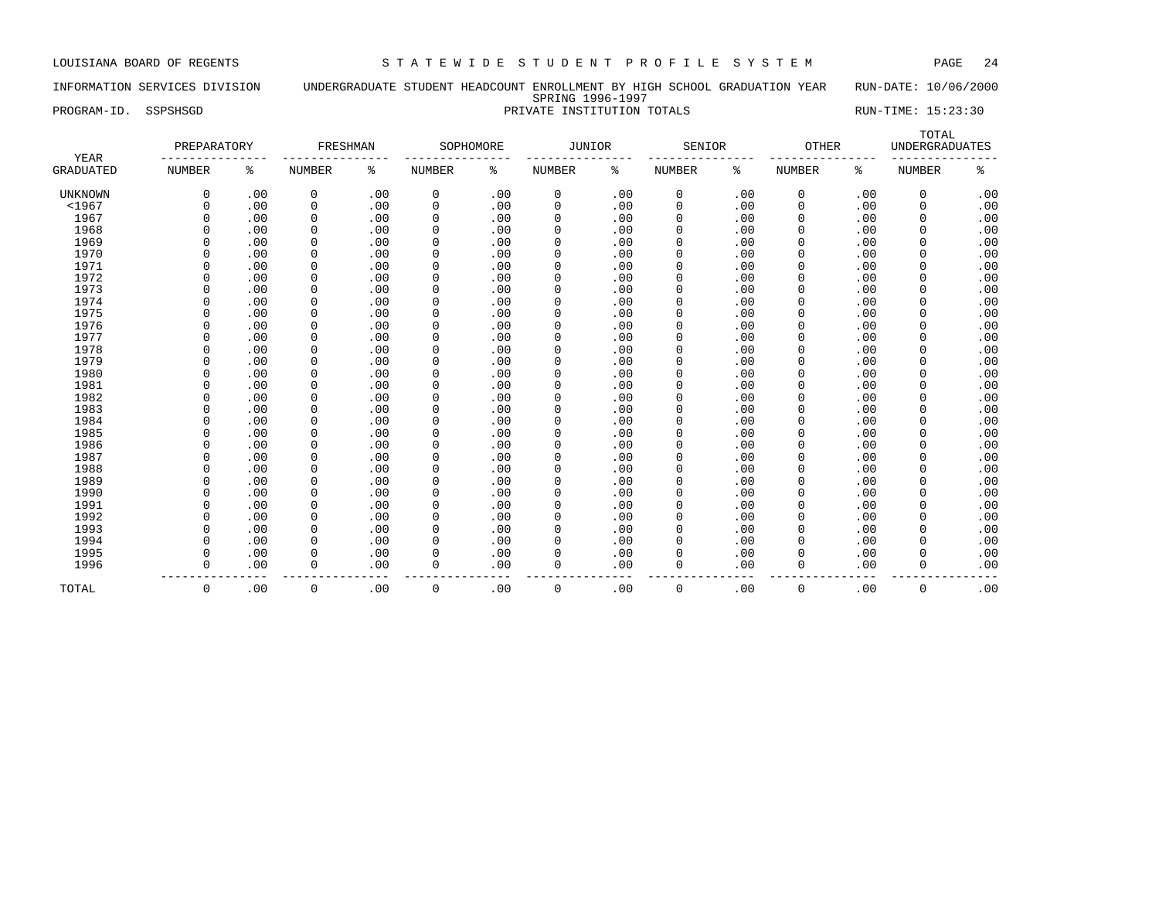# INFORMATION SERVICES DIVISION UNDERGRADUATE STUDENT HEADCOUNT ENROLLMENT BY HIGH SCHOOL GRADUATION YEAR RUN-DATE: 10/06/2000 SPRING 1996-1997 PROGRAM-ID. SSPSHSGD PRIVATE INSTITUTION TOTALS RUN-TIME: 15:23:30

| YEAR             | PREPARATORY   |     | FRESHMAN      |     |             | SOPHOMORE | <b>JUNIOR</b> |     | SENIOR        |     | <b>OTHER</b>  |     | TOTAL<br><b>UNDERGRADUATES</b> |     |
|------------------|---------------|-----|---------------|-----|-------------|-----------|---------------|-----|---------------|-----|---------------|-----|--------------------------------|-----|
| <b>GRADUATED</b> | <b>NUMBER</b> | ႜ   | <b>NUMBER</b> | ႜ   | NUMBER      | ႜ         | <b>NUMBER</b> | နွ  | <b>NUMBER</b> | ៖   | <b>NUMBER</b> | ి   | <b>NUMBER</b>                  | ిక  |
| <b>UNKNOWN</b>   | $\mathbf 0$   | .00 | 0             | .00 | 0           | .00       | 0             | .00 | 0             | .00 | 0             | .00 | 0                              | .00 |
| $<$ 1967         | $\Omega$      | .00 | $\mathbf 0$   | .00 | $\mathbf 0$ | .00       | $\mathbf{0}$  | .00 | 0             | .00 | $\Omega$      | .00 | $\mathbf 0$                    | .00 |
| 1967             | $\Omega$      | .00 | 0             | .00 | $\mathbf 0$ | .00       | 0             | .00 | 0             | .00 | $\Omega$      | .00 | 0                              | .00 |
| 1968             | $\Omega$      | .00 | $\mathbf 0$   | .00 | $\mathbf 0$ | .00       | 0             | .00 | $\mathbf 0$   | .00 | 0             | .00 | $\mathbf 0$                    | .00 |
| 1969             | $\Omega$      | .00 | $\mathbf 0$   | .00 | $\mathbf 0$ | .00       | $\Omega$      | .00 | 0             | .00 | 0             | .00 | $\mathbf 0$                    | .00 |
| 1970             | $\Omega$      | .00 | $\mathbf 0$   | .00 | $\mathbf 0$ | .00       | $\Omega$      | .00 | 0             | .00 | 0             | .00 | $\Omega$                       | .00 |
| 1971             | $\Omega$      | .00 | $\mathbf 0$   | .00 | $\mathbf 0$ | .00       | $\Omega$      | .00 | 0             | .00 | $\mathbf 0$   | .00 | $\mathbf 0$                    | .00 |
| 1972             | $\Omega$      | .00 | $\mathbf 0$   | .00 | $\mathbf 0$ | .00       | 0             | .00 | 0             | .00 | $\mathbf 0$   | .00 | 0                              | .00 |
| 1973             | $\Omega$      | .00 | $\mathbf 0$   | .00 | $\mathbf 0$ | .00       | 0             | .00 | $\mathbf 0$   | .00 | $\Omega$      | .00 | $\Omega$                       | .00 |
| 1974             | $\Omega$      | .00 | $\mathbf 0$   | .00 | 0           | .00       | 0             | .00 | $\mathbf 0$   | .00 | $\Omega$      | .00 | $\Omega$                       | .00 |
| 1975             | $\Omega$      | .00 | 0             | .00 | 0           | .00       | 0             | .00 | 0             | .00 | 0             | .00 | $\Omega$                       | .00 |
| 1976             | $\Omega$      | .00 | $\mathbf 0$   | .00 | 0           | .00       | $\Omega$      | .00 | $\Omega$      | .00 | O             | .00 | $\Omega$                       | .00 |
| 1977             | $\Omega$      | .00 | $\mathbf 0$   | .00 | 0           | .00       | $\Omega$      | .00 | $\Omega$      | .00 | 0             | .00 | $\Omega$                       | .00 |
| 1978             | $\Omega$      | .00 | $\mathbf 0$   | .00 | 0           | .00       | $\Omega$      | .00 | $\mathbf 0$   | .00 | $\Omega$      | .00 | $\mathbf 0$                    | .00 |
| 1979             | $\Omega$      | .00 | $\mathbf 0$   | .00 | 0           | .00       | $\Omega$      | .00 | 0             | .00 | $\Omega$      | .00 | $\mathbf 0$                    | .00 |
| 1980             | $\Omega$      | .00 | $\Omega$      | .00 | $\mathbf 0$ | .00       | $\Omega$      | .00 | $\Omega$      | .00 | $\Omega$      | .00 | $\Omega$                       | .00 |
| 1981             | $\Omega$      | .00 | 0             | .00 | 0           | .00       | $\Omega$      | .00 | $\mathbf 0$   | .00 | 0             | .00 | 0                              | .00 |
| 1982             | $\Omega$      | .00 | 0             | .00 | 0           | .00       | 0             | .00 | 0             | .00 | 0             | .00 | $\mathbf 0$                    | .00 |
| 1983             | $\mathbf 0$   | .00 | 0             | .00 | $\mathbf 0$ | .00       | 0             | .00 | $\mathbf 0$   | .00 | $\mathbf 0$   | .00 | $\mathbf 0$                    | .00 |
| 1984             | $\Omega$      | .00 | $\mathbf 0$   | .00 | 0           | .00       | $\Omega$      | .00 | 0             | .00 | 0             | .00 | 0                              | .00 |
| 1985             | $\mathbf 0$   | .00 | $\mathbf 0$   | .00 | $\mathbf 0$ | .00       | $\mathbf 0$   | .00 | 0             | .00 | $\mathbf 0$   | .00 | 0                              | .00 |
| 1986             | $\Omega$      | .00 | $\mathbf 0$   | .00 | 0           | .00       | 0             | .00 | 0             | .00 | $\mathbf 0$   | .00 | 0                              | .00 |
| 1987             | $\Omega$      | .00 | 0             | .00 | 0           | .00       | 0             | .00 | $\mathbf 0$   | .00 | 0             | .00 | 0                              | .00 |
| 1988             | $\Omega$      | .00 | 0             | .00 | 0           | .00       | 0             | .00 | 0             | .00 | 0             | .00 | 0                              | .00 |
| 1989             | $\Omega$      | .00 | 0             | .00 | 0           | .00       | 0             | .00 | 0             | .00 | 0             | .00 | $\Omega$                       | .00 |
| 1990             | $\Omega$      | .00 | 0             | .00 | 0           | .00       | 0             | .00 | $\mathbf 0$   | .00 | $\Omega$      | .00 | $\Omega$                       | .00 |
| 1991             | $\Omega$      | .00 | $\mathbf 0$   | .00 | 0           | .00       | $\mathbf{0}$  | .00 | $\mathbf 0$   | .00 | $\Omega$      | .00 | $\mathbf 0$                    | .00 |
| 1992             | $\Omega$      | .00 | $\Omega$      | .00 | 0           | .00       | $\Omega$      | .00 | $\Omega$      | .00 | $\Omega$      | .00 | $\Omega$                       | .00 |
| 1993             | $\Omega$      | .00 | $\Omega$      | .00 | $\mathbf 0$ | .00       | $\Omega$      | .00 | $\Omega$      | .00 | $\Omega$      | .00 | 0                              | .00 |
| 1994             | $\Omega$      | .00 | 0             | .00 | $\mathbf 0$ | .00       | 0             | .00 | $\mathbf 0$   | .00 | $\Omega$      | .00 | 0                              | .00 |
| 1995             | $\mathbf 0$   | .00 | 0             | .00 | $\mathbf 0$ | .00       | 0             | .00 | $\mathbf 0$   | .00 | 0             | .00 | 0                              | .00 |
| 1996             | $\mathbf 0$   | .00 | 0             | .00 | $\mathbf 0$ | .00       | $\Omega$      | .00 | $\mathbf 0$   | .00 | $\Omega$      | .00 | $\mathbf 0$                    | .00 |
| TOTAL            | 0             | .00 | $\mathbf 0$   | .00 | 0           | .00       | $\mathbf 0$   | .00 | $\mathbf 0$   | .00 | 0             | .00 | 0                              | .00 |